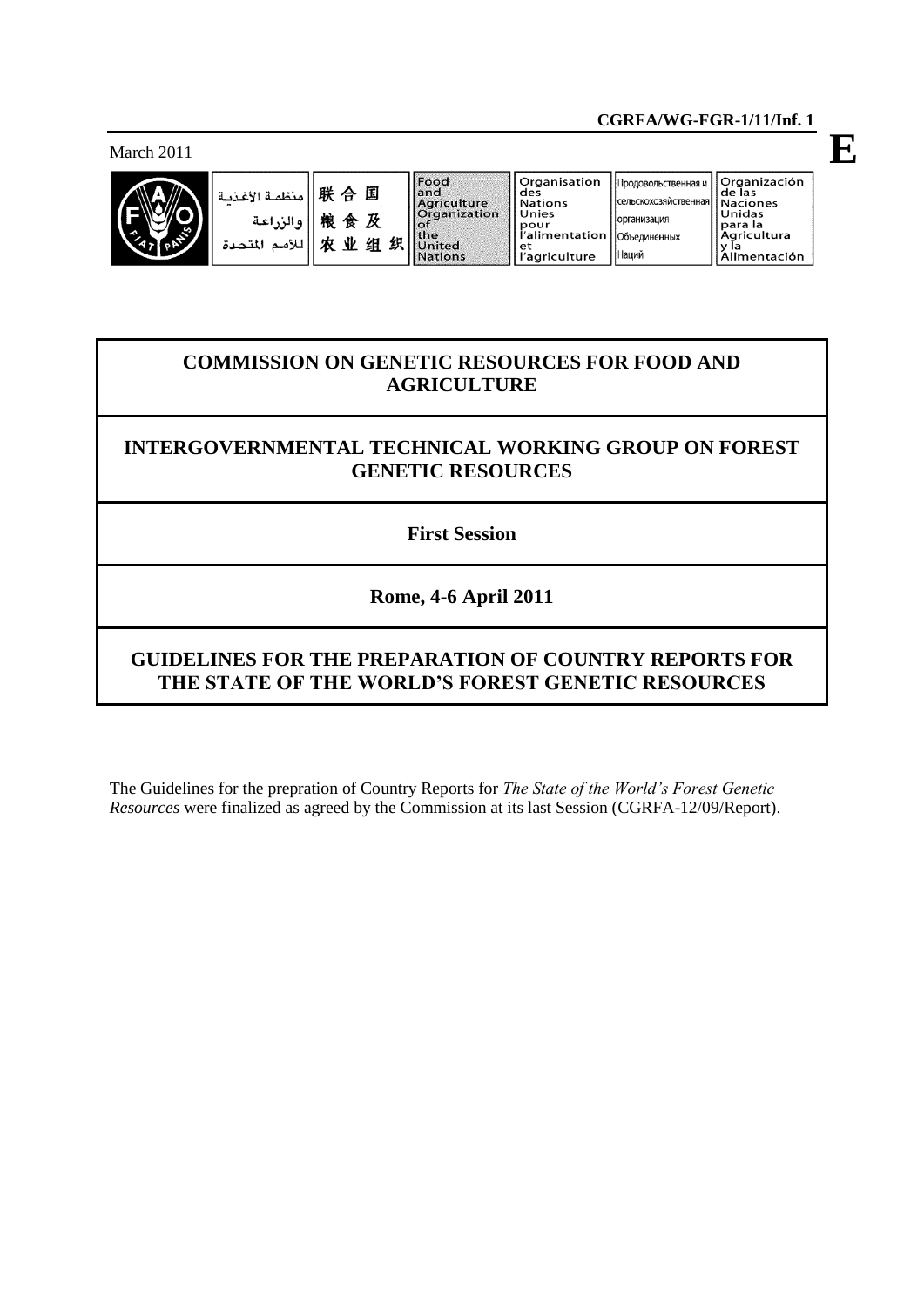March 2011



| Fall<br> 联合国  朝食<br> 戦像食 <i>及 </i>   <br> な业组织  火 <mark>水</mark>   火~~ المتحدة |  |
|--------------------------------------------------------------------------------|--|
|                                                                                |  |
|                                                                                |  |

| <b>cod</b><br>and<br>Agriculture<br><b>Organization</b> | Organisation<br>des<br><b>Nations</b><br>Unies<br>pour |
|---------------------------------------------------------|--------------------------------------------------------|
| he                                                      | li'alimentation                                        |
| Jnited                                                  |                                                        |
| <b>Nations</b>                                          | l'agriculture                                          |

| Продовольственная и  | Organización<br>de las |
|----------------------|------------------------|
| сельскохозяйственная | Naciones               |
| организация          | Unidas                 |
| Объединенных         | para la<br>Agricultura |
| Наций                | la<br>Alimentación     |

**E**

# **COMMISSION ON GENETIC RESOURCES FOR FOOD AND AGRICULTURE**

# **INTERGOVERNMENTAL TECHNICAL WORKING GROUP ON FOREST GENETIC RESOURCES**

**First Session**

# **Rome, 4-6 April 2011**

# **GUIDELINES FOR THE PREPARATION OF COUNTRY REPORTS FOR THE STATE OF THE WORLD'S FOREST GENETIC RESOURCES**

The Guidelines for the prepration of Country Reports for *The State of the World's Forest Genetic Resources* were finalized as agreed by the Commission at its last Session (CGRFA-12/09/Report).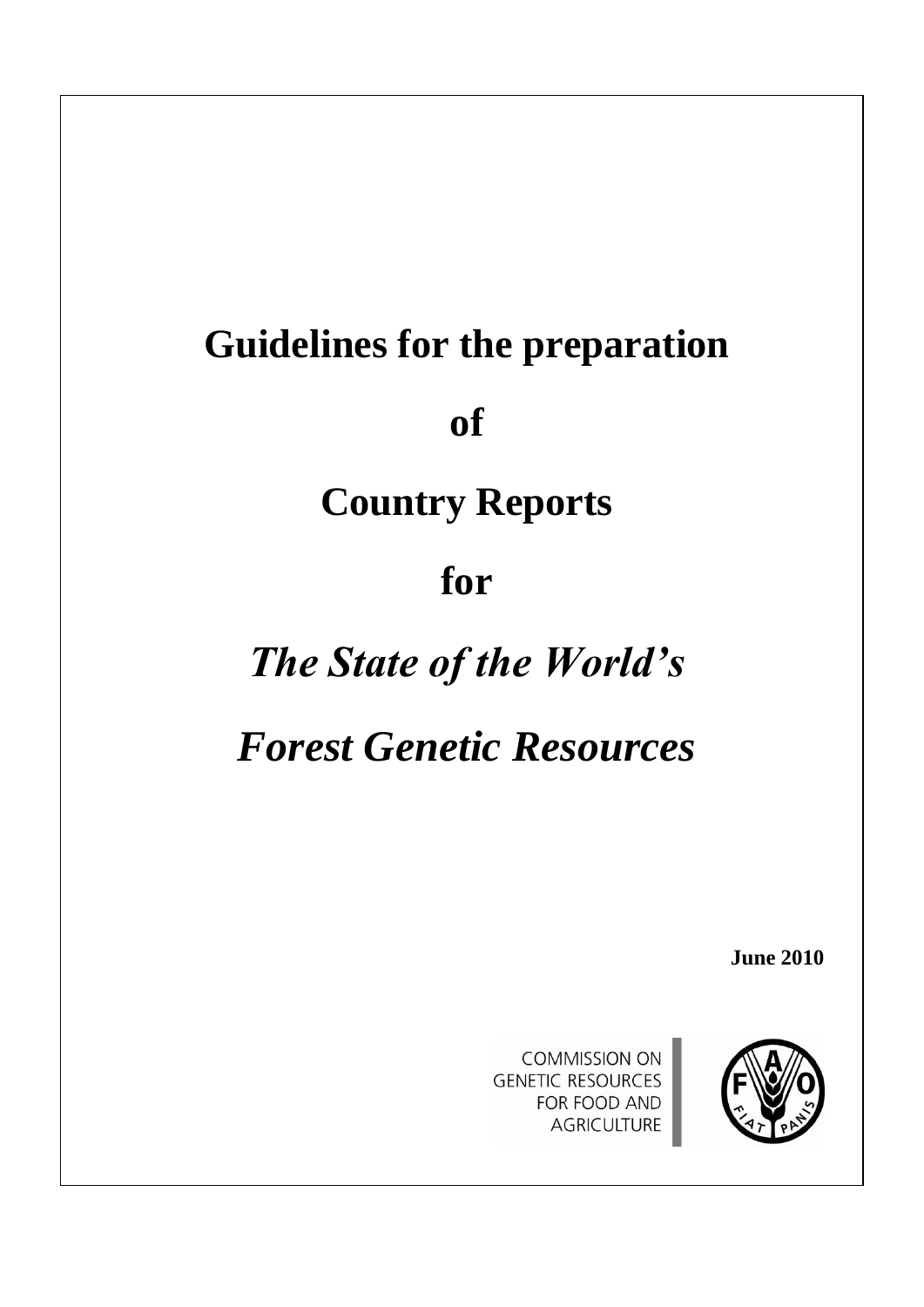# **Guidelines for the preparation**

**of**

# **Country Reports**

# **for**

# *The State of the World's*

# *Forest Genetic Resources*

**June 2010**



**COMMISSION ON GENETIC RESOURCES** FOR FOOD AND **AGRICULTURE**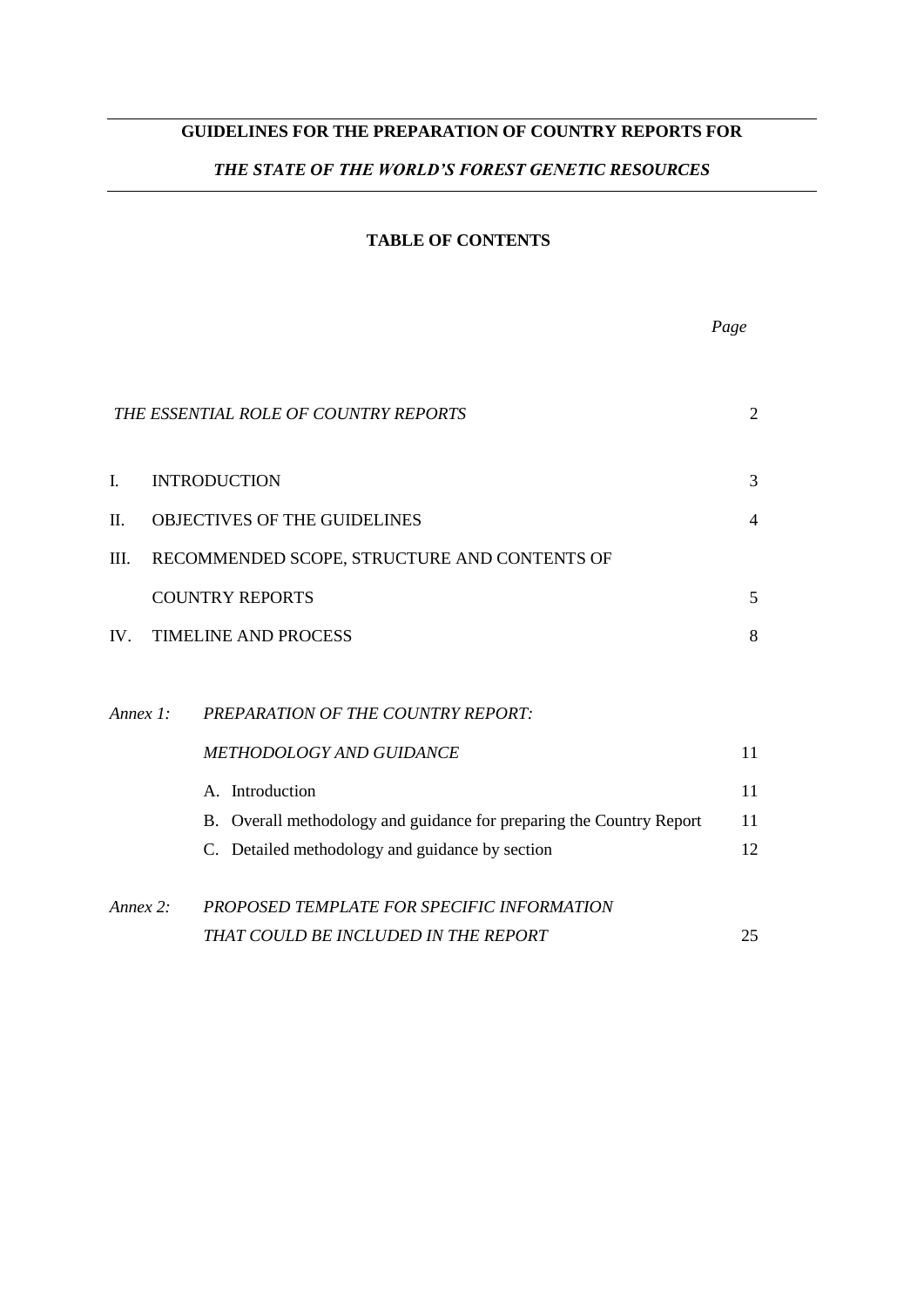# **GUIDELINES FOR THE PREPARATION OF COUNTRY REPORTS FOR**

# *THE STATE OF THE WORLD'S FOREST GENETIC RESOURCES*

#### **TABLE OF CONTENTS**

|             |                                                                      | Page           |
|-------------|----------------------------------------------------------------------|----------------|
|             | THE ESSENTIAL ROLE OF COUNTRY REPORTS                                | 2              |
| I.          | <b>INTRODUCTION</b>                                                  | 3              |
| Π.          | <b>OBJECTIVES OF THE GUIDELINES</b>                                  | $\overline{4}$ |
| III.        | RECOMMENDED SCOPE, STRUCTURE AND CONTENTS OF                         |                |
|             | <b>COUNTRY REPORTS</b>                                               | 5              |
| IV.         | <b>TIMELINE AND PROCESS</b>                                          | 8              |
| Annex $1$ : | PREPARATION OF THE COUNTRY REPORT:                                   |                |
|             | METHODOLOGY AND GUIDANCE                                             | 11             |
|             | A. Introduction                                                      | 11             |
|             | B. Overall methodology and guidance for preparing the Country Report | 11             |
|             | C. Detailed methodology and guidance by section                      | 12             |
| Annex 2:    | PROPOSED TEMPLATE FOR SPECIFIC INFORMATION                           |                |
|             | THAT COULD BE INCLUDED IN THE REPORT                                 | 25             |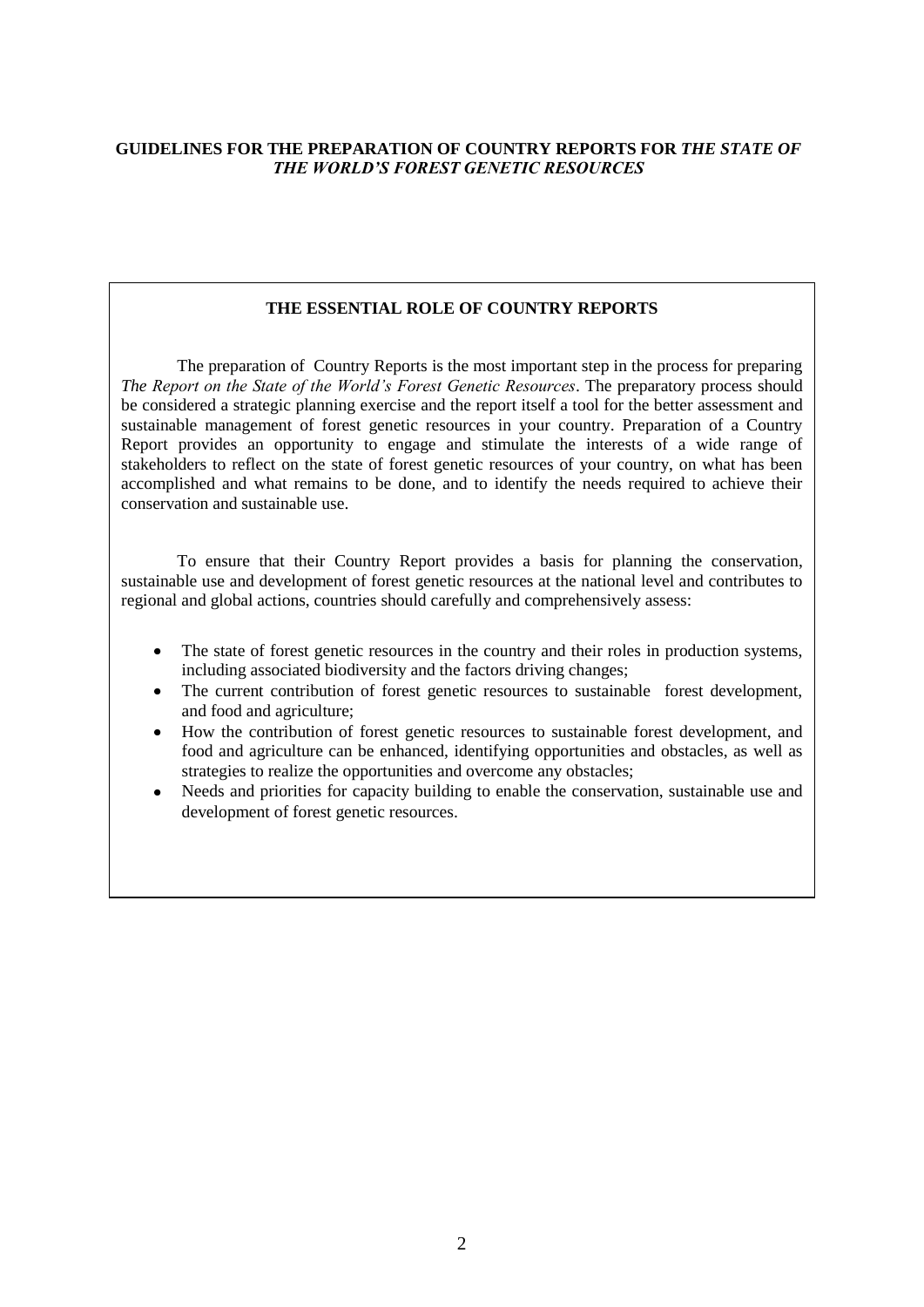# **GUIDELINES FOR THE PREPARATION OF COUNTRY REPORTS FOR** *THE STATE OF THE WORLD'S FOREST GENETIC RESOURCES*

# **THE ESSENTIAL ROLE OF COUNTRY REPORTS**

The preparation of Country Reports is the most important step in the process for preparing *The Report on the State of the World's Forest Genetic Resources*. The preparatory process should be considered a strategic planning exercise and the report itself a tool for the better assessment and sustainable management of forest genetic resources in your country. Preparation of a Country Report provides an opportunity to engage and stimulate the interests of a wide range of stakeholders to reflect on the state of forest genetic resources of your country, on what has been accomplished and what remains to be done, and to identify the needs required to achieve their conservation and sustainable use.

To ensure that their Country Report provides a basis for planning the conservation, sustainable use and development of forest genetic resources at the national level and contributes to regional and global actions, countries should carefully and comprehensively assess:

- The state of forest genetic resources in the country and their roles in production systems,  $\bullet$ including associated biodiversity and the factors driving changes;
- The current contribution of forest genetic resources to sustainable forest development, and food and agriculture;
- How the contribution of forest genetic resources to sustainable forest development, and food and agriculture can be enhanced, identifying opportunities and obstacles, as well as strategies to realize the opportunities and overcome any obstacles;
- Needs and priorities for capacity building to enable the conservation, sustainable use and  $\bullet$ development of forest genetic resources.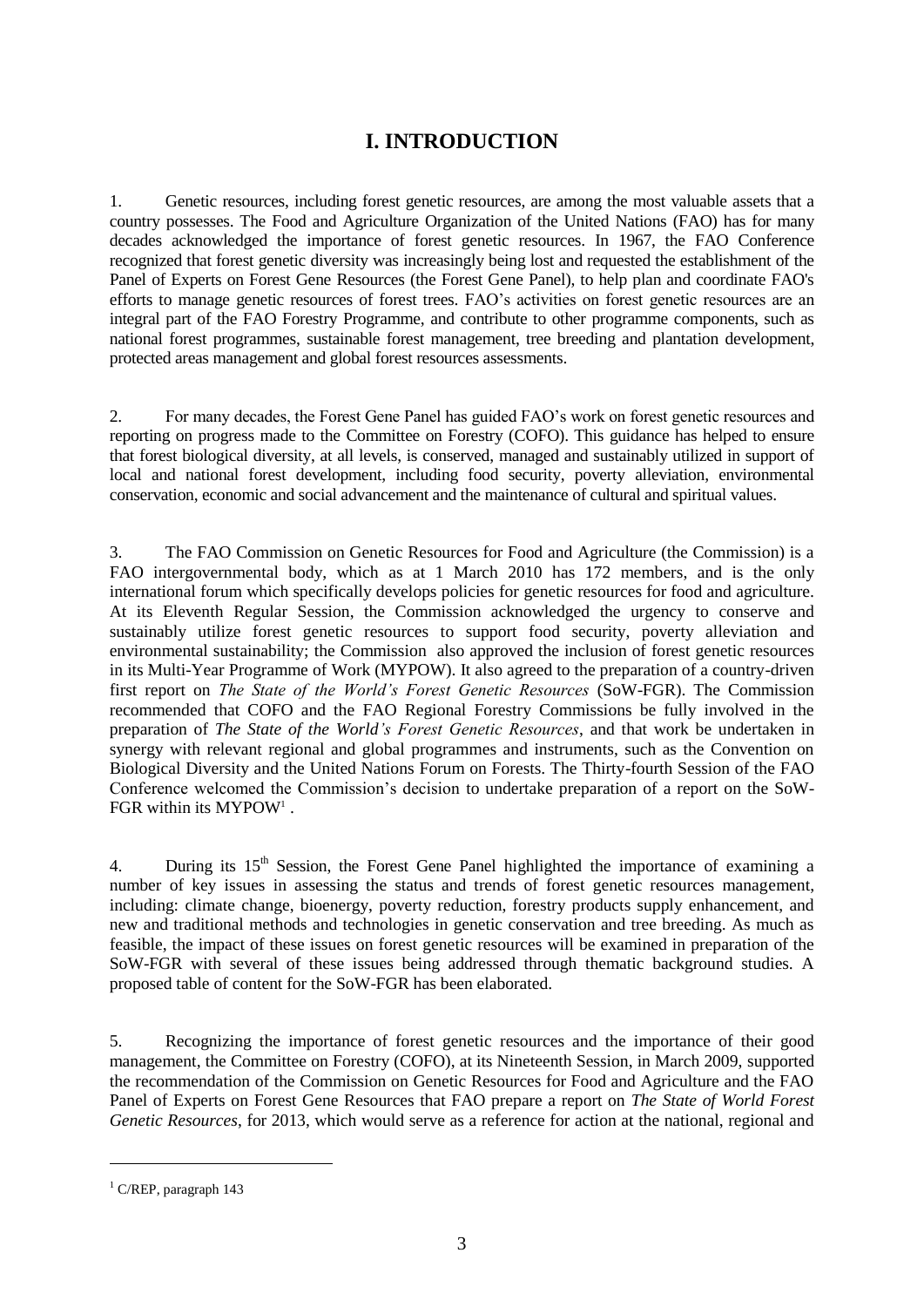# **I. INTRODUCTION**

1. Genetic resources, including forest genetic resources, are among the most valuable assets that a country possesses. The Food and Agriculture Organization of the United Nations (FAO) has for many decades acknowledged the importance of forest genetic resources. In 1967, the FAO Conference recognized that forest genetic diversity was increasingly being lost and requested the establishment of the Panel of Experts on Forest Gene Resources (the Forest Gene Panel), to help plan and coordinate FAO's efforts to manage genetic resources of forest trees. FAO's activities on forest genetic resources are an integral part of the FAO Forestry Programme, and contribute to other programme components, such as national forest programmes, sustainable forest management, tree breeding and plantation development, protected areas management and global forest resources assessments.

2. For many decades, the Forest Gene Panel has guided FAO's work on forest genetic resources and reporting on progress made to the Committee on Forestry (COFO). This guidance has helped to ensure that forest biological diversity, at all levels, is conserved, managed and sustainably utilized in support of local and national forest development, including food security, poverty alleviation, environmental conservation, economic and social advancement and the maintenance of cultural and spiritual values.

3. The FAO Commission on Genetic Resources for Food and Agriculture (the Commission) is a FAO intergovernmental body, which as at 1 March 2010 has 172 members, and is the only international forum which specifically develops policies for genetic resources for food and agriculture. At its Eleventh Regular Session, the Commission acknowledged the urgency to conserve and sustainably utilize forest genetic resources to support food security, poverty alleviation and environmental sustainability; the Commission also approved the inclusion of forest genetic resources in its Multi-Year Programme of Work (MYPOW). It also agreed to the preparation of a country-driven first report on *The State of the World's Forest Genetic Resources* (SoW-FGR). The Commission recommended that COFO and the FAO Regional Forestry Commissions be fully involved in the preparation of *The State of the World's Forest Genetic Resources*, and that work be undertaken in synergy with relevant regional and global programmes and instruments, such as the Convention on Biological Diversity and the United Nations Forum on Forests. The Thirty-fourth Session of the FAO Conference welcomed the Commission's decision to undertake preparation of a report on the SoW-FGR within its MYPOW<sup>1</sup>.

4. During its  $15<sup>th</sup>$  Session, the Forest Gene Panel highlighted the importance of examining a number of key issues in assessing the status and trends of forest genetic resources management, including: climate change, bioenergy, poverty reduction, forestry products supply enhancement, and new and traditional methods and technologies in genetic conservation and tree breeding. As much as feasible, the impact of these issues on forest genetic resources will be examined in preparation of the SoW-FGR with several of these issues being addressed through thematic background studies. A proposed table of content for the SoW-FGR has been elaborated.

5. Recognizing the importance of forest genetic resources and the importance of their good management, the Committee on Forestry (COFO), at its Nineteenth Session, in March 2009, supported the recommendation of the Commission on Genetic Resources for Food and Agriculture and the FAO Panel of Experts on Forest Gene Resources that FAO prepare a report on *The State of World Forest Genetic Resources*, for 2013, which would serve as a reference for action at the national, regional and

l

 $1$  C/REP, paragraph 143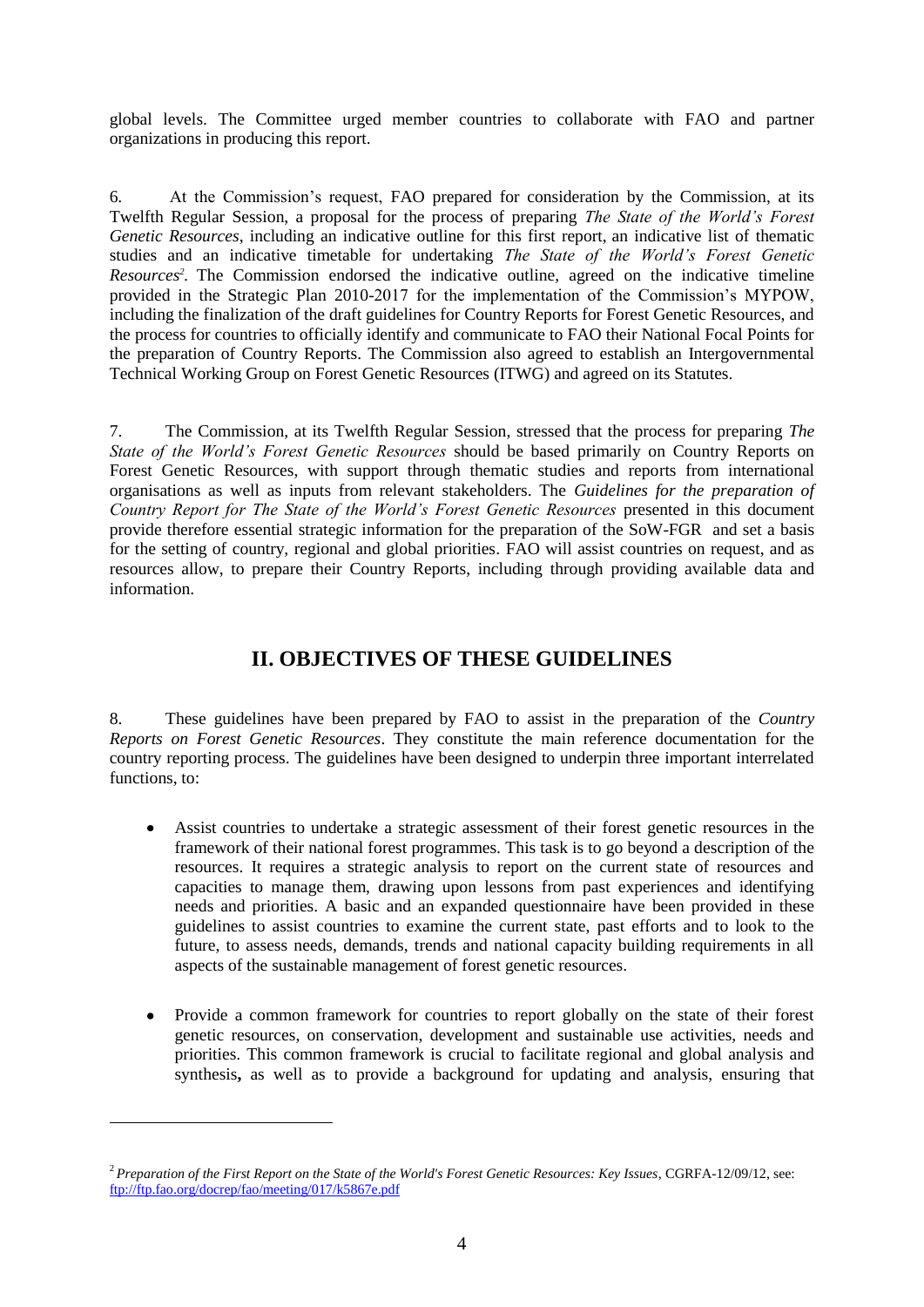global levels. The Committee urged member countries to collaborate with FAO and partner organizations in producing this report.

6. At the Commission's request, FAO prepared for consideration by the Commission, at its Twelfth Regular Session, a proposal for the process of preparing *The State of the World's Forest Genetic Resources*, including an indicative outline for this first report, an indicative list of thematic studies and an indicative timetable for undertaking *The State of the World's Forest Genetic Resources<sup>2</sup> .* The Commission endorsed the indicative outline, agreed on the indicative timeline provided in the Strategic Plan 2010-2017 for the implementation of the Commission's MYPOW, including the finalization of the draft guidelines for Country Reports for Forest Genetic Resources, and the process for countries to officially identify and communicate to FAO their National Focal Points for the preparation of Country Reports. The Commission also agreed to establish an Intergovernmental Technical Working Group on Forest Genetic Resources (ITWG) and agreed on its Statutes.

7. The Commission, at its Twelfth Regular Session, stressed that the process for preparing *The State of the World's Forest Genetic Resources* should be based primarily on Country Reports on Forest Genetic Resources, with support through thematic studies and reports from international organisations as well as inputs from relevant stakeholders. The *Guidelines for the preparation of Country Report for The State of the World's Forest Genetic Resources* presented in this document provide therefore essential strategic information for the preparation of the SoW-FGR and set a basis for the setting of country, regional and global priorities. FAO will assist countries on request, and as resources allow, to prepare their Country Reports, including through providing available data and information.

# **II. OBJECTIVES OF THESE GUIDELINES**

8. These guidelines have been prepared by FAO to assist in the preparation of the *Country Reports on Forest Genetic Resources*. They constitute the main reference documentation for the country reporting process. The guidelines have been designed to underpin three important interrelated functions, to:

- Assist countries to undertake a strategic assessment of their forest genetic resources in the framework of their national forest programmes. This task is to go beyond a description of the resources. It requires a strategic analysis to report on the current state of resources and capacities to manage them, drawing upon lessons from past experiences and identifying needs and priorities. A basic and an expanded questionnaire have been provided in these guidelines to assist countries to examine the current state, past efforts and to look to the future, to assess needs, demands, trends and national capacity building requirements in all aspects of the sustainable management of forest genetic resources.
- Provide a common framework for countries to report globally on the state of their forest genetic resources, on conservation, development and sustainable use activities, needs and priorities. This common framework is crucial to facilitate regional and global analysis and synthesis**,** as well as to provide a background for updating and analysis, ensuring that

l

<sup>2</sup>*Preparation of the First Report on the State of the World's Forest Genetic Resources: Key Issues*, CGRFA-12/09/12, see: <ftp://ftp.fao.org/docrep/fao/meeting/017/k5867e.pdf>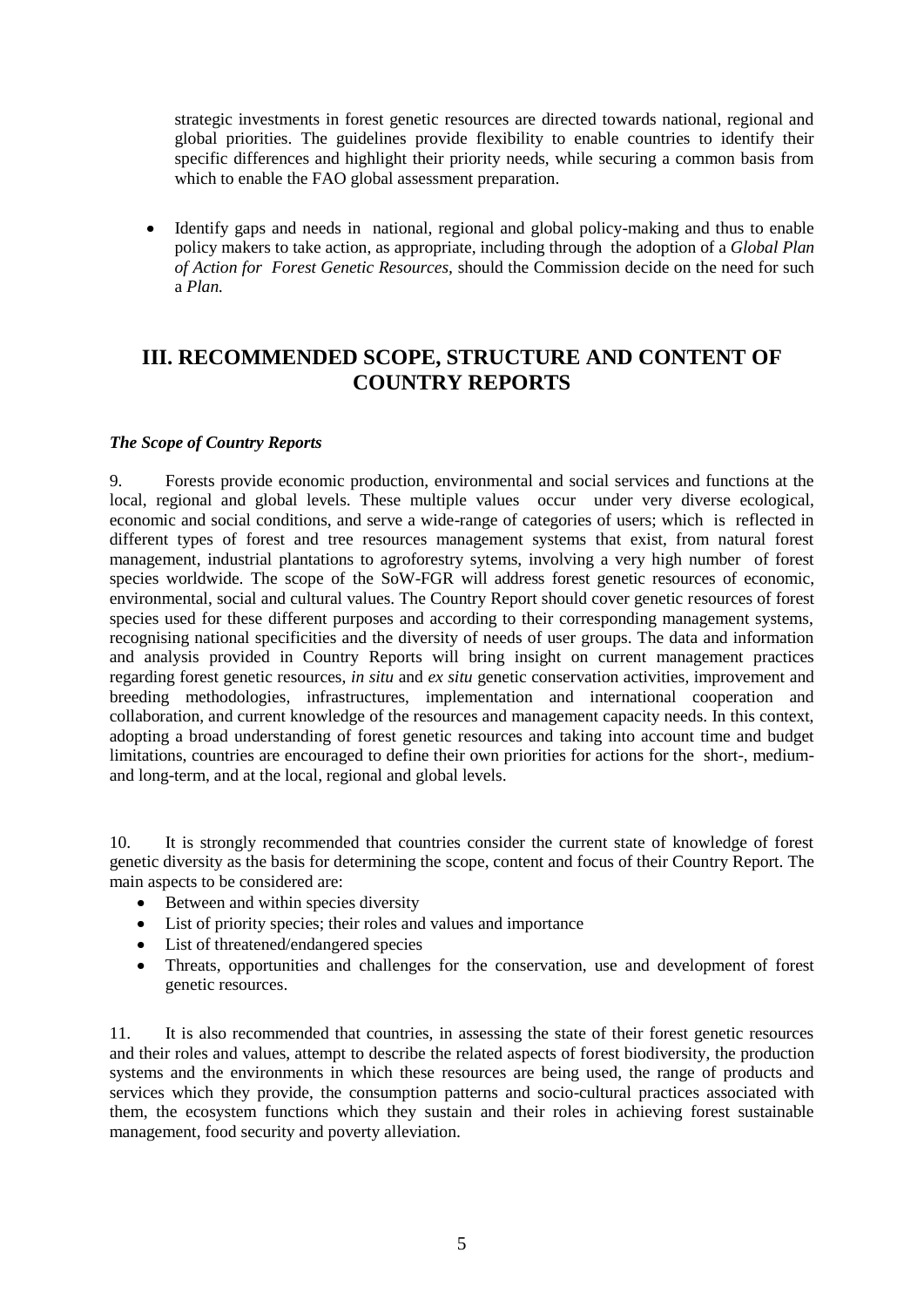strategic investments in forest genetic resources are directed towards national, regional and global priorities. The guidelines provide flexibility to enable countries to identify their specific differences and highlight their priority needs, while securing a common basis from which to enable the FAO global assessment preparation.

Identify gaps and needs in national, regional and global policy-making and thus to enable  $\bullet$ policy makers to take action, as appropriate, including through the adoption of a *Global Plan of Action for Forest Genetic Resources,* should the Commission decide on the need for such a *Plan.*

# **III. RECOMMENDED SCOPE, STRUCTURE AND CONTENT OF COUNTRY REPORTS**

# *The Scope of Country Reports*

9. Forests provide economic production, environmental and social services and functions at the local, regional and global levels. These multiple values occur under very diverse ecological, economic and social conditions, and serve a wide-range of categories of users; which is reflected in different types of forest and tree resources management systems that exist, from natural forest management, industrial plantations to agroforestry sytems, involving a very high number of forest species worldwide. The scope of the SoW-FGR will address forest genetic resources of economic, environmental, social and cultural values. The Country Report should cover genetic resources of forest species used for these different purposes and according to their corresponding management systems, recognising national specificities and the diversity of needs of user groups. The data and information and analysis provided in Country Reports will bring insight on current management practices regarding forest genetic resources, *in situ* and *ex situ* genetic conservation activities, improvement and breeding methodologies, infrastructures, implementation and international cooperation and collaboration, and current knowledge of the resources and management capacity needs. In this context, adopting a broad understanding of forest genetic resources and taking into account time and budget limitations, countries are encouraged to define their own priorities for actions for the short-, mediumand long-term, and at the local, regional and global levels.

10. It is strongly recommended that countries consider the current state of knowledge of forest genetic diversity as the basis for determining the scope, content and focus of their Country Report. The main aspects to be considered are:

- Between and within species diversity
- List of priority species; their roles and values and importance
- List of threatened/endangered species
- Threats, opportunities and challenges for the conservation, use and development of forest genetic resources.

11. It is also recommended that countries, in assessing the state of their forest genetic resources and their roles and values, attempt to describe the related aspects of forest biodiversity, the production systems and the environments in which these resources are being used, the range of products and services which they provide, the consumption patterns and socio-cultural practices associated with them, the ecosystem functions which they sustain and their roles in achieving forest sustainable management, food security and poverty alleviation.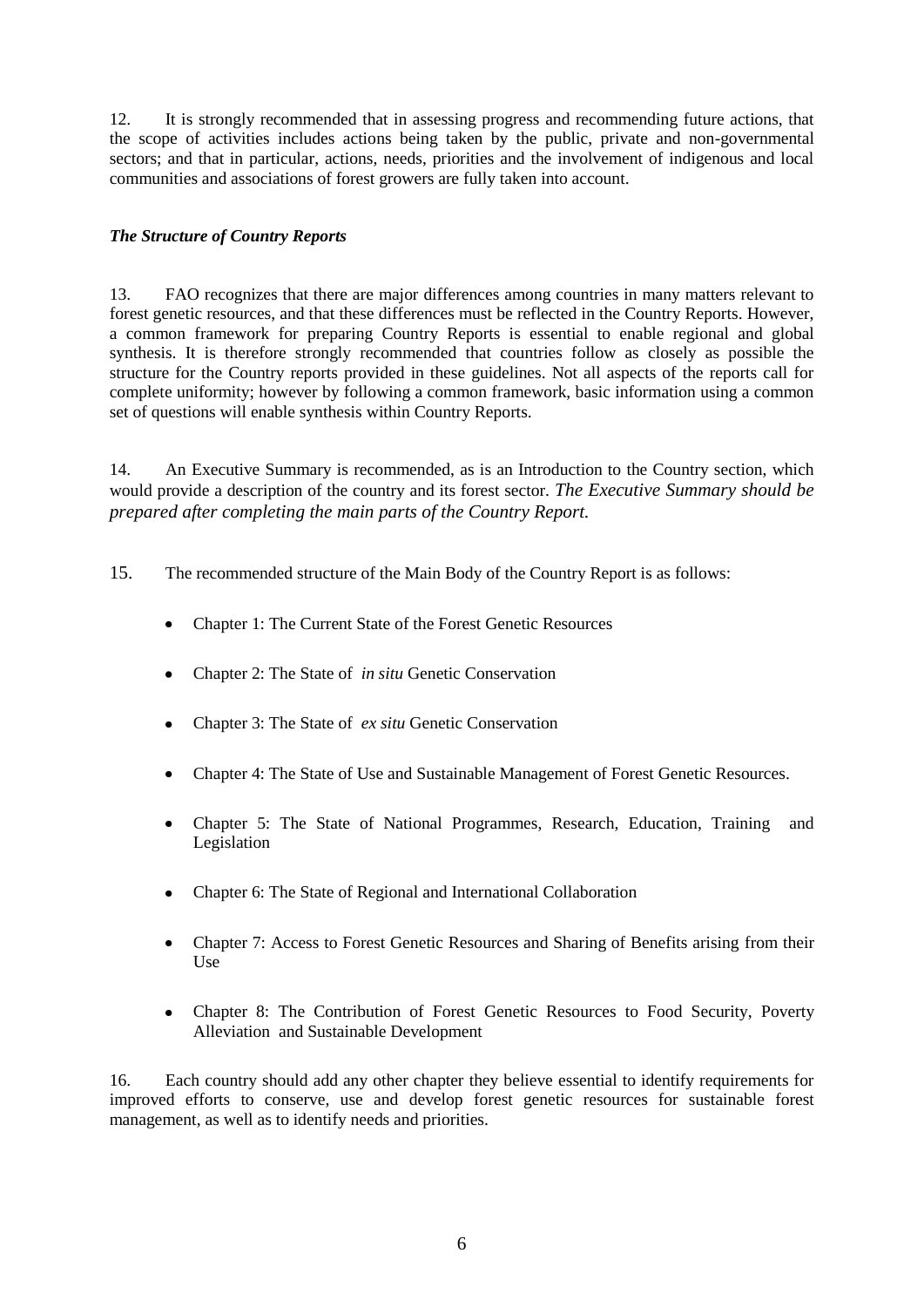12. It is strongly recommended that in assessing progress and recommending future actions, that the scope of activities includes actions being taken by the public, private and non-governmental sectors; and that in particular, actions, needs, priorities and the involvement of indigenous and local communities and associations of forest growers are fully taken into account.

# *The Structure of Country Reports*

13. FAO recognizes that there are major differences among countries in many matters relevant to forest genetic resources, and that these differences must be reflected in the Country Reports. However, a common framework for preparing Country Reports is essential to enable regional and global synthesis. It is therefore strongly recommended that countries follow as closely as possible the structure for the Country reports provided in these guidelines. Not all aspects of the reports call for complete uniformity; however by following a common framework, basic information using a common set of questions will enable synthesis within Country Reports.

14. An Executive Summary is recommended, as is an Introduction to the Country section, which would provide a description of the country and its forest sector. *The Executive Summary should be prepared after completing the main parts of the Country Report.* 

- 15. The recommended structure of the Main Body of the Country Report is as follows:
	- Chapter 1: The Current State of the Forest Genetic Resources  $\bullet$
	- Chapter 2: The State of *in situ* Genetic Conservation  $\bullet$
	- Chapter 3: The State of *ex situ* Genetic Conservation
	- Chapter 4: The State of Use and Sustainable Management of Forest Genetic Resources.
	- Chapter 5: The State of National Programmes, Research, Education, Training and Legislation
	- Chapter 6: The State of Regional and International Collaboration
	- Chapter 7: Access to Forest Genetic Resources and Sharing of Benefits arising from their  $\bullet$ Use
	- Chapter 8: The Contribution of Forest Genetic Resources to Food Security, Poverty  $\bullet$ Alleviation and Sustainable Development

16. Each country should add any other chapter they believe essential to identify requirements for improved efforts to conserve, use and develop forest genetic resources for sustainable forest management, as well as to identify needs and priorities.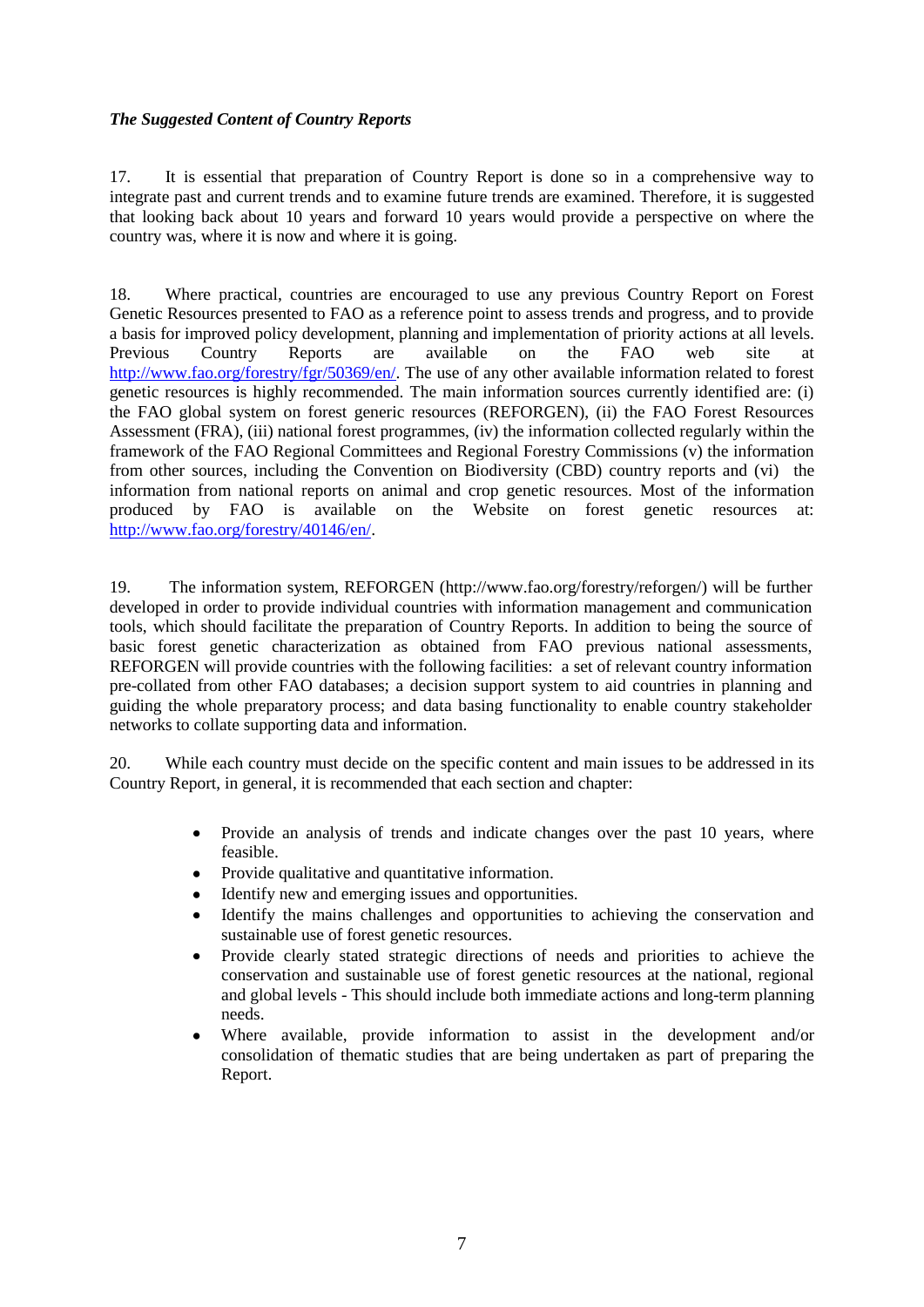# *The Suggested Content of Country Reports*

17. It is essential that preparation of Country Report is done so in a comprehensive way to integrate past and current trends and to examine future trends are examined. Therefore, it is suggested that looking back about 10 years and forward 10 years would provide a perspective on where the country was, where it is now and where it is going.

18. Where practical, countries are encouraged to use any previous Country Report on Forest Genetic Resources presented to FAO as a reference point to assess trends and progress, and to provide a basis for improved policy development, planning and implementation of priority actions at all levels. Previous Country Reports are available on the FAO web site at [http://www.fao.org/forestry/fgr/50369/en/.](http://www.fao.org/forestry/fgr/50369/en/) The use of any other available information related to forest genetic resources is highly recommended. The main information sources currently identified are: (i) the FAO global system on forest generic resources (REFORGEN), (ii) the FAO Forest Resources Assessment (FRA), (iii) national forest programmes, (iv) the information collected regularly within the framework of the FAO Regional Committees and Regional Forestry Commissions (v) the information from other sources, including the Convention on Biodiversity (CBD) country reports and (vi) the information from national reports on animal and crop genetic resources. Most of the information produced by FAO is available on the Website on forest genetic resources at: [http://www.fao.org/forestry/40146/en/.](http://www.fao.org/forestry/40146/en/)

19. The information system, REFORGEN (http://www.fao.org/forestry/reforgen/) will be further developed in order to provide individual countries with information management and communication tools, which should facilitate the preparation of Country Reports. In addition to being the source of basic forest genetic characterization as obtained from FAO previous national assessments, REFORGEN will provide countries with the following facilities: a set of relevant country information pre-collated from other FAO databases; a decision support system to aid countries in planning and guiding the whole preparatory process; and data basing functionality to enable country stakeholder networks to collate supporting data and information.

20. While each country must decide on the specific content and main issues to be addressed in its Country Report, in general, it is recommended that each section and chapter:

- Provide an analysis of trends and indicate changes over the past 10 years, where  $\bullet$ feasible.
- Provide qualitative and quantitative information.
- Identify new and emerging issues and opportunities.
- Identify the mains challenges and opportunities to achieving the conservation and sustainable use of forest genetic resources.
- Provide clearly stated strategic directions of needs and priorities to achieve the conservation and sustainable use of forest genetic resources at the national, regional and global levels - This should include both immediate actions and long-term planning needs.
- Where available, provide information to assist in the development and/or  $\bullet$ consolidation of thematic studies that are being undertaken as part of preparing the Report.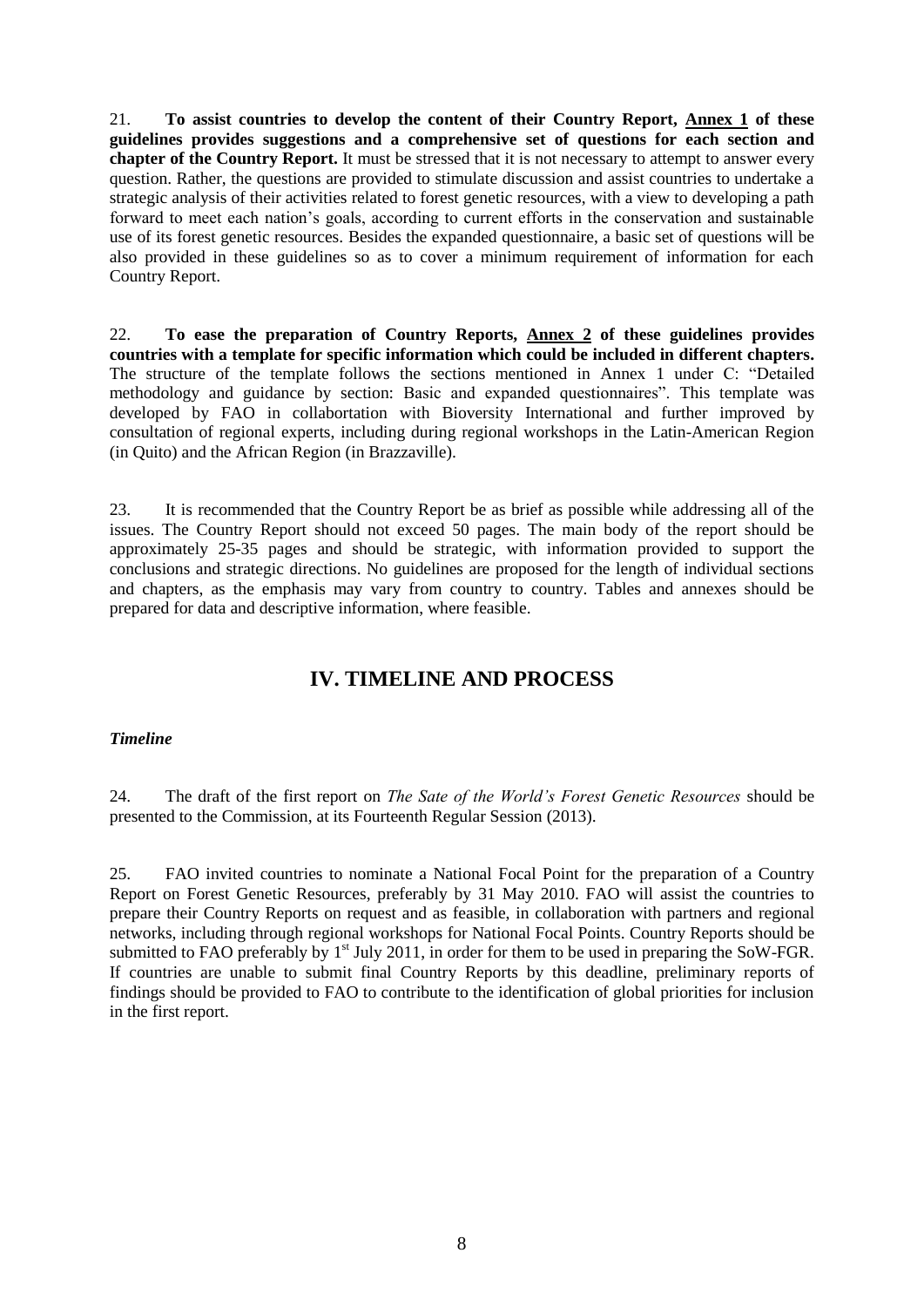21. **To assist countries to develop the content of their Country Report, Annex 1 of these guidelines provides suggestions and a comprehensive set of questions for each section and chapter of the Country Report.** It must be stressed that it is not necessary to attempt to answer every question. Rather, the questions are provided to stimulate discussion and assist countries to undertake a strategic analysis of their activities related to forest genetic resources, with a view to developing a path forward to meet each nation's goals, according to current efforts in the conservation and sustainable use of its forest genetic resources. Besides the expanded questionnaire, a basic set of questions will be also provided in these guidelines so as to cover a minimum requirement of information for each Country Report.

22. **To ease the preparation of Country Reports, Annex 2 of these guidelines provides countries with a template for specific information which could be included in different chapters.** The structure of the template follows the sections mentioned in Annex 1 under C: "Detailed methodology and guidance by section: Basic and expanded questionnaires". This template was developed by FAO in collabortation with Bioversity International and further improved by consultation of regional experts, including during regional workshops in the Latin-American Region (in Quito) and the African Region (in Brazzaville).

23. It is recommended that the Country Report be as brief as possible while addressing all of the issues. The Country Report should not exceed 50 pages. The main body of the report should be approximately 25-35 pages and should be strategic, with information provided to support the conclusions and strategic directions. No guidelines are proposed for the length of individual sections and chapters, as the emphasis may vary from country to country. Tables and annexes should be prepared for data and descriptive information, where feasible.

# **IV. TIMELINE AND PROCESS**

# *Timeline*

24. The draft of the first report on *The Sate of the World's Forest Genetic Resources* should be presented to the Commission, at its Fourteenth Regular Session (2013).

25. FAO invited countries to nominate a National Focal Point for the preparation of a Country Report on Forest Genetic Resources, preferably by 31 May 2010. FAO will assist the countries to prepare their Country Reports on request and as feasible, in collaboration with partners and regional networks, including through regional workshops for National Focal Points. Country Reports should be submitted to FAO preferably by  $1<sup>st</sup>$  July 2011, in order for them to be used in preparing the SoW-FGR. If countries are unable to submit final Country Reports by this deadline, preliminary reports of findings should be provided to FAO to contribute to the identification of global priorities for inclusion in the first report.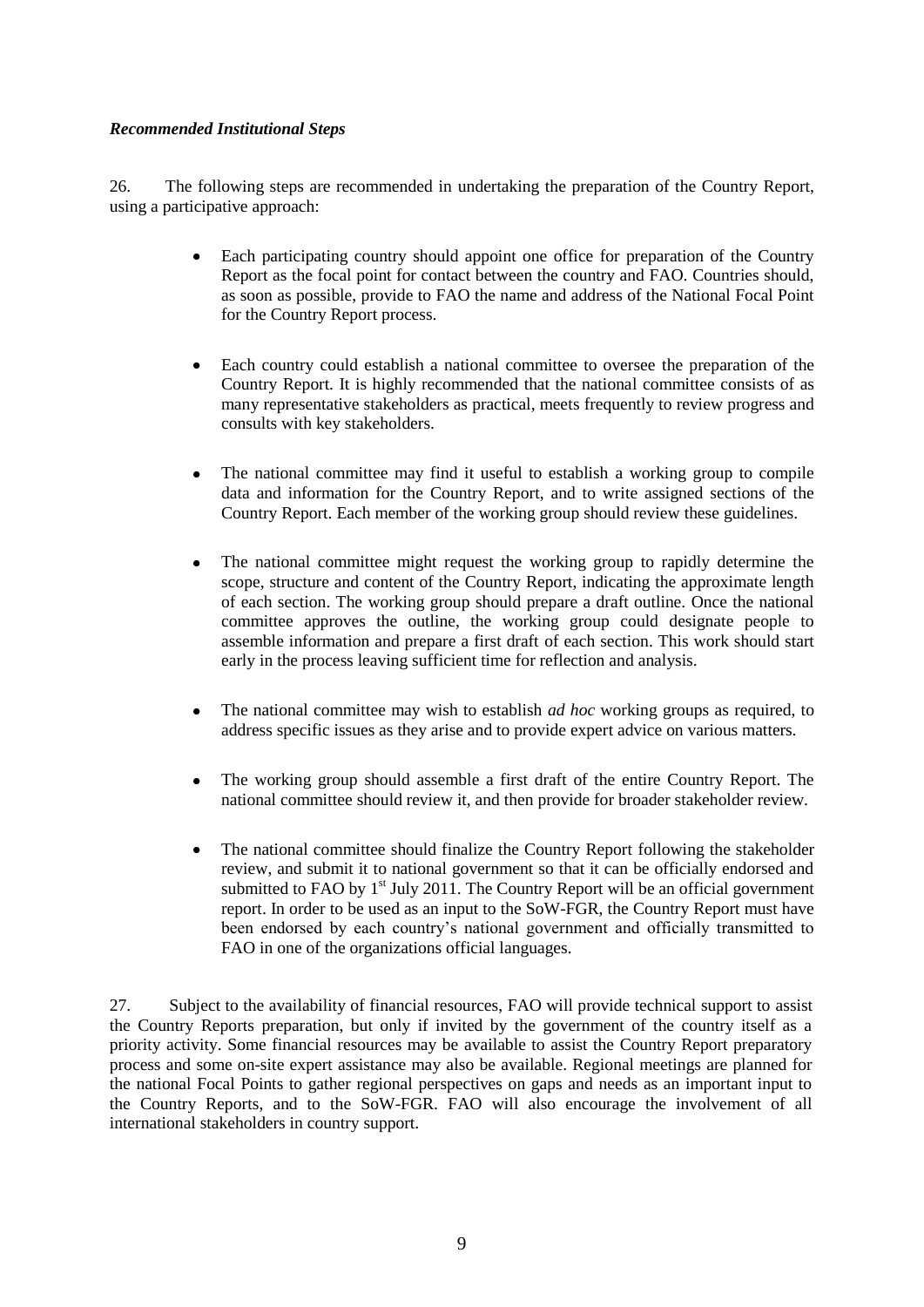# *Recommended Institutional Steps*

26. The following steps are recommended in undertaking the preparation of the Country Report, using a participative approach:

- Each participating country should appoint one office for preparation of the Country Report as the focal point for contact between the country and FAO. Countries should, as soon as possible, provide to FAO the name and address of the National Focal Point for the Country Report process.
- Each country could establish a national committee to oversee the preparation of the  $\bullet$ Country Report. It is highly recommended that the national committee consists of as many representative stakeholders as practical, meets frequently to review progress and consults with key stakeholders.
- $\bullet$ The national committee may find it useful to establish a working group to compile data and information for the Country Report, and to write assigned sections of the Country Report. Each member of the working group should review these guidelines.
- The national committee might request the working group to rapidly determine the scope, structure and content of the Country Report, indicating the approximate length of each section. The working group should prepare a draft outline. Once the national committee approves the outline, the working group could designate people to assemble information and prepare a first draft of each section. This work should start early in the process leaving sufficient time for reflection and analysis.
- The national committee may wish to establish *ad hoc* working groups as required, to address specific issues as they arise and to provide expert advice on various matters.
- The working group should assemble a first draft of the entire Country Report. The national committee should review it, and then provide for broader stakeholder review.
- The national committee should finalize the Country Report following the stakeholder review, and submit it to national government so that it can be officially endorsed and submitted to FAO by  $1<sup>st</sup>$  July 2011. The Country Report will be an official government report. In order to be used as an input to the SoW-FGR, the Country Report must have been endorsed by each country's national government and officially transmitted to FAO in one of the organizations official languages.

27. Subject to the availability of financial resources, FAO will provide technical support to assist the Country Reports preparation, but only if invited by the government of the country itself as a priority activity. Some financial resources may be available to assist the Country Report preparatory process and some on-site expert assistance may also be available. Regional meetings are planned for the national Focal Points to gather regional perspectives on gaps and needs as an important input to the Country Reports, and to the SoW-FGR. FAO will also encourage the involvement of all international stakeholders in country support.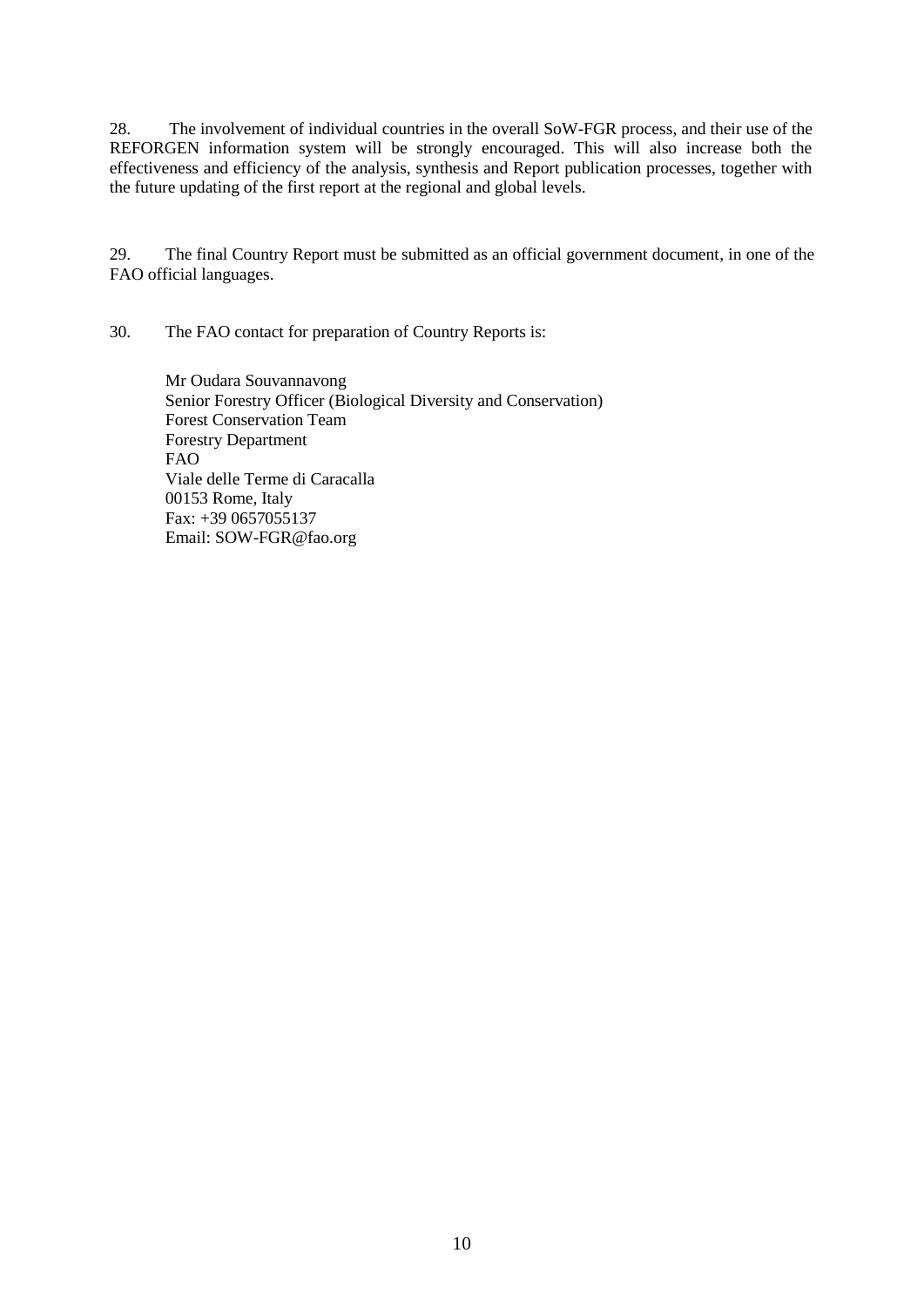28. The involvement of individual countries in the overall SoW-FGR process, and their use of the REFORGEN information system will be strongly encouraged. This will also increase both the effectiveness and efficiency of the analysis, synthesis and Report publication processes, together with the future updating of the first report at the regional and global levels.

29. The final Country Report must be submitted as an official government document, in one of the FAO official languages.

30. The FAO contact for preparation of Country Reports is:

Mr Oudara Souvannavong Senior Forestry Officer (Biological Diversity and Conservation) Forest Conservation Team Forestry Department FAO Viale delle Terme di Caracalla 00153 Rome, Italy Fax: +39 0657055137 Email: SOW-FGR@fao.org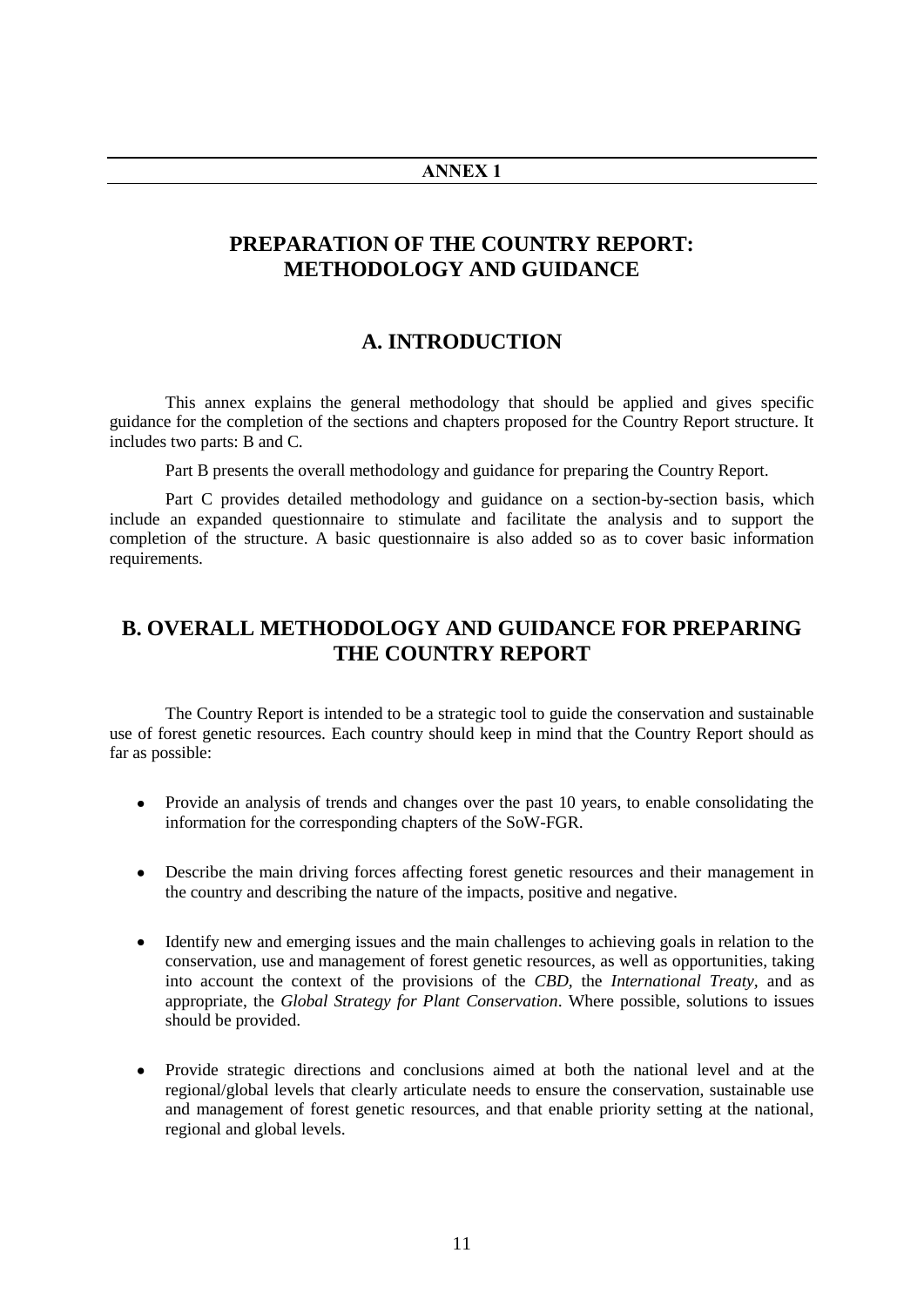#### **ANNEX 1**

# **PREPARATION OF THE COUNTRY REPORT: METHODOLOGY AND GUIDANCE**

# **A. INTRODUCTION**

This annex explains the general methodology that should be applied and gives specific guidance for the completion of the sections and chapters proposed for the Country Report structure. It includes two parts: B and C.

Part B presents the overall methodology and guidance for preparing the Country Report.

Part C provides detailed methodology and guidance on a section-by-section basis, which include an expanded questionnaire to stimulate and facilitate the analysis and to support the completion of the structure. A basic questionnaire is also added so as to cover basic information requirements.

# **B. OVERALL METHODOLOGY AND GUIDANCE FOR PREPARING THE COUNTRY REPORT**

The Country Report is intended to be a strategic tool to guide the conservation and sustainable use of forest genetic resources. Each country should keep in mind that the Country Report should as far as possible:

- Provide an analysis of trends and changes over the past 10 years, to enable consolidating the information for the corresponding chapters of the SoW-FGR.
- Describe the main driving forces affecting forest genetic resources and their management in the country and describing the nature of the impacts, positive and negative.
- Identify new and emerging issues and the main challenges to achieving goals in relation to the conservation, use and management of forest genetic resources, as well as opportunities, taking into account the context of the provisions of the *CBD,* the *International Treaty,* and as appropriate, the *Global Strategy for Plant Conservation*. Where possible, solutions to issues should be provided.
- Provide strategic directions and conclusions aimed at both the national level and at the regional/global levels that clearly articulate needs to ensure the conservation, sustainable use and management of forest genetic resources, and that enable priority setting at the national, regional and global levels.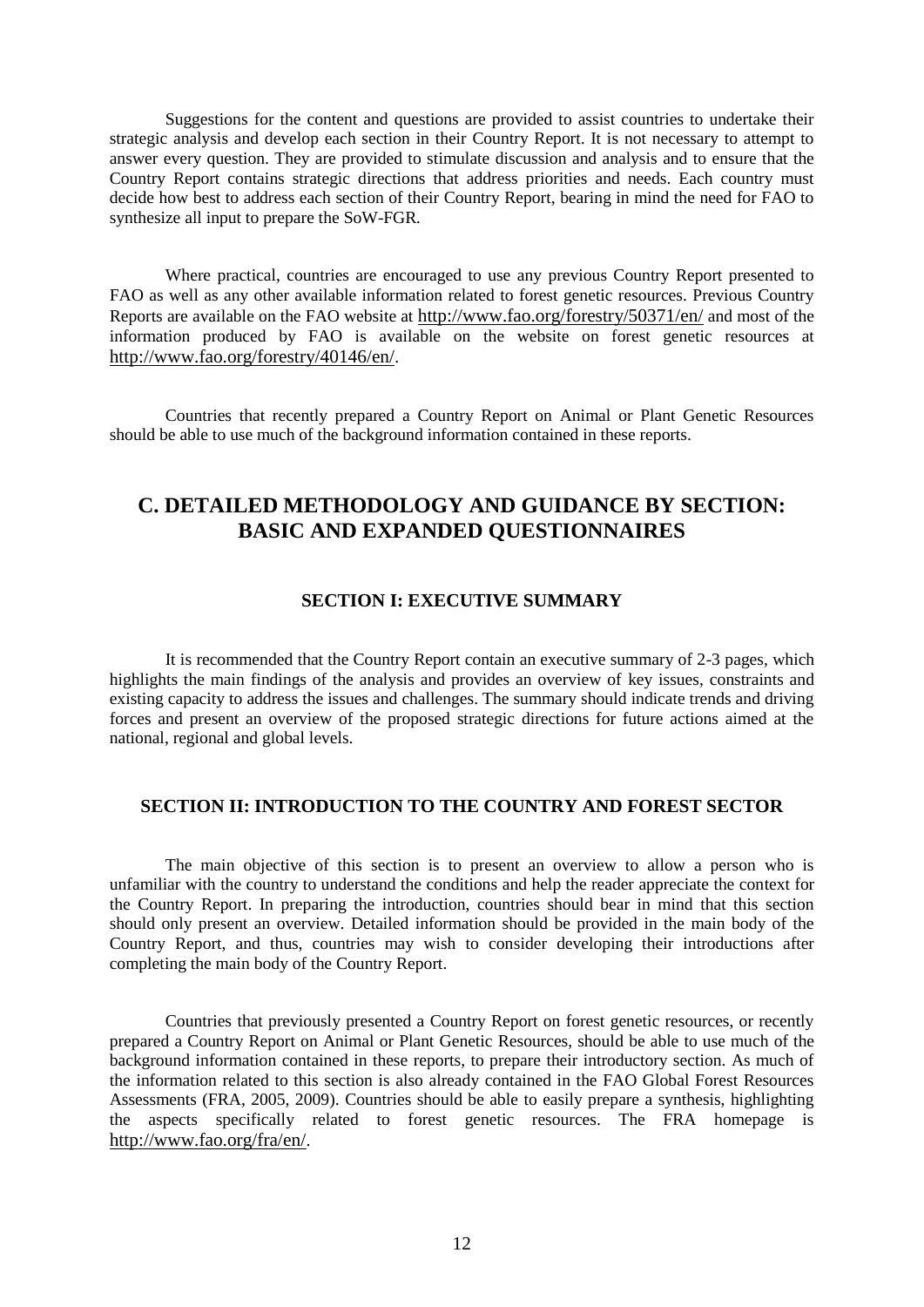Suggestions for the content and questions are provided to assist countries to undertake their strategic analysis and develop each section in their Country Report. It is not necessary to attempt to answer every question. They are provided to stimulate discussion and analysis and to ensure that the Country Report contains strategic directions that address priorities and needs. Each country must decide how best to address each section of their Country Report, bearing in mind the need for FAO to synthesize all input to prepare the SoW-FGR*.*

Where practical, countries are encouraged to use any previous Country Report presented to FAO as well as any other available information related to forest genetic resources. Previous Country Reports are available on the FAO website at <http://www.fao.org/forestry/50371/en/> and most of the information produced by FAO is available on the website on forest genetic resources at <http://www.fao.org/forestry/40146/en/>.

Countries that recently prepared a Country Report on Animal or Plant Genetic Resources should be able to use much of the background information contained in these reports.

# **C. DETAILED METHODOLOGY AND GUIDANCE BY SECTION: BASIC AND EXPANDED QUESTIONNAIRES**

# **SECTION I: EXECUTIVE SUMMARY**

It is recommended that the Country Report contain an executive summary of 2-3 pages, which highlights the main findings of the analysis and provides an overview of key issues, constraints and existing capacity to address the issues and challenges. The summary should indicate trends and driving forces and present an overview of the proposed strategic directions for future actions aimed at the national, regional and global levels.

# **SECTION II: INTRODUCTION TO THE COUNTRY AND FOREST SECTOR**

The main objective of this section is to present an overview to allow a person who is unfamiliar with the country to understand the conditions and help the reader appreciate the context for the Country Report. In preparing the introduction, countries should bear in mind that this section should only present an overview. Detailed information should be provided in the main body of the Country Report, and thus, countries may wish to consider developing their introductions after completing the main body of the Country Report.

Countries that previously presented a Country Report on forest genetic resources, or recently prepared a Country Report on Animal or Plant Genetic Resources, should be able to use much of the background information contained in these reports, to prepare their introductory section. As much of the information related to this section is also already contained in the FAO Global Forest Resources Assessments (FRA, 2005, 2009). Countries should be able to easily prepare a synthesis, highlighting the aspects specifically related to forest genetic resources. The FRA homepage is <http://www.fao.org/fra/en/>.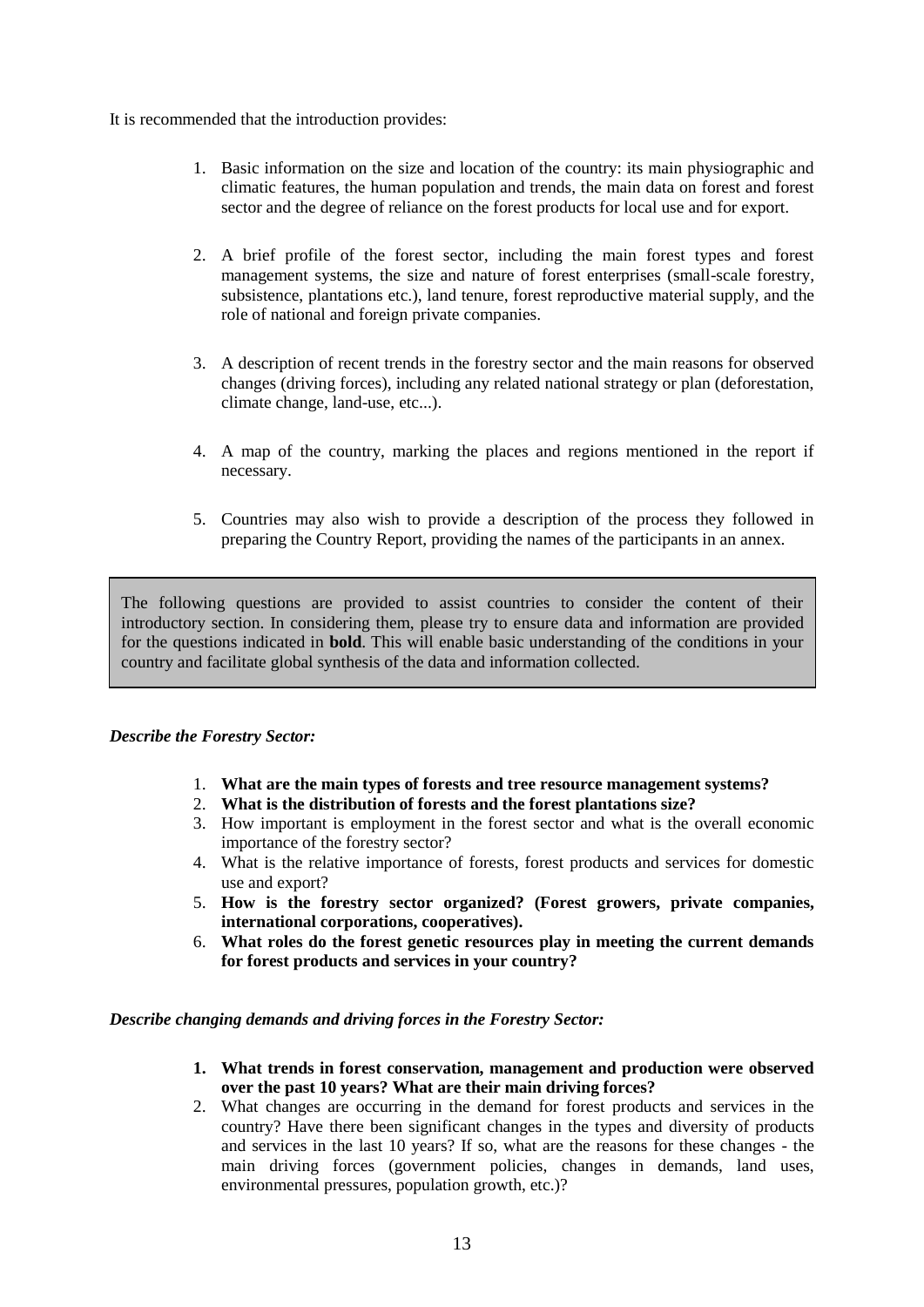It is recommended that the introduction provides:

- 1. Basic information on the size and location of the country: its main physiographic and climatic features, the human population and trends, the main data on forest and forest sector and the degree of reliance on the forest products for local use and for export.
- 2. A brief profile of the forest sector, including the main forest types and forest management systems, the size and nature of forest enterprises (small-scale forestry, subsistence, plantations etc.), land tenure, forest reproductive material supply, and the role of national and foreign private companies.
- 3. A description of recent trends in the forestry sector and the main reasons for observed changes (driving forces), including any related national strategy or plan (deforestation, climate change, land-use, etc...).
- 4. A map of the country, marking the places and regions mentioned in the report if necessary.
- 5. Countries may also wish to provide a description of the process they followed in preparing the Country Report, providing the names of the participants in an annex.

The following questions are provided to assist countries to consider the content of their introductory section. In considering them, please try to ensure data and information are provided for the questions indicated in **bold**. This will enable basic understanding of the conditions in your country and facilitate global synthesis of the data and information collected.

## *Describe the Forestry Sector:*

- 1. **What are the main types of forests and tree resource management systems?**
- 2. **What is the distribution of forests and the forest plantations size?**
- 3. How important is employment in the forest sector and what is the overall economic importance of the forestry sector?
- 4. What is the relative importance of forests, forest products and services for domestic use and export?
- 5. **How is the forestry sector organized? (Forest growers, private companies, international corporations, cooperatives).**
- 6. **What roles do the forest genetic resources play in meeting the current demands for forest products and services in your country?**

*Describe changing demands and driving forces in the Forestry Sector:*

- **1. What trends in forest conservation, management and production were observed over the past 10 years? What are their main driving forces?**
- 2. What changes are occurring in the demand for forest products and services in the country? Have there been significant changes in the types and diversity of products and services in the last 10 years? If so, what are the reasons for these changes - the main driving forces (government policies, changes in demands, land uses, environmental pressures, population growth, etc.)?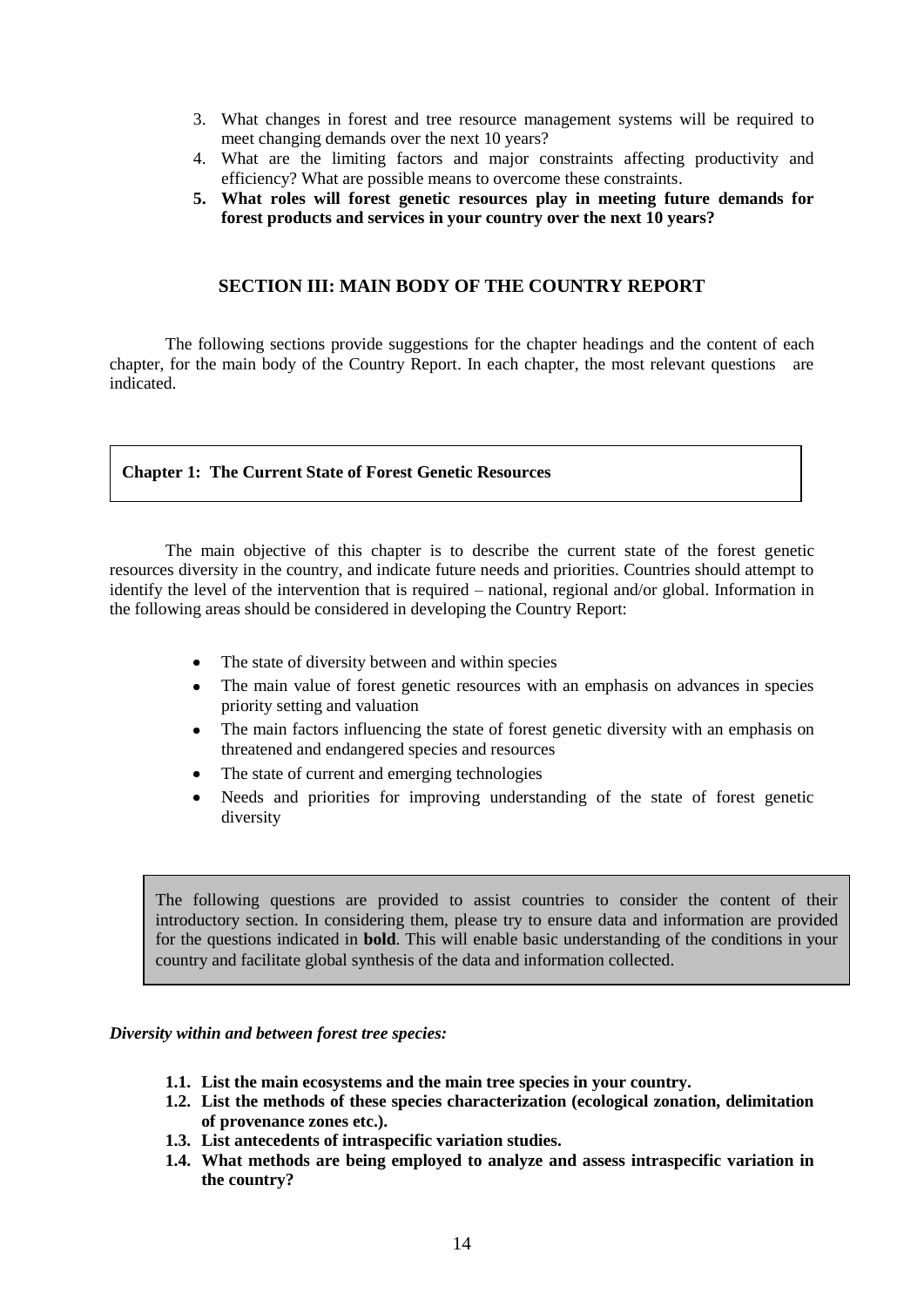- 3. What changes in forest and tree resource management systems will be required to meet changing demands over the next 10 years?
- 4. What are the limiting factors and major constraints affecting productivity and efficiency? What are possible means to overcome these constraints.
- **5. What roles will forest genetic resources play in meeting future demands for forest products and services in your country over the next 10 years?**

# **SECTION III: MAIN BODY OF THE COUNTRY REPORT**

The following sections provide suggestions for the chapter headings and the content of each chapter, for the main body of the Country Report. In each chapter, the most relevant questions are indicated.

# **Chapter 1: The Current State of Forest Genetic Resources**

The main objective of this chapter is to describe the current state of the forest genetic resources diversity in the country, and indicate future needs and priorities. Countries should attempt to identify the level of the intervention that is required – national, regional and/or global. Information in the following areas should be considered in developing the Country Report:

- The state of diversity between and within species
- $\bullet$ The main value of forest genetic resources with an emphasis on advances in species priority setting and valuation
- The main factors influencing the state of forest genetic diversity with an emphasis on  $\bullet$ threatened and endangered species and resources
- The state of current and emerging technologies
- Needs and priorities for improving understanding of the state of forest genetic diversity

The following questions are provided to assist countries to consider the content of their introductory section. In considering them, please try to ensure data and information are provided for the questions indicated in **bold**. This will enable basic understanding of the conditions in your country and facilitate global synthesis of the data and information collected.

# *Diversity within and between forest tree species:*

- **1.1. List the main ecosystems and the main tree species in your country.**
- **1.2. List the methods of these species characterization (ecological zonation, delimitation of provenance zones etc.).**
- **1.3. List antecedents of intraspecific variation studies.**
- **1.4. What methods are being employed to analyze and assess intraspecific variation in the country?**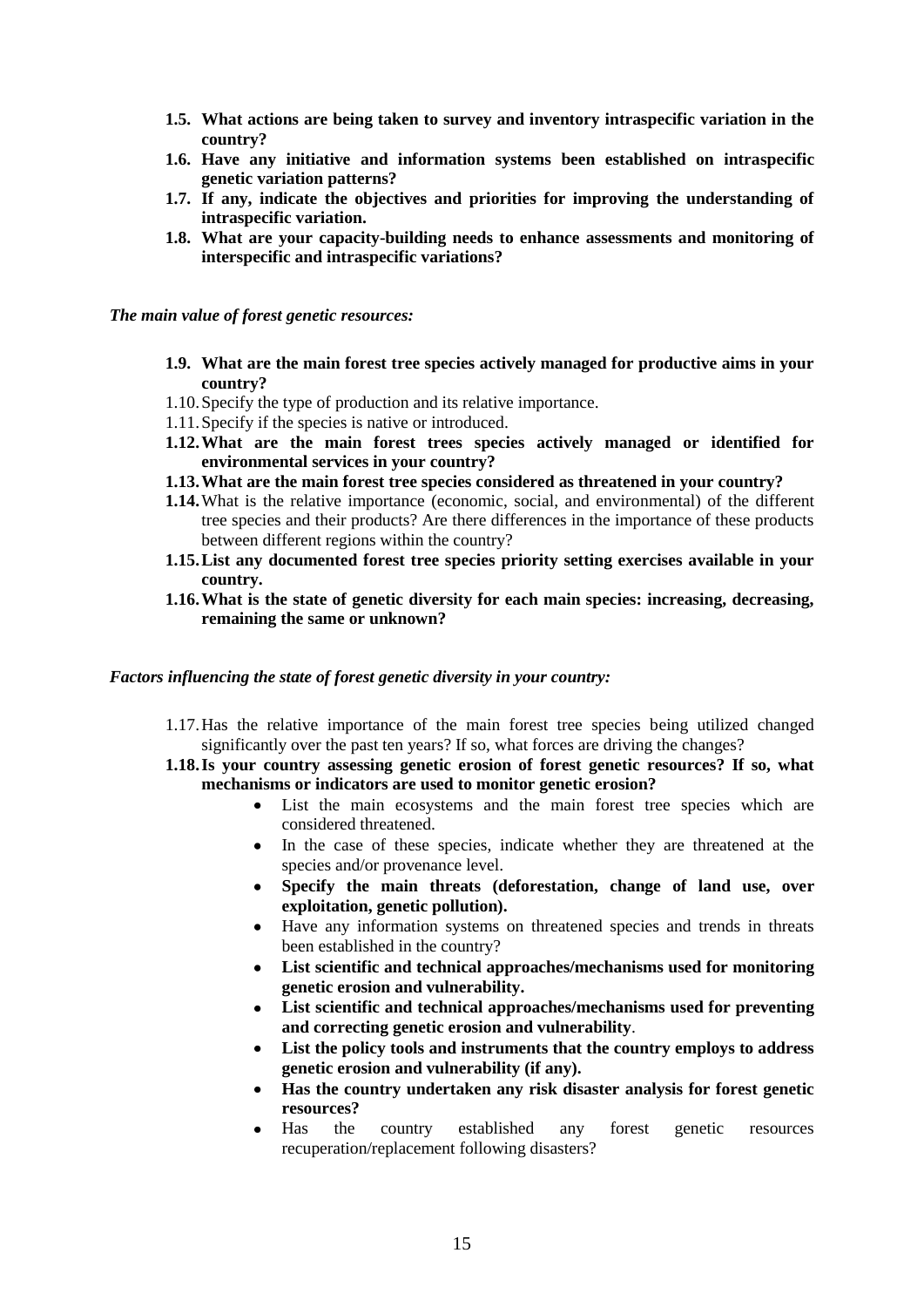- **1.5. What actions are being taken to survey and inventory intraspecific variation in the country?**
- **1.6. Have any initiative and information systems been established on intraspecific genetic variation patterns?**
- **1.7. If any, indicate the objectives and priorities for improving the understanding of intraspecific variation.**
- **1.8. What are your capacity-building needs to enhance assessments and monitoring of interspecific and intraspecific variations?**

*The main value of forest genetic resources:*

- **1.9. What are the main forest tree species actively managed for productive aims in your country?**
- 1.10.Specify the type of production and its relative importance.
- 1.11.Specify if the species is native or introduced.
- **1.12.What are the main forest trees species actively managed or identified for environmental services in your country?**
- **1.13.What are the main forest tree species considered as threatened in your country?**
- **1.14.**What is the relative importance (economic, social, and environmental) of the different tree species and their products? Are there differences in the importance of these products between different regions within the country?
- **1.15.List any documented forest tree species priority setting exercises available in your country.**
- **1.16.What is the state of genetic diversity for each main species: increasing, decreasing, remaining the same or unknown?**

#### *Factors influencing the state of forest genetic diversity in your country:*

- 1.17.Has the relative importance of the main forest tree species being utilized changed significantly over the past ten years? If so, what forces are driving the changes?
- **1.18.Is your country assessing genetic erosion of forest genetic resources? If so, what mechanisms or indicators are used to monitor genetic erosion?**
	- List the main ecosystems and the main forest tree species which are  $\bullet$ considered threatened.
	- In the case of these species, indicate whether they are threatened at the species and/or provenance level.
	- **Specify the main threats (deforestation, change of land use, over exploitation, genetic pollution).**
	- Have any information systems on threatened species and trends in threats been established in the country?
	- **List scientific and technical approaches/mechanisms used for monitoring**   $\bullet$ **genetic erosion and vulnerability.**
	- **List scientific and technical approaches/mechanisms used for preventing and correcting genetic erosion and vulnerability**.
	- **List the policy tools and instruments that the country employs to address**   $\bullet$ **genetic erosion and vulnerability (if any).**
	- **Has the country undertaken any risk disaster analysis for forest genetic resources?**
	- Has the country established any forest genetic resources recuperation/replacement following disasters?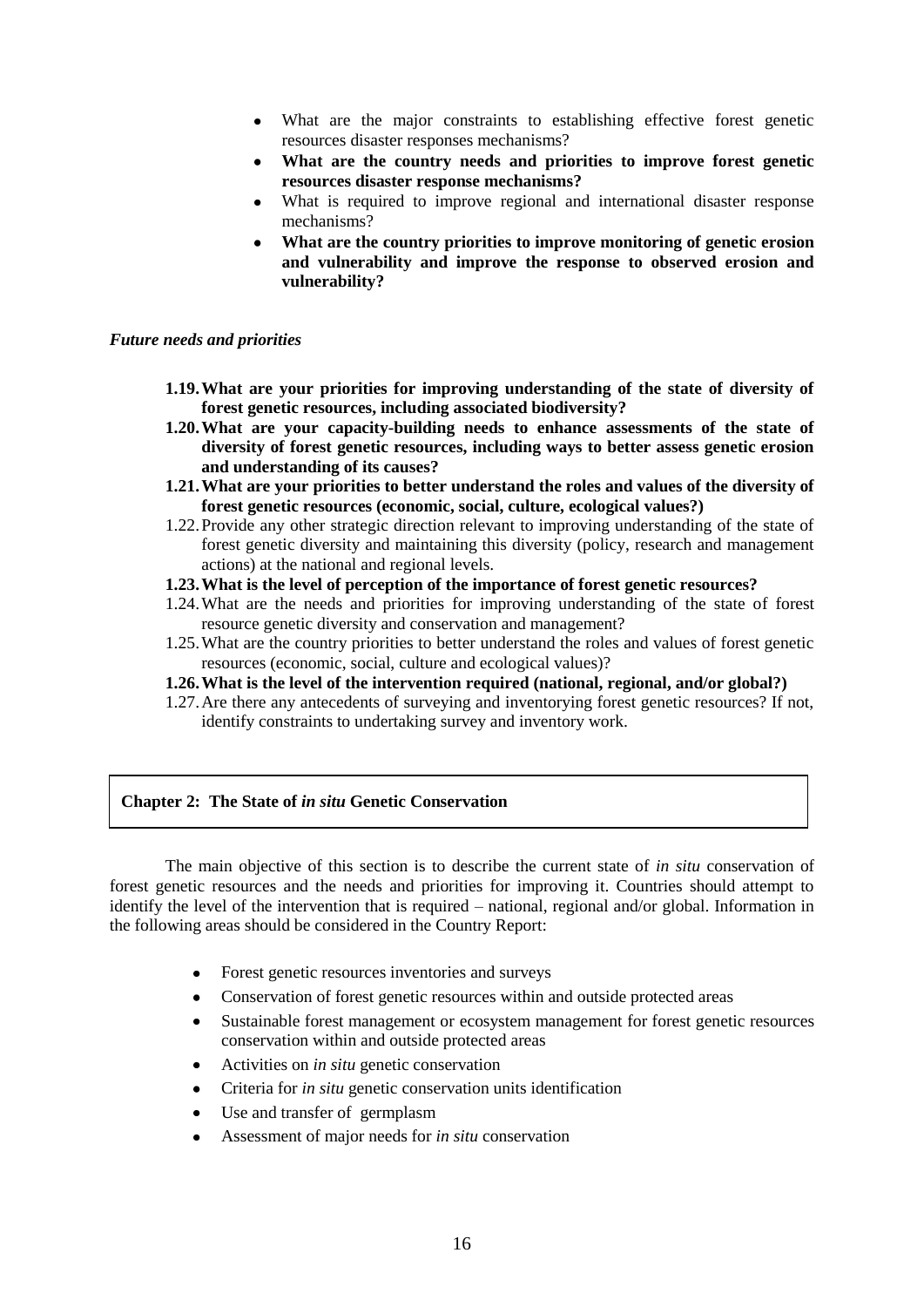- What are the major constraints to establishing effective forest genetic resources disaster responses mechanisms?
- **What are the country needs and priorities to improve forest genetic resources disaster response mechanisms?**
- What is required to improve regional and international disaster response mechanisms?
- **What are the country priorities to improve monitoring of genetic erosion and vulnerability and improve the response to observed erosion and vulnerability?**

#### *Future needs and priorities*

- **1.19.What are your priorities for improving understanding of the state of diversity of forest genetic resources, including associated biodiversity?**
- **1.20.What are your capacity-building needs to enhance assessments of the state of diversity of forest genetic resources, including ways to better assess genetic erosion and understanding of its causes?**
- **1.21.What are your priorities to better understand the roles and values of the diversity of forest genetic resources (economic, social, culture, ecological values?)**
- 1.22.Provide any other strategic direction relevant to improving understanding of the state of forest genetic diversity and maintaining this diversity (policy, research and management actions) at the national and regional levels.
- **1.23.What is the level of perception of the importance of forest genetic resources?**
- 1.24.What are the needs and priorities for improving understanding of the state of forest resource genetic diversity and conservation and management?
- 1.25.What are the country priorities to better understand the roles and values of forest genetic resources (economic, social, culture and ecological values)?
- **1.26.What is the level of the intervention required (national, regional, and/or global?)**
- 1.27.Are there any antecedents of surveying and inventorying forest genetic resources? If not, identify constraints to undertaking survey and inventory work.

## **Chapter 2: The State of** *in situ* **Genetic Conservation**

The main objective of this section is to describe the current state of *in situ* conservation of forest genetic resources and the needs and priorities for improving it. Countries should attempt to identify the level of the intervention that is required – national, regional and/or global. Information in the following areas should be considered in the Country Report:

- Forest genetic resources inventories and surveys
- Conservation of forest genetic resources within and outside protected areas
- Sustainable forest management or ecosystem management for forest genetic resources conservation within and outside protected areas
- Activities on *in situ* genetic conservation
- Criteria for *in situ* genetic conservation units identification
- Use and transfer of germplasm
- Assessment of major needs for *in situ* conservation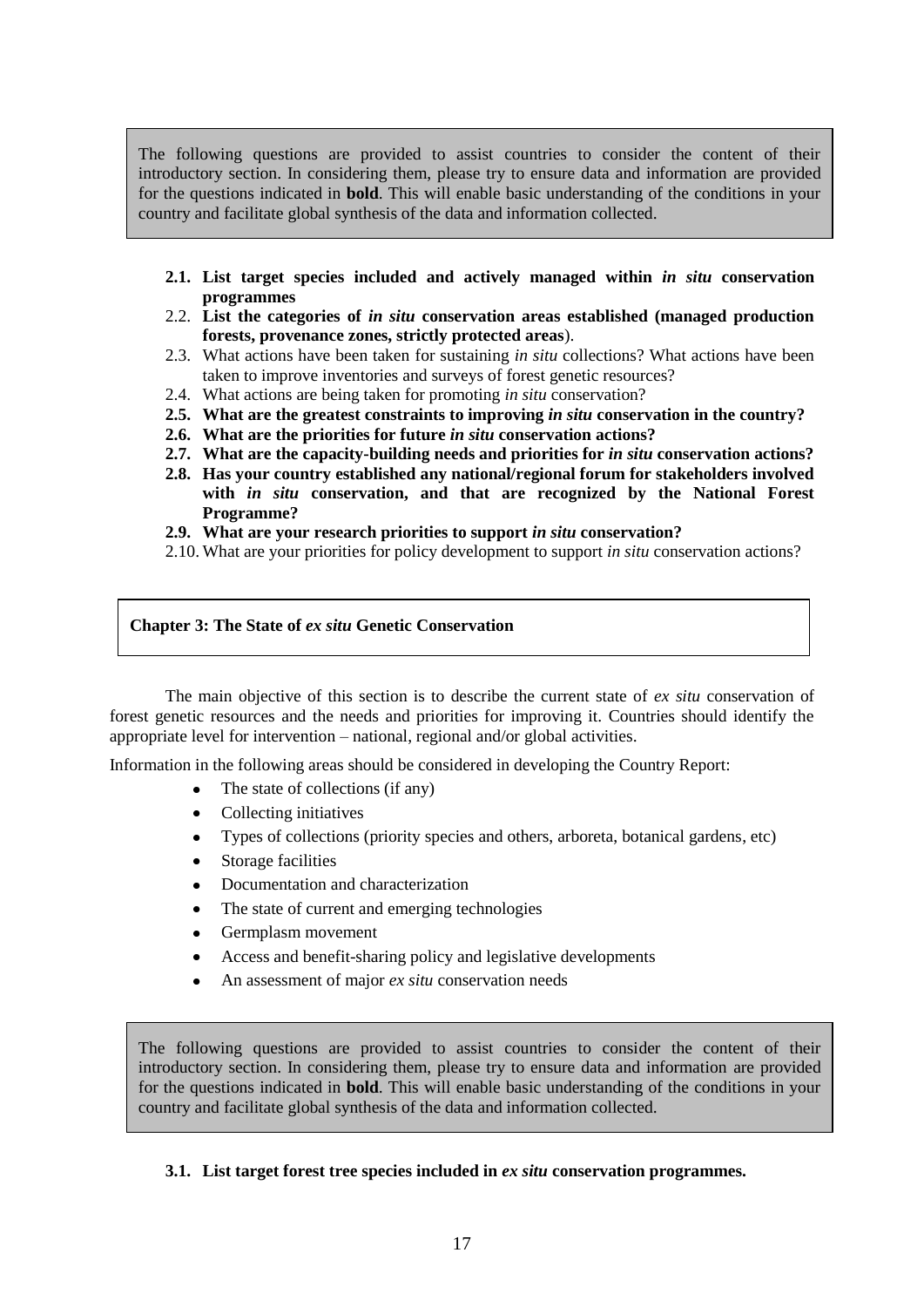The following questions are provided to assist countries to consider the content of their introductory section. In considering them, please try to ensure data and information are provided for the questions indicated in **bold**. This will enable basic understanding of the conditions in your country and facilitate global synthesis of the data and information collected.

- **2.1. List target species included and actively managed within** *in situ* **conservation programmes**
- 2.2. **List the categories of** *in situ* **conservation areas established (managed production forests, provenance zones, strictly protected areas**).
- 2.3. What actions have been taken for sustaining *in situ* collections? What actions have been taken to improve inventories and surveys of forest genetic resources?
- 2.4. What actions are being taken for promoting *in situ* conservation?
- **2.5. What are the greatest constraints to improving** *in situ* **conservation in the country?**
- **2.6. What are the priorities for future** *in situ* **conservation actions?**
- **2.7. What are the capacity-building needs and priorities for** *in situ* **conservation actions?**
- **2.8. Has your country established any national/regional forum for stakeholders involved with** *in situ* **conservation, and that are recognized by the National Forest Programme?**
- **2.9. What are your research priorities to support** *in situ* **conservation?**
- 2.10. What are your priorities for policy development to support *in situ* conservation actions?

#### **Chapter 3: The State of** *ex situ* **Genetic Conservation**

The main objective of this section is to describe the current state of *ex situ* conservation of forest genetic resources and the needs and priorities for improving it. Countries should identify the appropriate level for intervention – national, regional and/or global activities.

Information in the following areas should be considered in developing the Country Report:

- The state of collections (if any)
- Collecting initiatives  $\bullet$
- Types of collections (priority species and others, arboreta, botanical gardens, etc)
- Storage facilities  $\bullet$
- Documentation and characterization
- $\bullet$ The state of current and emerging technologies
- Germplasm movement  $\bullet$
- Access and benefit-sharing policy and legislative developments
- An assessment of major *ex situ* conservation needs

The following questions are provided to assist countries to consider the content of their introductory section. In considering them, please try to ensure data and information are provided for the questions indicated in **bold**. This will enable basic understanding of the conditions in your country and facilitate global synthesis of the data and information collected.

## **3.1. List target forest tree species included in** *ex situ* **conservation programmes.**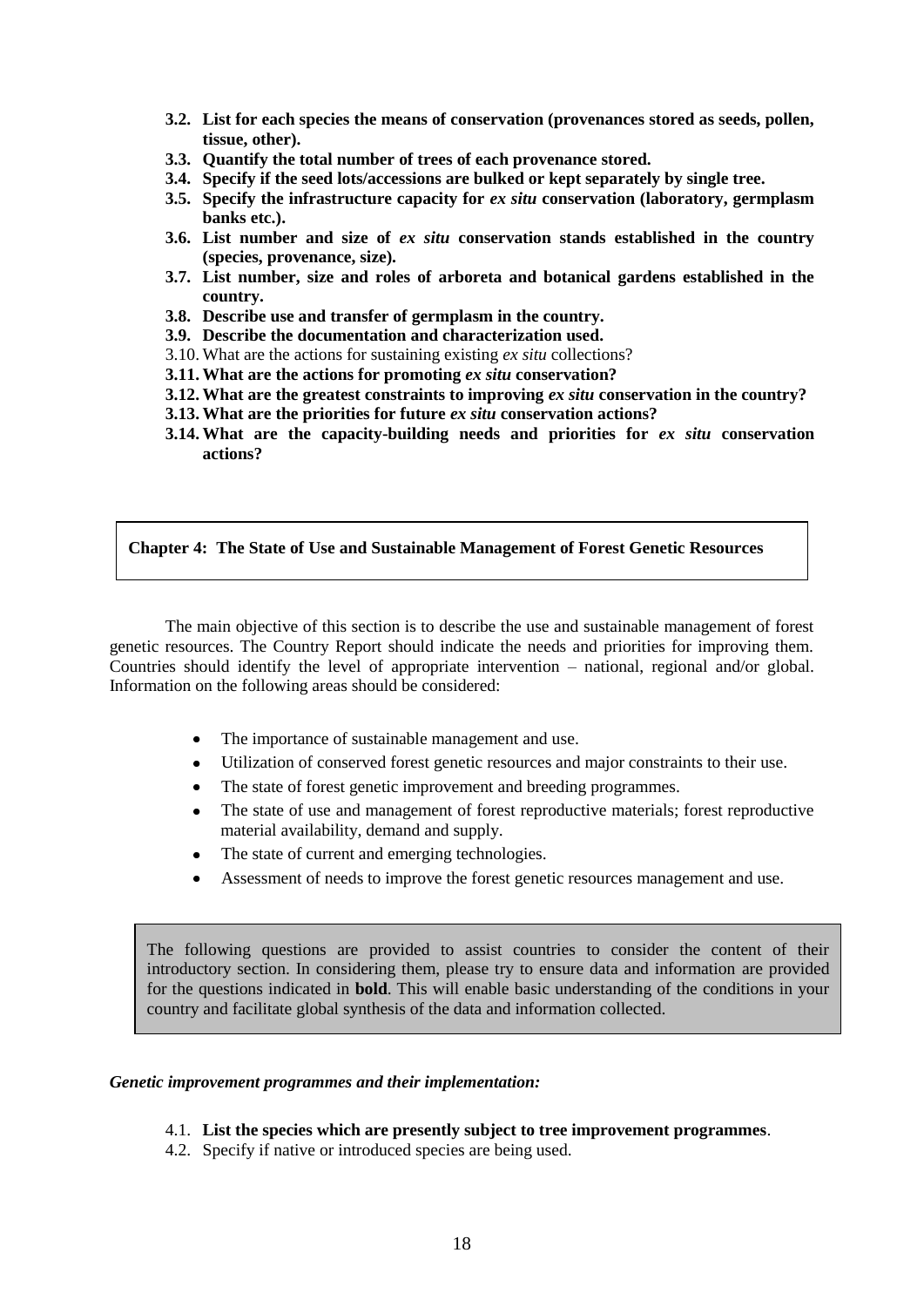- **3.2. List for each species the means of conservation (provenances stored as seeds, pollen, tissue, other).**
- **3.3. Quantify the total number of trees of each provenance stored.**
- **3.4. Specify if the seed lots/accessions are bulked or kept separately by single tree.**
- **3.5. Specify the infrastructure capacity for** *ex situ* **conservation (laboratory, germplasm banks etc.).**
- **3.6. List number and size of** *ex situ* **conservation stands established in the country (species, provenance, size).**
- **3.7. List number, size and roles of arboreta and botanical gardens established in the country.**
- **3.8. Describe use and transfer of germplasm in the country.**
- **3.9. Describe the documentation and characterization used.**
- 3.10. What are the actions for sustaining existing *ex situ* collections?
- **3.11. What are the actions for promoting** *ex situ* **conservation?**
- **3.12. What are the greatest constraints to improving** *ex situ* **conservation in the country?**
- **3.13. What are the priorities for future** *ex situ* **conservation actions?**
- **3.14. What are the capacity-building needs and priorities for** *ex situ* **conservation actions?**

#### **Chapter 4: The State of Use and Sustainable Management of Forest Genetic Resources**

The main objective of this section is to describe the use and sustainable management of forest genetic resources. The Country Report should indicate the needs and priorities for improving them. Countries should identify the level of appropriate intervention – national, regional and/or global. Information on the following areas should be considered:

- $\bullet$ The importance of sustainable management and use.
- Utilization of conserved forest genetic resources and major constraints to their use.
- The state of forest genetic improvement and breeding programmes.  $\bullet$
- The state of use and management of forest reproductive materials; forest reproductive material availability, demand and supply.
- The state of current and emerging technologies.
- Assessment of needs to improve the forest genetic resources management and use.

The following questions are provided to assist countries to consider the content of their introductory section. In considering them, please try to ensure data and information are provided for the questions indicated in **bold**. This will enable basic understanding of the conditions in your country and facilitate global synthesis of the data and information collected.

#### *Genetic improvement programmes and their implementation:*

# 4.1. **List the species which are presently subject to tree improvement programmes**.

4.2. Specify if native or introduced species are being used.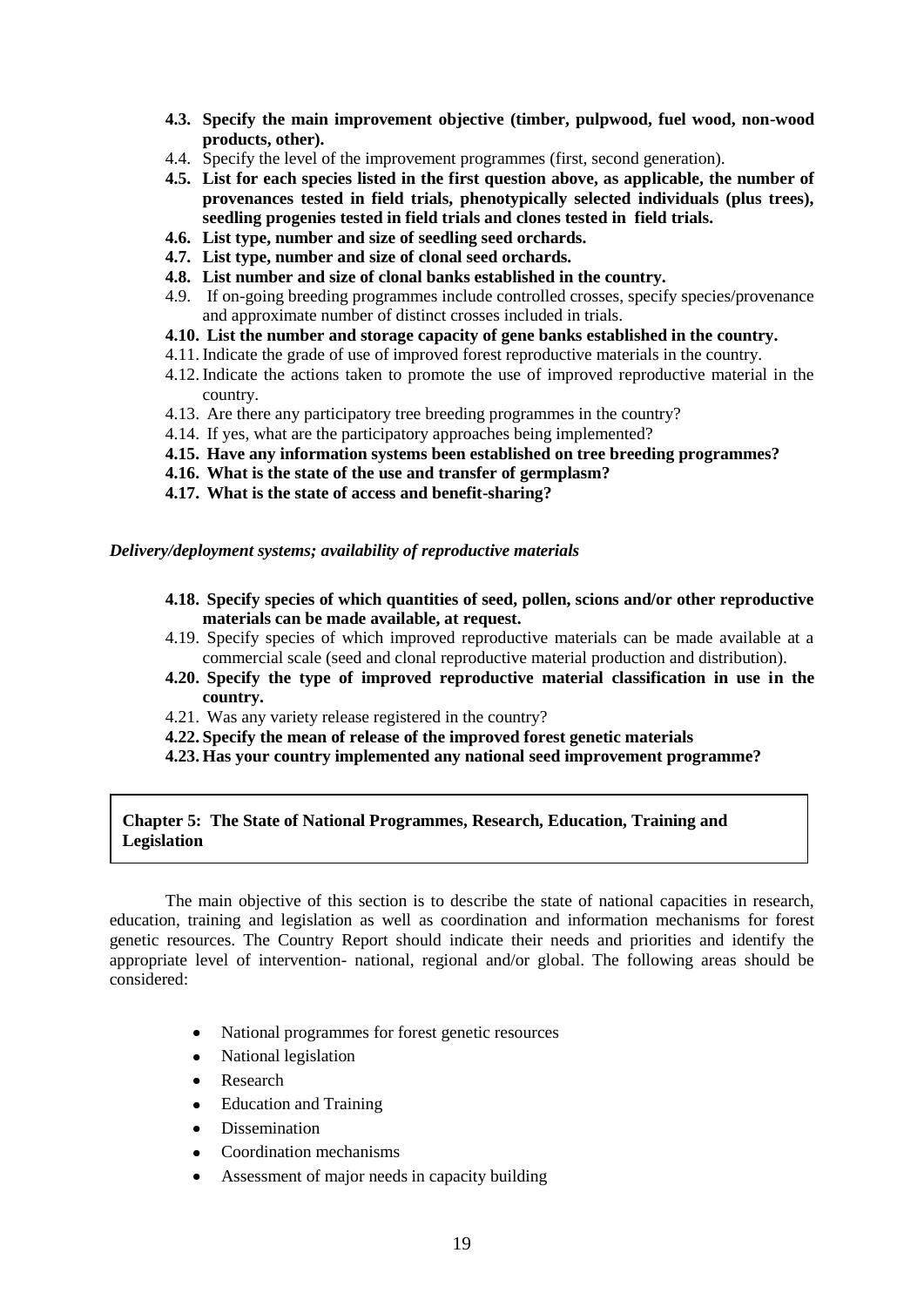- **4.3. Specify the main improvement objective (timber, pulpwood, fuel wood, non-wood products, other).**
- 4.4. Specify the level of the improvement programmes (first, second generation).
- **4.5. List for each species listed in the first question above, as applicable, the number of provenances tested in field trials, phenotypically selected individuals (plus trees), seedling progenies tested in field trials and clones tested in field trials.**
- **4.6. List type, number and size of seedling seed orchards.**
- **4.7. List type, number and size of clonal seed orchards.**
- **4.8. List number and size of clonal banks established in the country.**
- 4.9. If on-going breeding programmes include controlled crosses, specify species/provenance and approximate number of distinct crosses included in trials.
- **4.10. List the number and storage capacity of gene banks established in the country.**
- 4.11. Indicate the grade of use of improved forest reproductive materials in the country.
- 4.12. Indicate the actions taken to promote the use of improved reproductive material in the country.
- 4.13. Are there any participatory tree breeding programmes in the country?
- 4.14. If yes, what are the participatory approaches being implemented?
- **4.15. Have any information systems been established on tree breeding programmes?**
- **4.16. What is the state of the use and transfer of germplasm?**
- **4.17. What is the state of access and benefit-sharing?**

#### *Delivery/deployment systems; availability of reproductive materials*

- **4.18. Specify species of which quantities of seed, pollen, scions and/or other reproductive materials can be made available, at request.**
- 4.19. Specify species of which improved reproductive materials can be made available at a commercial scale (seed and clonal reproductive material production and distribution).
- **4.20. Specify the type of improved reproductive material classification in use in the country.**
- 4.21. Was any variety release registered in the country?
- **4.22. Specify the mean of release of the improved forest genetic materials**
- **4.23. Has your country implemented any national seed improvement programme?**

#### **Chapter 5: The State of National Programmes, Research, Education, Training and Legislation**

The main objective of this section is to describe the state of national capacities in research, education, training and legislation as well as coordination and information mechanisms for forest genetic resources. The Country Report should indicate their needs and priorities and identify the appropriate level of intervention- national, regional and/or global. The following areas should be considered:

- National programmes for forest genetic resources
- National legislation
- Research
- Education and Training
- Dissemination
- Coordination mechanisms
- Assessment of major needs in capacity building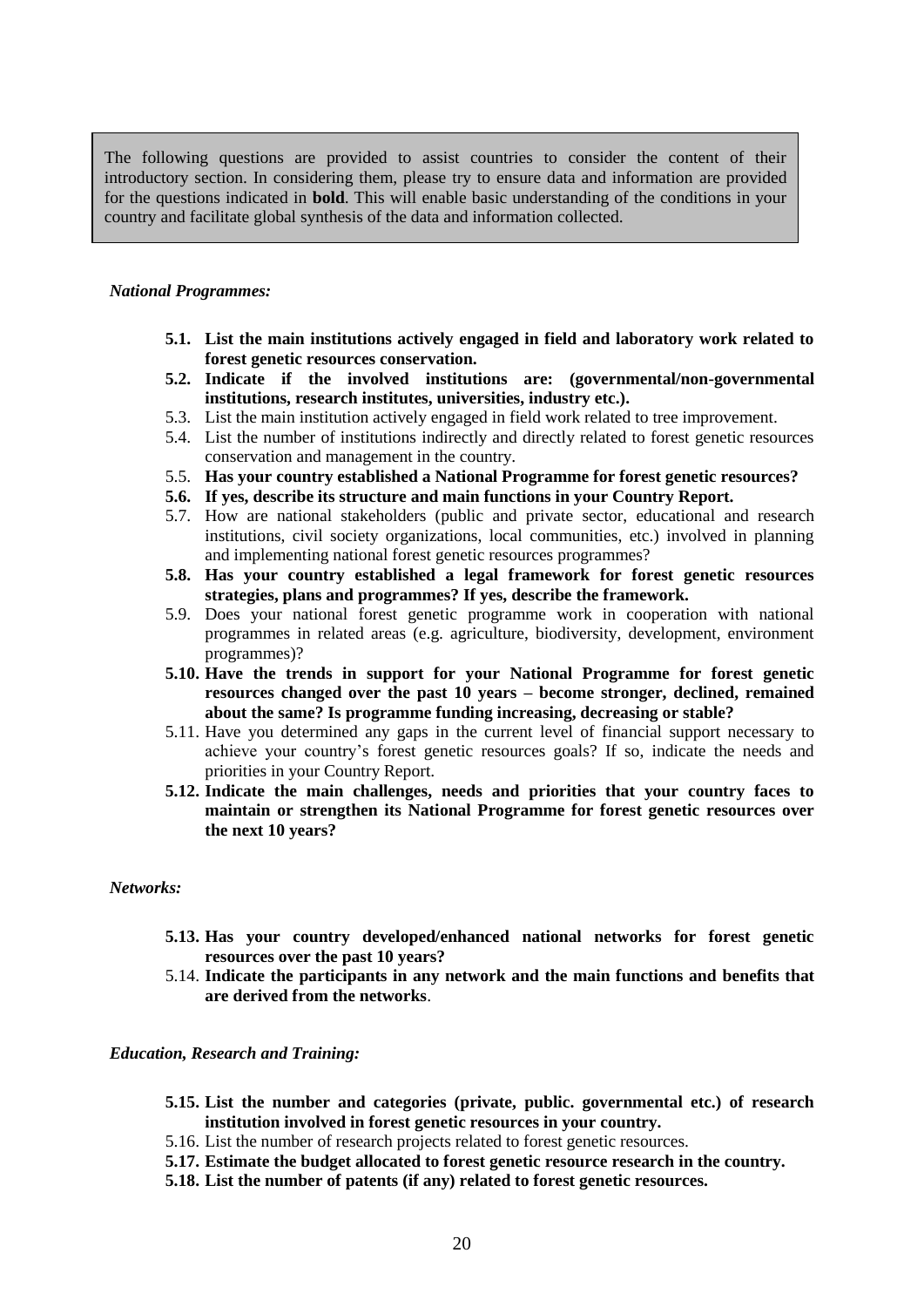The following questions are provided to assist countries to consider the content of their introductory section. In considering them, please try to ensure data and information are provided for the questions indicated in **bold**. This will enable basic understanding of the conditions in your country and facilitate global synthesis of the data and information collected.

#### *National Programmes:*

- **5.1. List the main institutions actively engaged in field and laboratory work related to forest genetic resources conservation.**
- **5.2. Indicate if the involved institutions are: (governmental/non-governmental institutions, research institutes, universities, industry etc.).**
- 5.3. List the main institution actively engaged in field work related to tree improvement.
- 5.4. List the number of institutions indirectly and directly related to forest genetic resources conservation and management in the country.
- 5.5. **Has your country established a National Programme for forest genetic resources?**
- **5.6. If yes, describe its structure and main functions in your Country Report.**
- 5.7. How are national stakeholders (public and private sector, educational and research institutions, civil society organizations, local communities, etc.) involved in planning and implementing national forest genetic resources programmes?
- **5.8. Has your country established a legal framework for forest genetic resources strategies, plans and programmes? If yes, describe the framework.**
- 5.9. Does your national forest genetic programme work in cooperation with national programmes in related areas (e.g. agriculture, biodiversity, development, environment programmes)?
- **5.10. Have the trends in support for your National Programme for forest genetic resources changed over the past 10 years – become stronger, declined, remained about the same? Is programme funding increasing, decreasing or stable?**
- 5.11. Have you determined any gaps in the current level of financial support necessary to achieve your country's forest genetic resources goals? If so, indicate the needs and priorities in your Country Report.
- **5.12. Indicate the main challenges, needs and priorities that your country faces to maintain or strengthen its National Programme for forest genetic resources over the next 10 years?**

#### *Networks:*

- **5.13. Has your country developed/enhanced national networks for forest genetic resources over the past 10 years?**
- 5.14. **Indicate the participants in any network and the main functions and benefits that are derived from the networks**.

## *Education, Research and Training:*

- **5.15. List the number and categories (private, public. governmental etc.) of research institution involved in forest genetic resources in your country.**
- 5.16. List the number of research projects related to forest genetic resources.
- **5.17. Estimate the budget allocated to forest genetic resource research in the country.**
- **5.18. List the number of patents (if any) related to forest genetic resources.**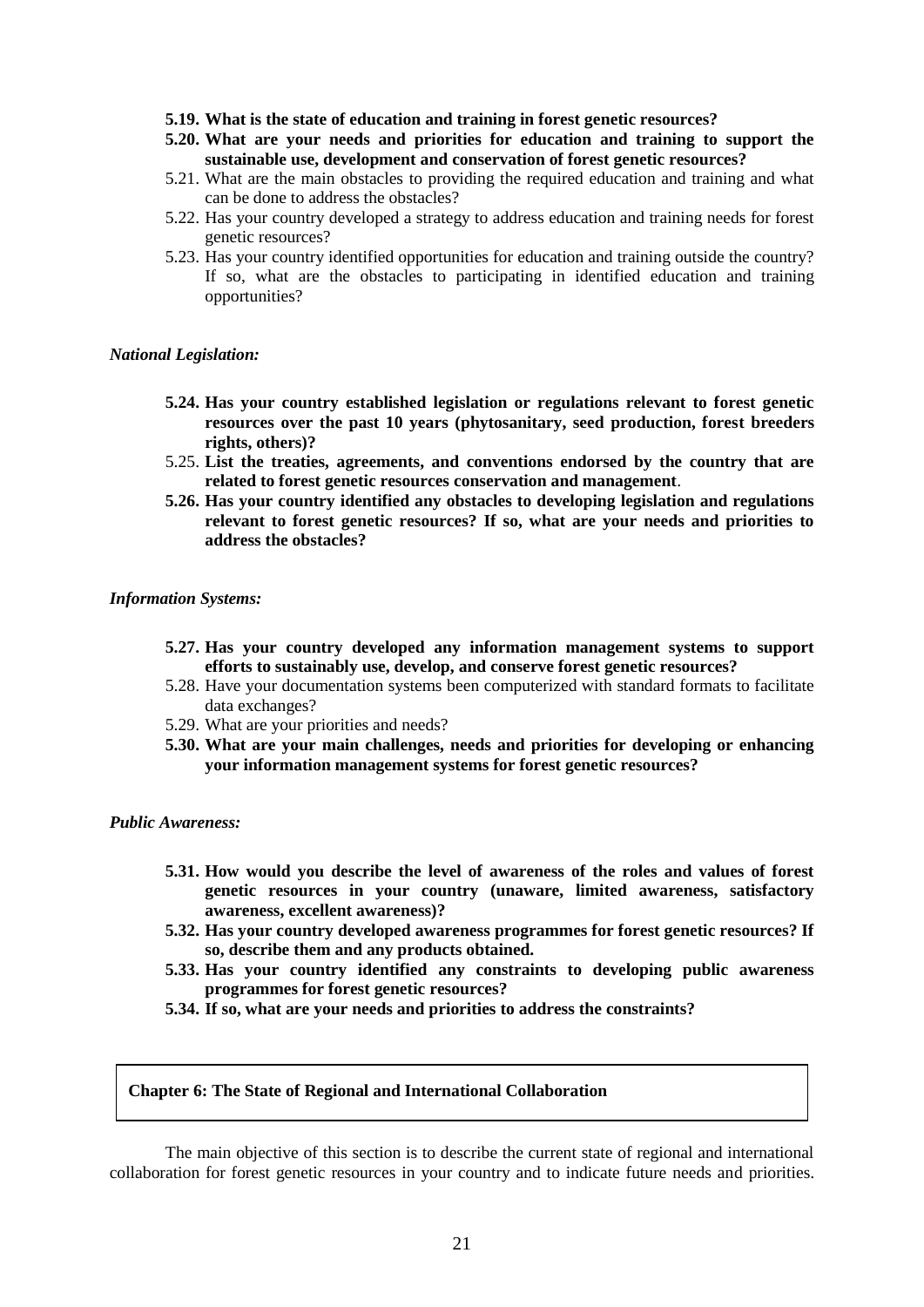- **5.19. What is the state of education and training in forest genetic resources?**
- **5.20. What are your needs and priorities for education and training to support the sustainable use, development and conservation of forest genetic resources?**
- 5.21. What are the main obstacles to providing the required education and training and what can be done to address the obstacles?
- 5.22. Has your country developed a strategy to address education and training needs for forest genetic resources?
- 5.23. Has your country identified opportunities for education and training outside the country? If so, what are the obstacles to participating in identified education and training opportunities?

#### *National Legislation:*

- **5.24. Has your country established legislation or regulations relevant to forest genetic resources over the past 10 years (phytosanitary, seed production, forest breeders rights, others)?**
- 5.25. **List the treaties, agreements, and conventions endorsed by the country that are related to forest genetic resources conservation and management**.
- **5.26. Has your country identified any obstacles to developing legislation and regulations relevant to forest genetic resources? If so, what are your needs and priorities to address the obstacles?**

#### *Information Systems:*

- **5.27. Has your country developed any information management systems to support efforts to sustainably use, develop, and conserve forest genetic resources?**
- 5.28. Have your documentation systems been computerized with standard formats to facilitate data exchanges?
- 5.29. What are your priorities and needs?
- **5.30. What are your main challenges, needs and priorities for developing or enhancing your information management systems for forest genetic resources?**

#### *Public Awareness:*

- **5.31. How would you describe the level of awareness of the roles and values of forest genetic resources in your country (unaware, limited awareness, satisfactory awareness, excellent awareness)?**
- **5.32. Has your country developed awareness programmes for forest genetic resources? If so, describe them and any products obtained.**
- **5.33. Has your country identified any constraints to developing public awareness programmes for forest genetic resources?**
- **5.34. If so, what are your needs and priorities to address the constraints?**

#### **Chapter 6: The State of Regional and International Collaboration**

The main objective of this section is to describe the current state of regional and international collaboration for forest genetic resources in your country and to indicate future needs and priorities.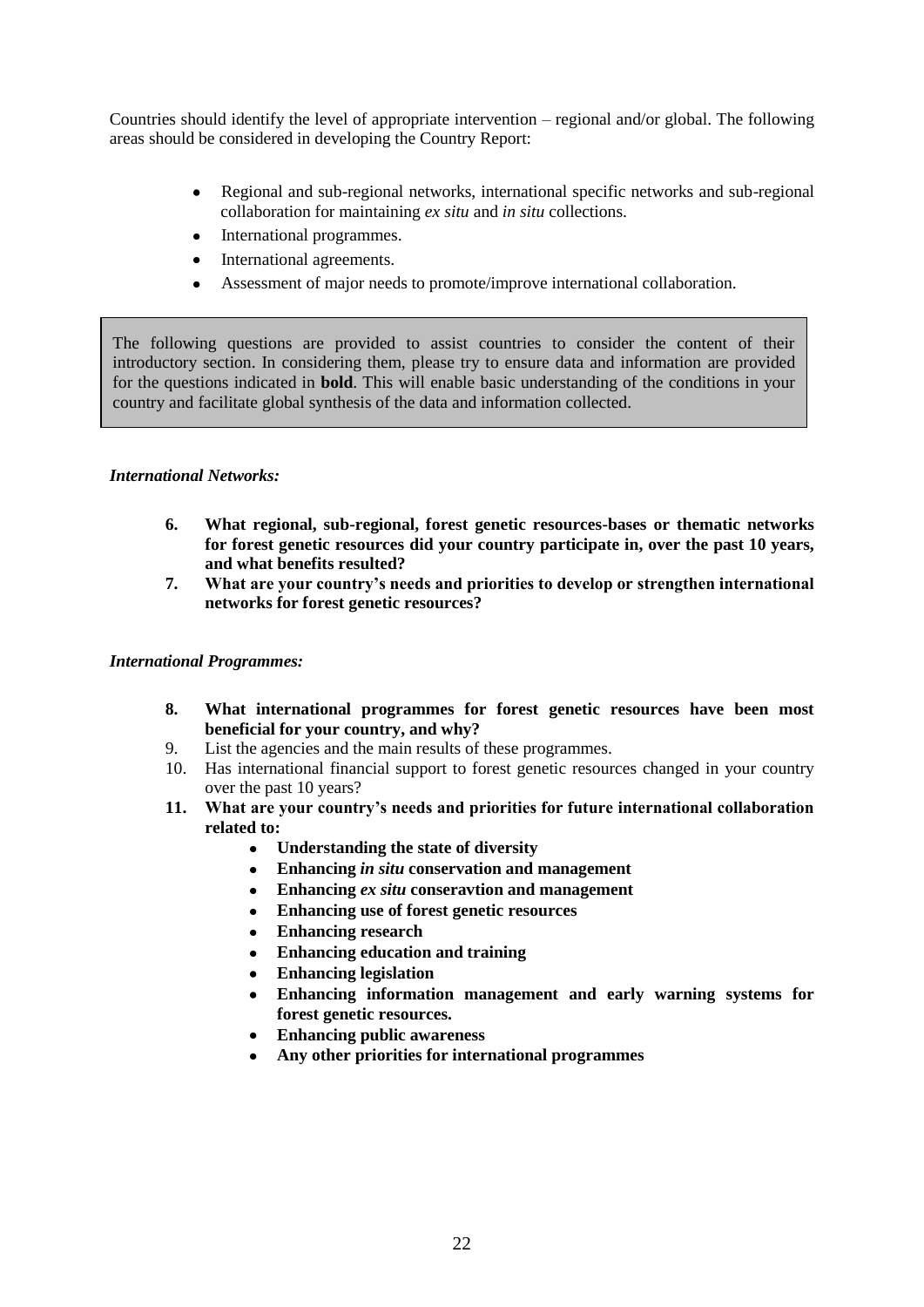Countries should identify the level of appropriate intervention – regional and/or global. The following areas should be considered in developing the Country Report:

- $\bullet$ Regional and sub-regional networks, international specific networks and sub-regional collaboration for maintaining *ex situ* and *in situ* collections.
- International programmes.  $\bullet$
- International agreements.
- Assessment of major needs to promote/improve international collaboration.

The following questions are provided to assist countries to consider the content of their introductory section. In considering them, please try to ensure data and information are provided for the questions indicated in **bold**. This will enable basic understanding of the conditions in your country and facilitate global synthesis of the data and information collected.

# *International Networks:*

- **6. What regional, sub-regional, forest genetic resources-bases or thematic networks for forest genetic resources did your country participate in, over the past 10 years, and what benefits resulted?**
- **7. What are your country's needs and priorities to develop or strengthen international networks for forest genetic resources?**

# *International Programmes:*

- **8. What international programmes for forest genetic resources have been most beneficial for your country, and why?**
- 9. List the agencies and the main results of these programmes.
- 10. Has international financial support to forest genetic resources changed in your country over the past 10 years?
- **11. What are your country's needs and priorities for future international collaboration related to:**
	- **Understanding the state of diversity**  $\bullet$
	- **Enhancing** *in situ* **conservation and management**
	- **Enhancing** *ex situ* **conseravtion and management**
	- **Enhancing use of forest genetic resources**
	- **Enhancing research**
	- **Enhancing education and training**  $\bullet$
	- **Enhancing legislation**
	- **Enhancing information management and early warning systems for forest genetic resources.**
	- **Enhancing public awareness**
	- **Any other priorities for international programmes**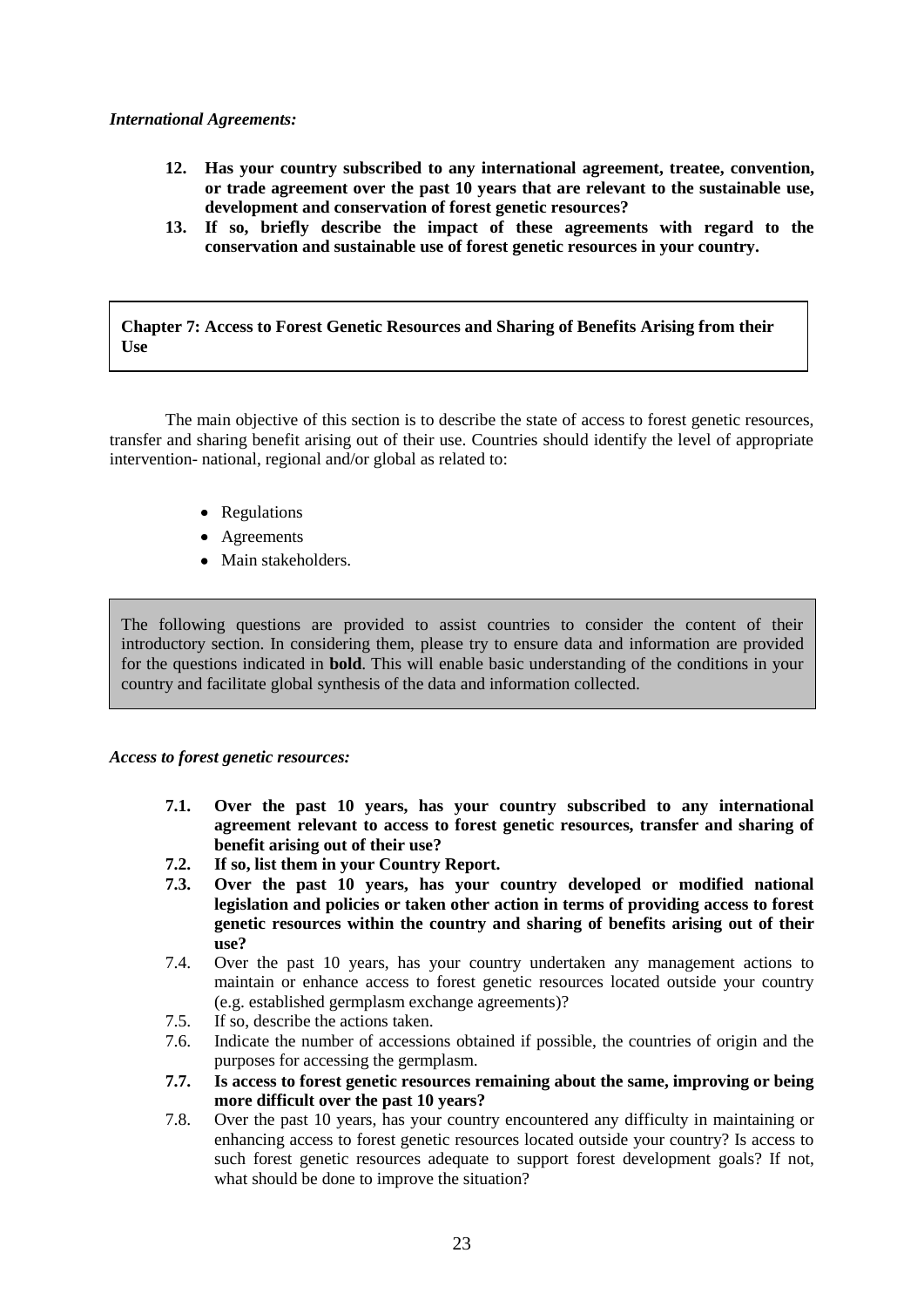# *International Agreements:*

- **12. Has your country subscribed to any international agreement, treatee, convention, or trade agreement over the past 10 years that are relevant to the sustainable use, development and conservation of forest genetic resources?**
- **13. If so, briefly describe the impact of these agreements with regard to the conservation and sustainable use of forest genetic resources in your country.**

**Chapter 7: Access to Forest Genetic Resources and Sharing of Benefits Arising from their Use**

The main objective of this section is to describe the state of access to forest genetic resources, transfer and sharing benefit arising out of their use. Countries should identify the level of appropriate intervention- national, regional and/or global as related to:

- Regulations
- Agreements
- Main stakeholders.

The following questions are provided to assist countries to consider the content of their introductory section. In considering them, please try to ensure data and information are provided for the questions indicated in **bold**. This will enable basic understanding of the conditions in your country and facilitate global synthesis of the data and information collected.

*Access to forest genetic resources:*

- **7.1. Over the past 10 years, has your country subscribed to any international agreement relevant to access to forest genetic resources, transfer and sharing of benefit arising out of their use?**
- **7.2. If so, list them in your Country Report.**
- **7.3. Over the past 10 years, has your country developed or modified national legislation and policies or taken other action in terms of providing access to forest genetic resources within the country and sharing of benefits arising out of their use?**
- 7.4. Over the past 10 years, has your country undertaken any management actions to maintain or enhance access to forest genetic resources located outside your country (e.g. established germplasm exchange agreements)?
- 7.5. If so, describe the actions taken.
- 7.6. Indicate the number of accessions obtained if possible, the countries of origin and the purposes for accessing the germplasm.
- **7.7. Is access to forest genetic resources remaining about the same, improving or being more difficult over the past 10 years?**
- 7.8. Over the past 10 years, has your country encountered any difficulty in maintaining or enhancing access to forest genetic resources located outside your country? Is access to such forest genetic resources adequate to support forest development goals? If not, what should be done to improve the situation?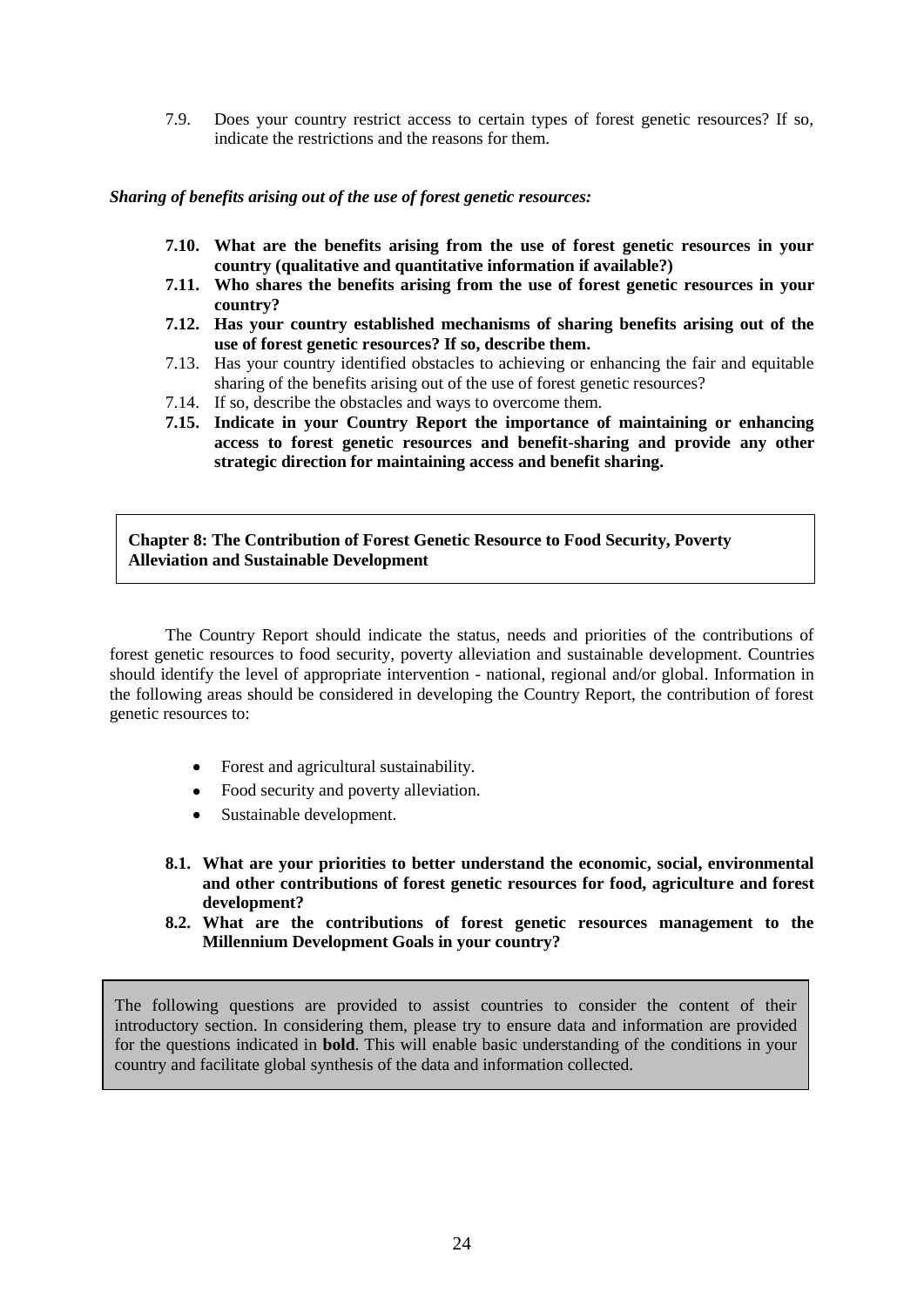7.9. Does your country restrict access to certain types of forest genetic resources? If so, indicate the restrictions and the reasons for them.

## *Sharing of benefits arising out of the use of forest genetic resources:*

- **7.10. What are the benefits arising from the use of forest genetic resources in your country (qualitative and quantitative information if available?)**
- **7.11. Who shares the benefits arising from the use of forest genetic resources in your country?**
- **7.12. Has your country established mechanisms of sharing benefits arising out of the use of forest genetic resources? If so, describe them.**
- 7.13. Has your country identified obstacles to achieving or enhancing the fair and equitable sharing of the benefits arising out of the use of forest genetic resources?
- 7.14. If so, describe the obstacles and ways to overcome them.
- **7.15. Indicate in your Country Report the importance of maintaining or enhancing access to forest genetic resources and benefit-sharing and provide any other strategic direction for maintaining access and benefit sharing.**

**Chapter 8: The Contribution of Forest Genetic Resource to Food Security, Poverty Sustainable Development Alleviation and Sustainable Development**

The Country Report should indicate the status, needs and priorities of the contributions of forest genetic resources to food security, poverty alleviation and sustainable development. Countries should identify the level of appropriate intervention - national, regional and/or global. Information in the following areas should be considered in developing the Country Report, the contribution of forest genetic resources to:

- Forest and agricultural sustainability.
- Food security and poverty alleviation.
- Sustainable development.
- **8.1. What are your priorities to better understand the economic, social, environmental and other contributions of forest genetic resources for food, agriculture and forest development?**
- **8.2. What are the contributions of forest genetic resources management to the Millennium Development Goals in your country?**

The following questions are provided to assist countries to consider the content of their introductory section. In considering them, please try to ensure data and information are provided for the questions indicated in **bold**. This will enable basic understanding of the conditions in your country and facilitate global synthesis of the data and information collected.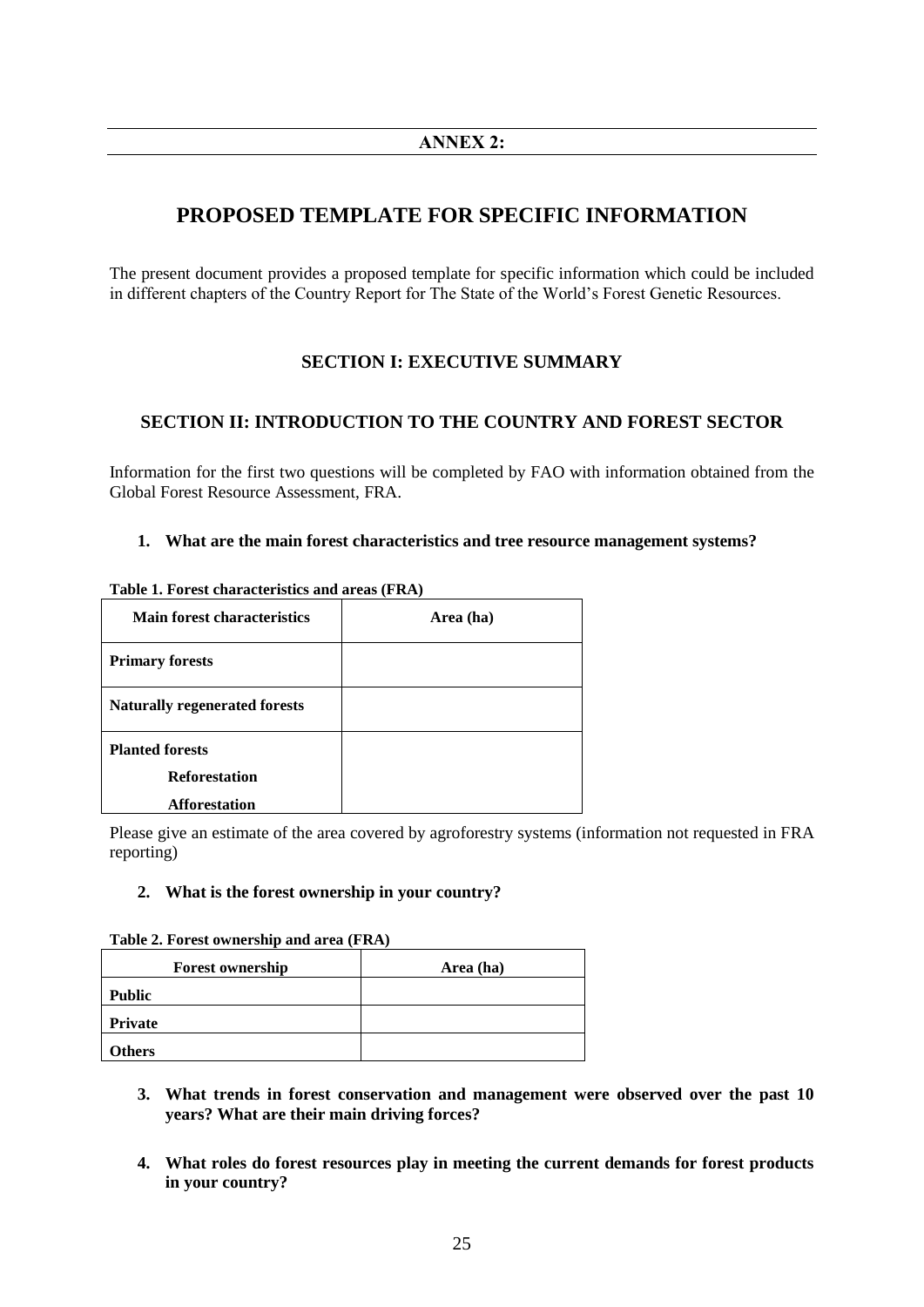# **PROPOSED TEMPLATE FOR SPECIFIC INFORMATION**

The present document provides a proposed template for specific information which could be included in different chapters of the Country Report for The State of the World's Forest Genetic Resources.

# **SECTION I: EXECUTIVE SUMMARY**

# **SECTION II: INTRODUCTION TO THE COUNTRY AND FOREST SECTOR**

Information for the first two questions will be completed by FAO with information obtained from the Global Forest Resource Assessment, FRA.

## **1. What are the main forest characteristics and tree resource management systems?**

| <b>Main forest characteristics</b>                                     | Area (ha) |
|------------------------------------------------------------------------|-----------|
| <b>Primary forests</b>                                                 |           |
| <b>Naturally regenerated forests</b>                                   |           |
| <b>Planted forests</b><br><b>Reforestation</b><br><b>Afforestation</b> |           |

**Table 1. Forest characteristics and areas (FRA)**

Please give an estimate of the area covered by agroforestry systems (information not requested in FRA reporting)

## **2. What is the forest ownership in your country?**

| <b>Forest ownership</b> | Area (ha) |
|-------------------------|-----------|
| <b>Public</b>           |           |
| <b>Private</b>          |           |
| <b>Others</b>           |           |

**Table 2. Forest ownership and area (FRA)**

- **3. What trends in forest conservation and management were observed over the past 10 years? What are their main driving forces?**
- **4. What roles do forest resources play in meeting the current demands for forest products in your country?**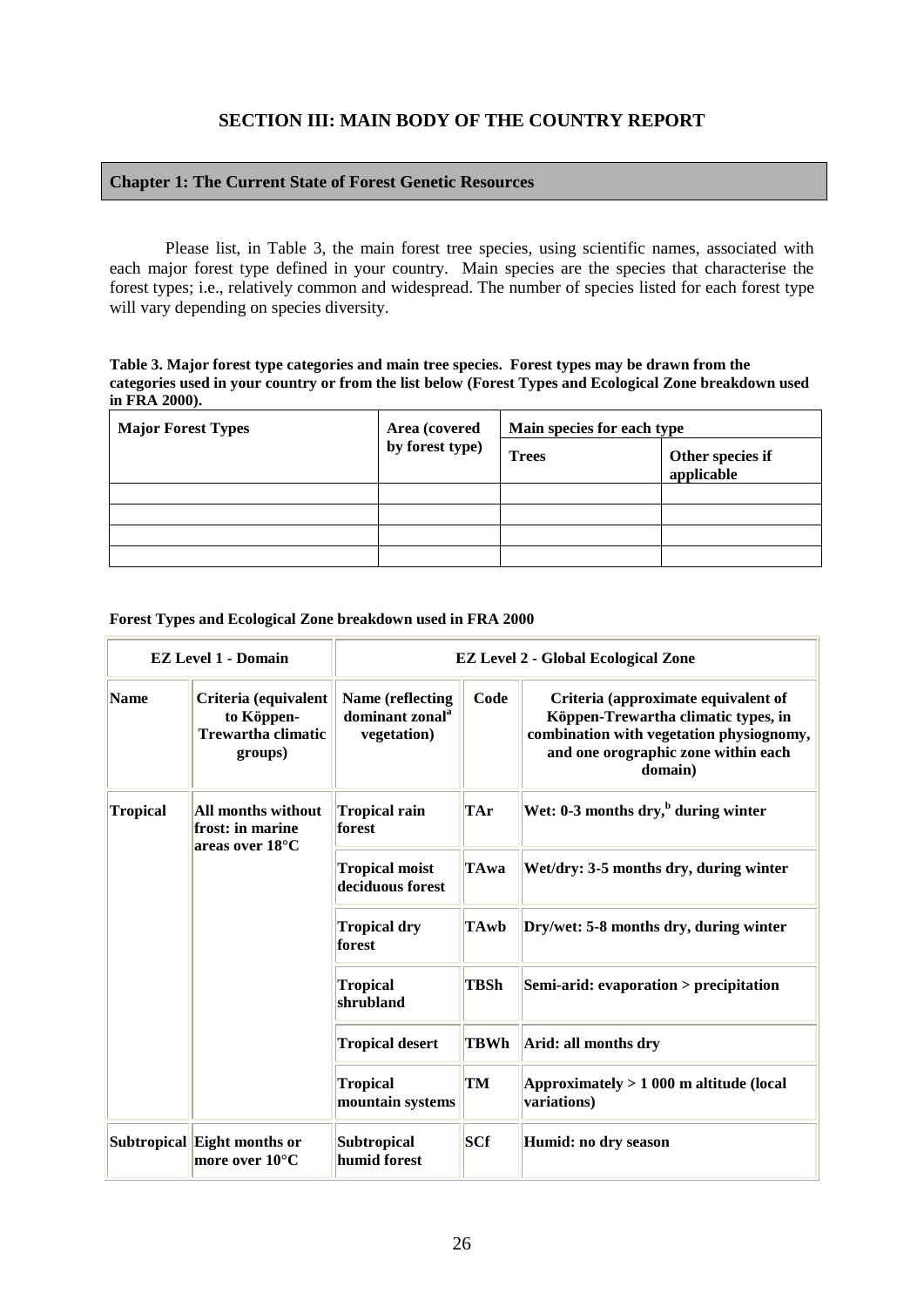# **SECTION III: MAIN BODY OF THE COUNTRY REPORT**

## **Chapter 1: The Current State of Forest Genetic Resources**

Please list, in Table 3, the main forest tree species, using scientific names, associated with each major forest type defined in your country. Main species are the species that characterise the forest types; i.e., relatively common and widespread. The number of species listed for each forest type will vary depending on species diversity.

#### **Table 3. Major forest type categories and main tree species. Forest types may be drawn from the categories used in your country or from the list below (Forest Types and Ecological Zone breakdown used in FRA 2000).**

| <b>Major Forest Types</b> | Area (covered   | Main species for each type |                                |
|---------------------------|-----------------|----------------------------|--------------------------------|
|                           | by forest type) | <b>Trees</b>               | Other species if<br>applicable |
|                           |                 |                            |                                |
|                           |                 |                            |                                |
|                           |                 |                            |                                |
|                           |                 |                            |                                |

#### **Forest Types and Ecological Zone breakdown used in FRA 2000**

|                 | <b>EZ Level 1 - Domain</b>                                                 |                                                                | <b>EZ Level 2 - Global Ecological Zone</b> |                                                                                                                                                                          |
|-----------------|----------------------------------------------------------------------------|----------------------------------------------------------------|--------------------------------------------|--------------------------------------------------------------------------------------------------------------------------------------------------------------------------|
| <b>Name</b>     | Criteria (equivalent<br>to Köppen-<br><b>Trewartha climatic</b><br>groups) | Name (reflecting<br>dominant zonal <sup>a</sup><br>vegetation) | Code                                       | Criteria (approximate equivalent of<br>Köppen-Trewartha climatic types, in<br>combination with vegetation physiognomy,<br>and one orographic zone within each<br>domain) |
| <b>Tropical</b> | All months without<br>frost: in marine<br>areas over 18°C                  | TAr<br><b>Tropical rain</b><br>forest                          |                                            | Wet: $0-3$ months dry, $\frac{b}{b}$ during winter                                                                                                                       |
|                 |                                                                            | <b>Tropical moist</b><br>deciduous forest                      | <b>TAwa</b>                                | Wet/dry: 3-5 months dry, during winter                                                                                                                                   |
|                 |                                                                            | <b>Tropical dry</b><br>forest                                  | <b>TAwb</b>                                | Dry/wet: 5-8 months dry, during winter                                                                                                                                   |
|                 |                                                                            | <b>Tropical</b><br>shrubland                                   | <b>TBSh</b>                                | Semi-arid: evaporation > precipitation                                                                                                                                   |
|                 |                                                                            | <b>Tropical desert</b>                                         | <b>TBWh</b>                                | Arid: all months dry                                                                                                                                                     |
|                 |                                                                            | <b>Tropical</b><br>mountain systems                            | TM                                         | Approximately $> 1000$ m altitude (local<br>variations)                                                                                                                  |
|                 | Subtropical Eight months or<br>more over $10^{\circ}$ C                    | <b>Subtropical</b><br>humid forest                             | <b>SCf</b>                                 | Humid: no dry season                                                                                                                                                     |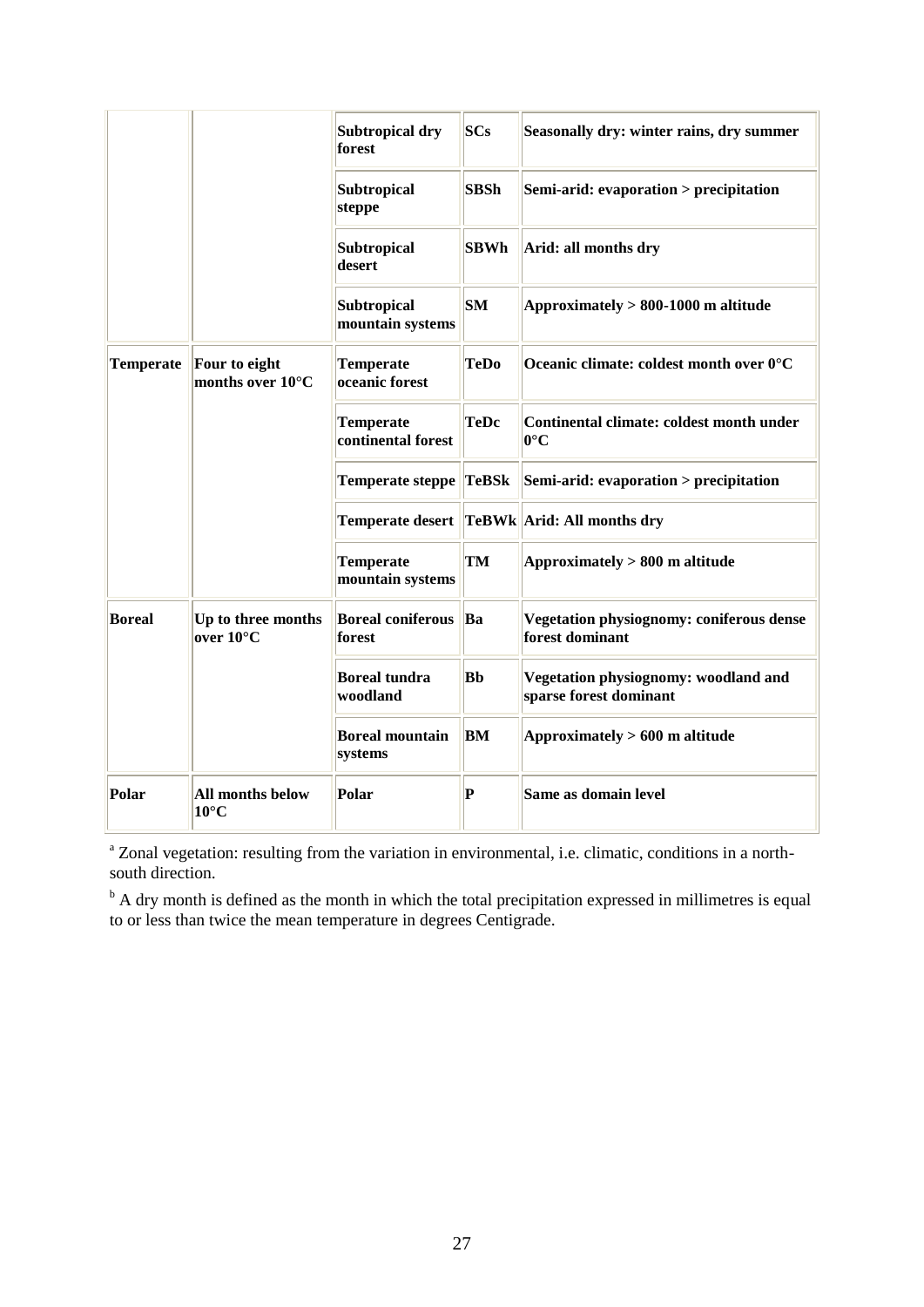|                  |                                             | Subtropical dry<br>forest              | <b>SCs</b>   | Seasonally dry: winter rains, dry summer                       |
|------------------|---------------------------------------------|----------------------------------------|--------------|----------------------------------------------------------------|
|                  |                                             | <b>Subtropical</b><br>steppe           | <b>SBSh</b>  | Semi-arid: evaporation > precipitation                         |
|                  |                                             | <b>Subtropical</b><br>desert           | <b>SBWh</b>  | Arid: all months dry                                           |
|                  |                                             | Subtropical<br>mountain systems        | <b>SM</b>    | Approximately $> 800-1000$ m altitude                          |
| <b>Temperate</b> | Four to eight<br>months over $10^{\circ}$ C | <b>Temperate</b><br>oceanic forest     | <b>TeDo</b>  | Oceanic climate: coldest month over 0°C                        |
|                  |                                             | <b>Temperate</b><br>continental forest | <b>TeDc</b>  | Continental climate: coldest month under<br>$ 0^{\circ}C$      |
|                  |                                             | Temperate steppe                       | <b>TeBSk</b> | Semi-arid: evaporation > precipitation                         |
|                  |                                             |                                        |              | Temperate desert   TeBWk  Arid: All months dry                 |
|                  |                                             | Temperate<br>mountain systems          | TM           | Approximately $> 800$ m altitude                               |
| <b>Boreal</b>    | Up to three months<br>over $10^{\circ}$ C   | <b>Boreal coniferous</b><br>forest     | Ba           | Vegetation physiognomy: coniferous dense<br>forest dominant    |
|                  |                                             | <b>Boreal tundra</b><br>woodland       | Bb           | Vegetation physiognomy: woodland and<br>sparse forest dominant |
|                  |                                             | <b>Boreal mountain</b><br>systems      | BM           | Approximately $>600$ m altitude                                |
| Polar            | <b>All months below</b><br>$10^{\circ}$ C   | Polar                                  | $\bf P$      | Same as domain level                                           |

<sup>a</sup> Zonal vegetation: resulting from the variation in environmental, i.e. climatic, conditions in a northsouth direction.

 $b<sub>b</sub>$  A dry month is defined as the month in which the total precipitation expressed in millimetres is equal to or less than twice the mean temperature in degrees Centigrade.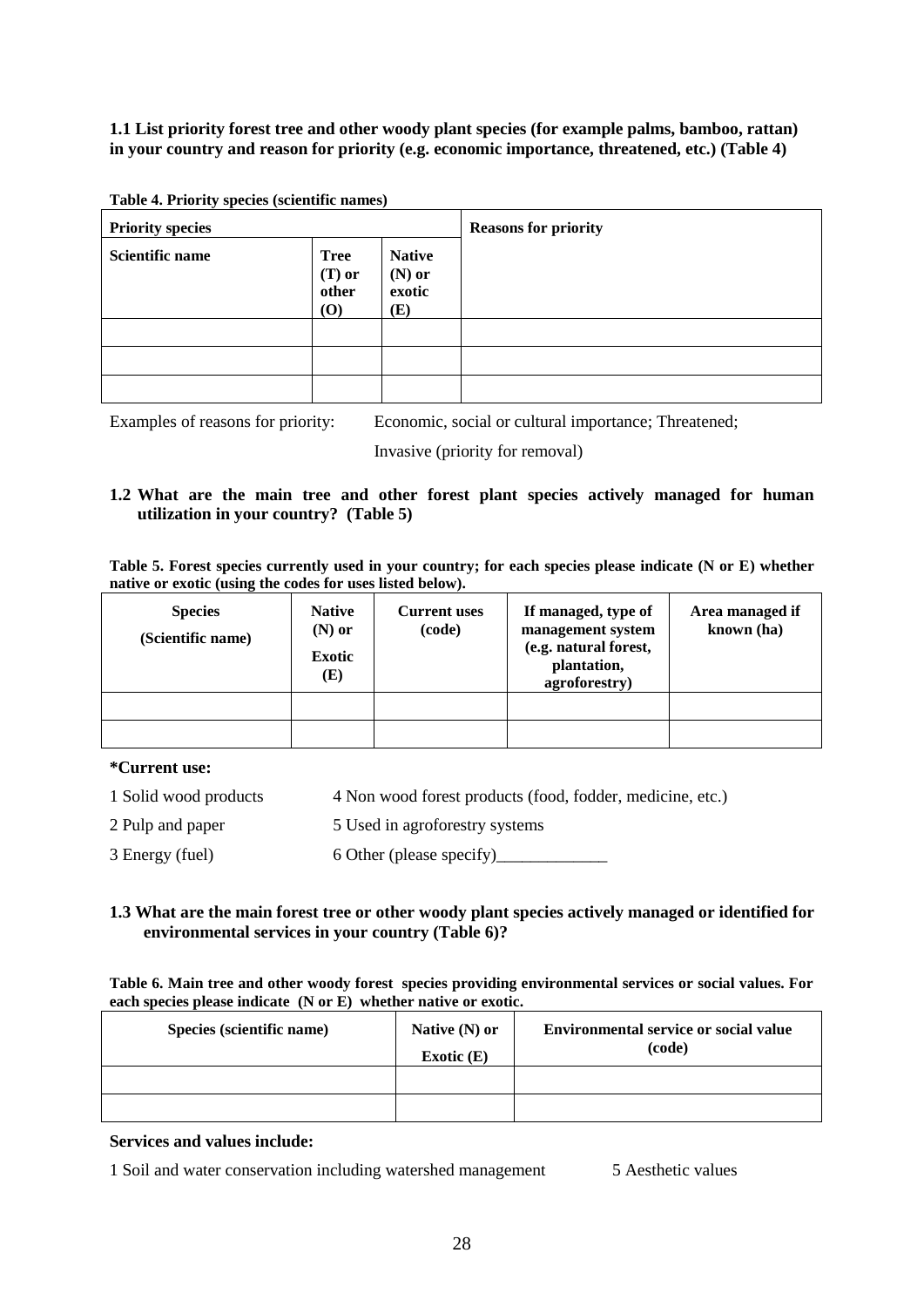**1.1 List priority forest tree and other woody plant species (for example palms, bamboo, rattan) in your country and reason for priority (e.g. economic importance, threatened, etc.) (Table 4)**

| Twore is Thomas Species (Secondities mannes)<br><b>Priority species</b> |                                                |                                            | <b>Reasons for priority</b> |
|-------------------------------------------------------------------------|------------------------------------------------|--------------------------------------------|-----------------------------|
| <b>Scientific name</b>                                                  | <b>Tree</b><br>$(T)$ or<br>other<br><b>(O)</b> | <b>Native</b><br>$(N)$ or<br>exotic<br>(E) |                             |
|                                                                         |                                                |                                            |                             |
|                                                                         |                                                |                                            |                             |
|                                                                         |                                                |                                            |                             |

**Table 4. Priority species (scientific names)**

Examples of reasons for priority: Economic, social or cultural importance; Threatened;

Invasive (priority for removal)

# **1.2 What are the main tree and other forest plant species actively managed for human utilization in your country? (Table 5)**

| Table 5. Forest species currently used in your country; for each species please indicate (N or E) whether |  |  |  |
|-----------------------------------------------------------------------------------------------------------|--|--|--|
| native or exotic (using the codes for uses listed below).                                                 |  |  |  |
|                                                                                                           |  |  |  |

| <b>Species</b><br>(Scientific name) | <b>Native</b><br>$(N)$ or<br><b>Exotic</b><br>(E) | <b>Current uses</b><br>(code) | If managed, type of<br>management system<br>(e.g. natural forest,<br>plantation,<br>agroforestry) | Area managed if<br>known (ha) |
|-------------------------------------|---------------------------------------------------|-------------------------------|---------------------------------------------------------------------------------------------------|-------------------------------|
|                                     |                                                   |                               |                                                                                                   |                               |
|                                     |                                                   |                               |                                                                                                   |                               |

## **\*Current use:**

- 1 Solid wood products 4 Non wood forest products (food, fodder, medicine, etc.)
- 2 Pulp and paper 5 Used in agroforestry systems
- 3 Energy (fuel) 6 Other (please specify)\_\_\_\_\_\_\_\_\_\_\_\_\_

# **1.3 What are the main forest tree or other woody plant species actively managed or identified for environmental services in your country (Table 6)?**

**Table 6. Main tree and other woody forest species providing environmental services or social values. For each species please indicate (N or E) whether native or exotic.** 

| Species (scientific name) | Native $(N)$ or<br>Exotic $(E)$ | <b>Environmental service or social value</b><br>(code) |
|---------------------------|---------------------------------|--------------------------------------------------------|
|                           |                                 |                                                        |
|                           |                                 |                                                        |

## **Services and values include:**

1 Soil and water conservation including watershed management 5 Aesthetic values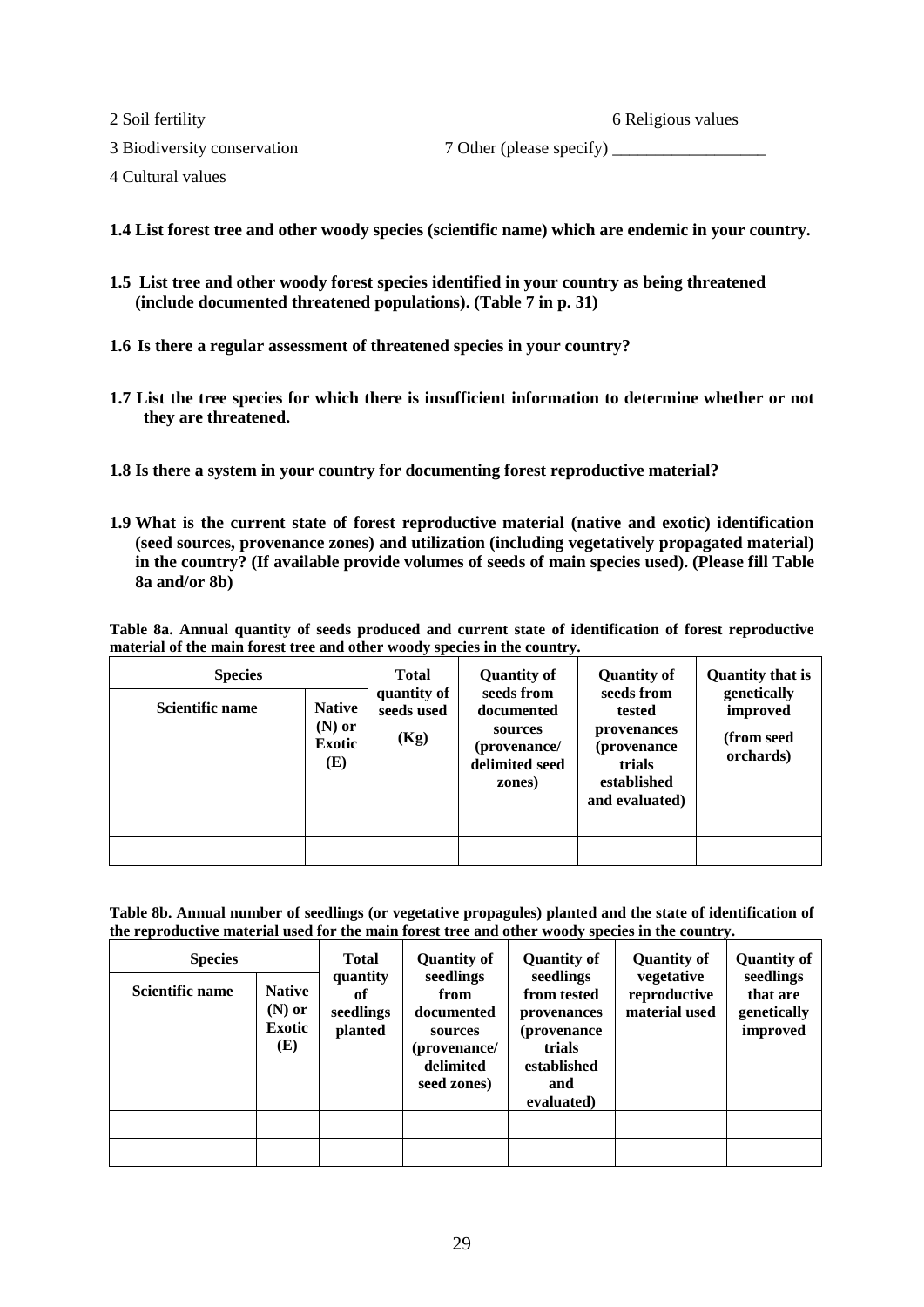2 Soil fertility 6 Religious values

3 Biodiversity conservation 7 Other (please specify) \_\_\_\_\_\_\_\_\_\_\_\_\_\_\_\_\_\_\_\_\_\_\_\_\_\_\_

4 Cultural values

**1.4 List forest tree and other woody species (scientific name) which are endemic in your country.**

- **1.5 List tree and other woody forest species identified in your country as being threatened (include documented threatened populations). (Table 7 in p. 31)**
- **1.6 Is there a regular assessment of threatened species in your country?**
- **1.7 List the tree species for which there is insufficient information to determine whether or not they are threatened.**
- **1.8 Is there a system in your country for documenting forest reproductive material?**
- **1.9 What is the current state of forest reproductive material (native and exotic) identification (seed sources, provenance zones) and utilization (including vegetatively propagated material) in the country? (If available provide volumes of seeds of main species used). (Please fill Table 8a and/or 8b)**

**Table 8a. Annual quantity of seeds produced and current state of identification of forest reproductive material of the main forest tree and other woody species in the country.** 

| <b>Species</b>         |                                                   |                                   |                                                                                 | <b>Quantity of</b><br>seeds from                                                        | <b>Quantity that is</b>                            |
|------------------------|---------------------------------------------------|-----------------------------------|---------------------------------------------------------------------------------|-----------------------------------------------------------------------------------------|----------------------------------------------------|
| <b>Scientific name</b> | <b>Native</b><br>$(N)$ or<br><b>Exotic</b><br>(E) | quantity of<br>seeds used<br>(Kg) | seeds from<br>documented<br>sources<br>(provenance/<br>delimited seed<br>zones) | tested<br>provenances<br><i>(provenance)</i><br>trials<br>established<br>and evaluated) | genetically<br>improved<br>(from seed<br>orchards) |
|                        |                                                   |                                   |                                                                                 |                                                                                         |                                                    |
|                        |                                                   |                                   |                                                                                 |                                                                                         |                                                    |

**Table 8b. Annual number of seedlings (or vegetative propagules) planted and the state of identification of the reproductive material used for the main forest tree and other woody species in the country.** 

| <b>Species</b>         |                                                   | <b>Total</b><br>quantity   | <b>Quantity of</b><br>seedlings                                           | <b>Quantity of</b><br>seedlings                                                          | <b>Quantity of</b><br>vegetative | <b>Quantity of</b><br>seedlings     |
|------------------------|---------------------------------------------------|----------------------------|---------------------------------------------------------------------------|------------------------------------------------------------------------------------------|----------------------------------|-------------------------------------|
| <b>Scientific name</b> | <b>Native</b><br>$(N)$ or<br><b>Exotic</b><br>(E) | of<br>seedlings<br>planted | from<br>documented<br>sources<br>(provenance/<br>delimited<br>seed zones) | from tested<br>provenances<br>(provenance)<br>trials<br>established<br>and<br>evaluated) | reproductive<br>material used    | that are<br>genetically<br>improved |
|                        |                                                   |                            |                                                                           |                                                                                          |                                  |                                     |
|                        |                                                   |                            |                                                                           |                                                                                          |                                  |                                     |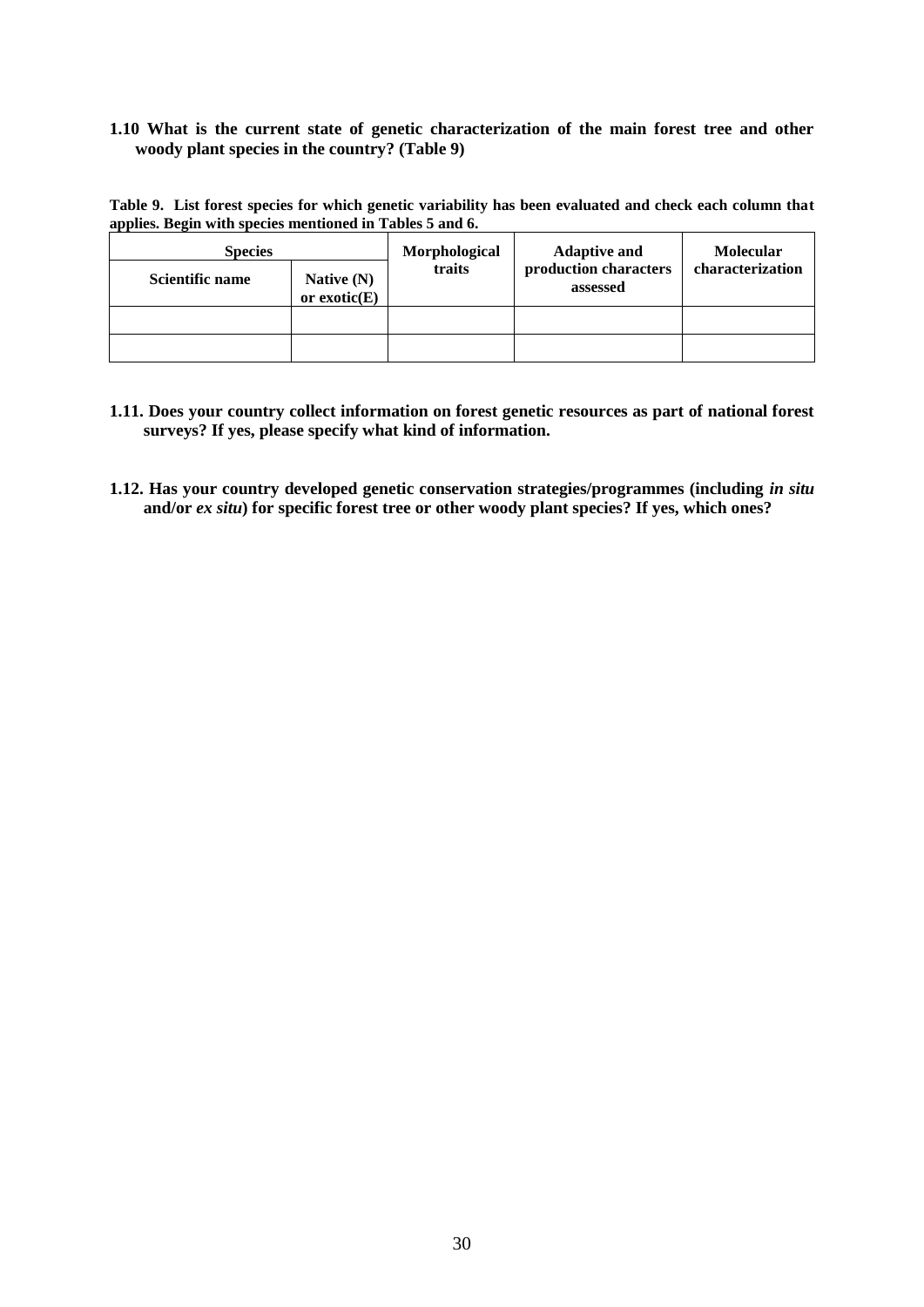# **1.10 What is the current state of genetic characterization of the main forest tree and other woody plant species in the country? (Table 9)**

**Table 9. List forest species for which genetic variability has been evaluated and check each column that applies. Begin with species mentioned in Tables 5 and 6.**

| <b>Species</b>         |                                | Morphological | <b>Adaptive and</b>               | <b>Molecular</b> |  |
|------------------------|--------------------------------|---------------|-----------------------------------|------------------|--|
| <b>Scientific name</b> | Native $(N)$<br>or $exotic(E)$ | traits        | production characters<br>assessed | characterization |  |
|                        |                                |               |                                   |                  |  |
|                        |                                |               |                                   |                  |  |

- **1.11. Does your country collect information on forest genetic resources as part of national forest surveys? If yes, please specify what kind of information.**
- 1.12. Has your country developed genetic conservation strategies/programmes (including *in situ* **and/or** *ex situ***) for specific forest tree or other woody plant species? If yes, which ones?**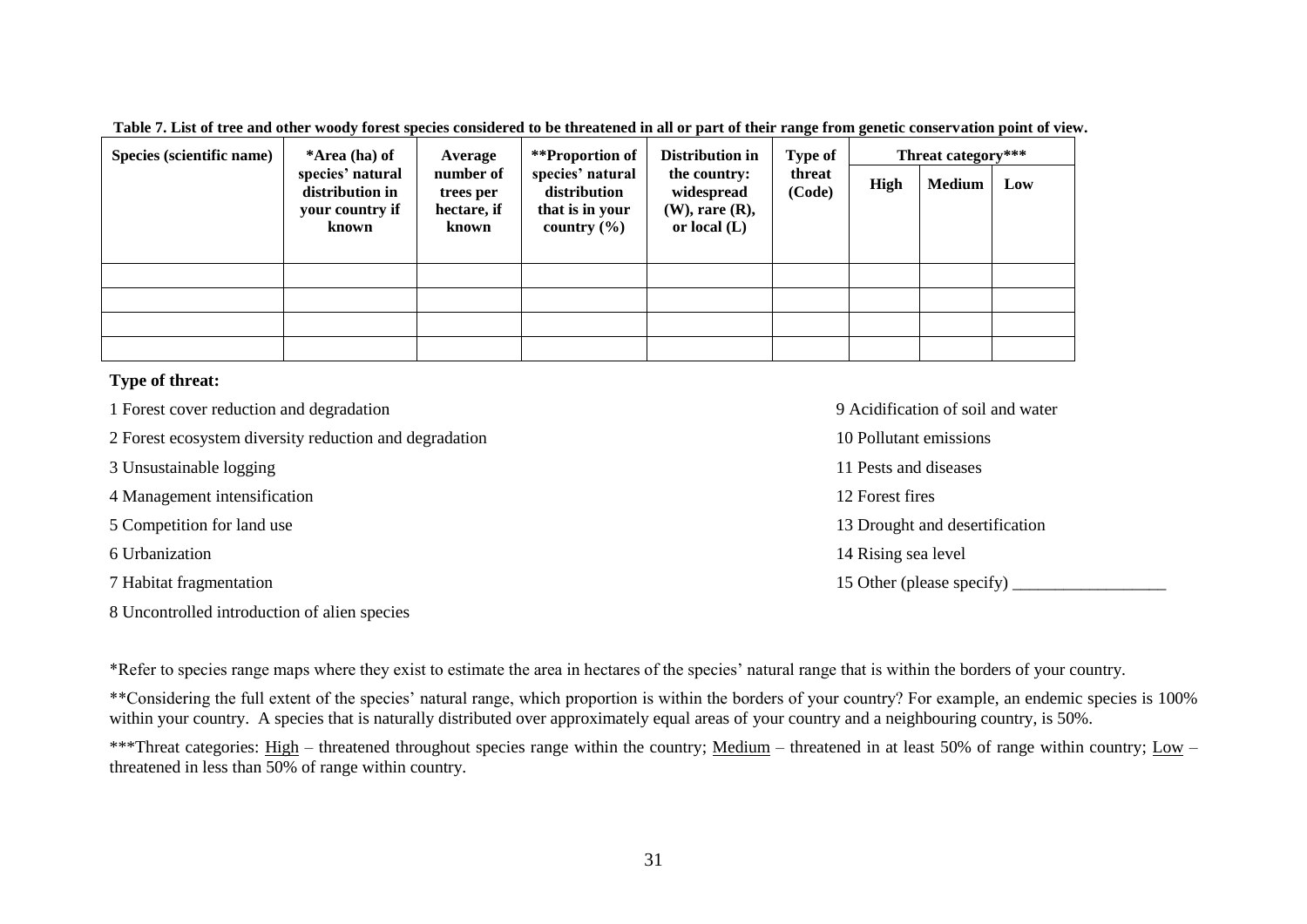**Table 7. List of tree and other woody forest species considered to be threatened in all or part of their range from genetic conservation point of view.** 

| Species (scientific name) | *Area (ha) of                                                   | Average                                        | **Proportion of                                                        | Distribution in                                                      | Type of          | Threat category*** |               |     |
|---------------------------|-----------------------------------------------------------------|------------------------------------------------|------------------------------------------------------------------------|----------------------------------------------------------------------|------------------|--------------------|---------------|-----|
|                           | species' natural<br>distribution in<br>your country if<br>known | number of<br>trees per<br>hectare, if<br>known | species' natural<br>distribution<br>that is in your<br>country $(\% )$ | the country:<br>widespread<br>$(W)$ , rare $(R)$ ,<br>or local $(L)$ | threat<br>(Code) | High               | <b>Medium</b> | Low |
|                           |                                                                 |                                                |                                                                        |                                                                      |                  |                    |               |     |
|                           |                                                                 |                                                |                                                                        |                                                                      |                  |                    |               |     |
|                           |                                                                 |                                                |                                                                        |                                                                      |                  |                    |               |     |
|                           |                                                                 |                                                |                                                                        |                                                                      |                  |                    |               |     |

# **Type of threat:**

- 1 Forest cover reduction and degradation 9 Acidification of soil and water
- 2 Forest ecosystem diversity reduction and degradation 10 Pollutant emissions
- 3 Unsustainable logging 11 Pests and diseases
- 4 Management intensification 12 Forest fires
- 
- 
- 
- 8 Uncontrolled introduction of alien species

5 Competition for land use 13 Drought and desertification 6 Urbanization 14 Rising sea level 7 Habitat fragmentation 15 Other (please specify) 2.15 Other (please specify)

\*Refer to species range maps where they exist to estimate the area in hectares of the species' natural range that is within the borders of your country.

\*\*Considering the full extent of the species' natural range, which proportion is within the borders of your country? For example, an endemic species is 100% within your country. A species that is naturally distributed over approximately equal areas of your country and a neighbouring country, is 50%.

\*\*\*Threat categories: High – threatened throughout species range within the country; Medium – threatened in at least 50% of range within country; Low – threatened in less than 50% of range within country.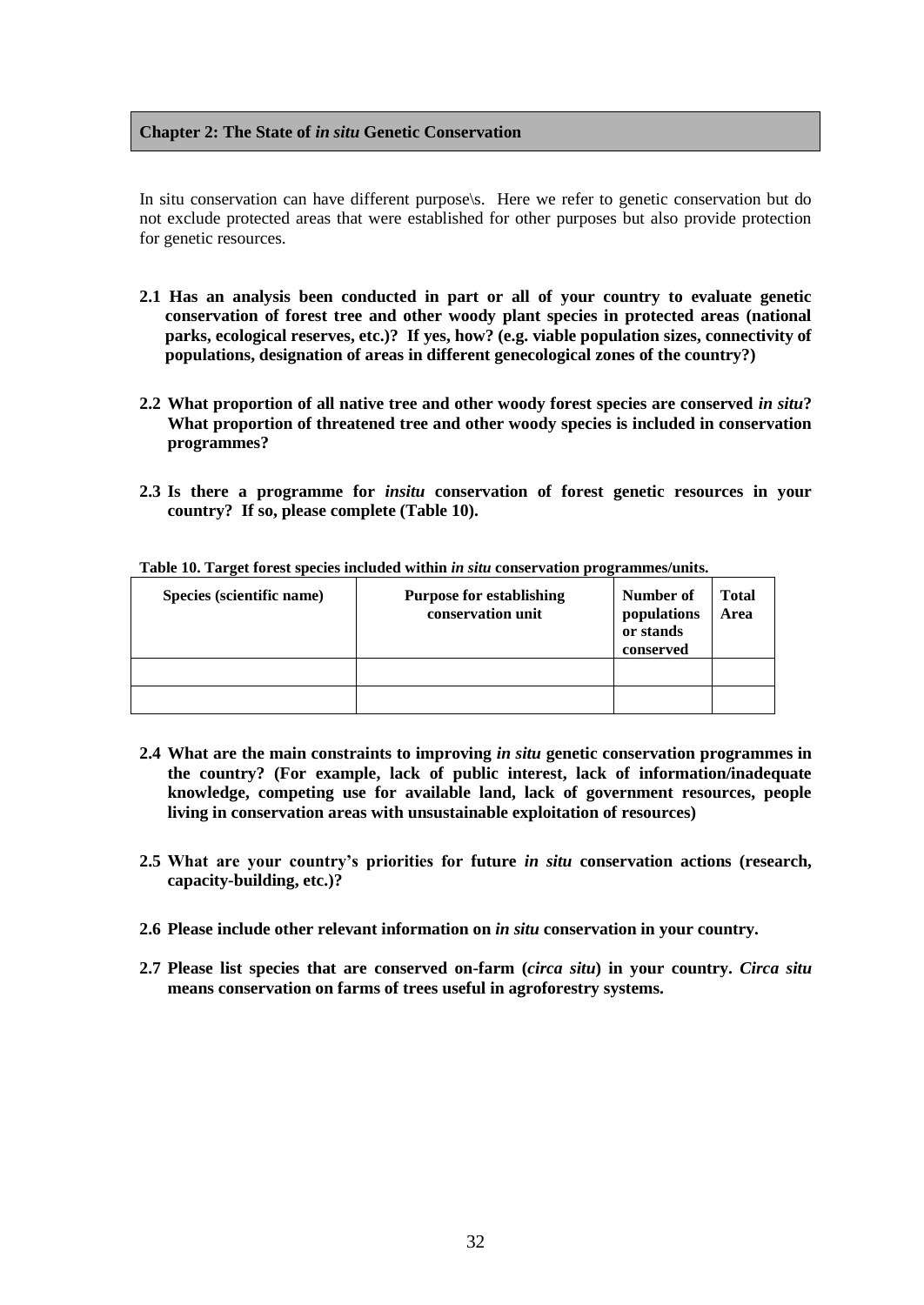# **Chapter 2: The State of** *in situ* **Genetic Conservation**

In situ conservation can have different purpose\s. Here we refer to genetic conservation but do not exclude protected areas that were established for other purposes but also provide protection for genetic resources.

- **2.1 Has an analysis been conducted in part or all of your country to evaluate genetic conservation of forest tree and other woody plant species in protected areas (national parks, ecological reserves, etc.)? If yes, how? (e.g. viable population sizes, connectivity of populations, designation of areas in different genecological zones of the country?)**
- **2.2 What proportion of all native tree and other woody forest species are conserved** *in situ***? What proportion of threatened tree and other woody species is included in conservation programmes?**
- **2.3 Is there a programme for** *insitu* **conservation of forest genetic resources in your country? If so, please complete (Table 10).**

| Species (scientific name) | <b>Purpose for establishing</b><br>conservation unit | Number of<br>populations<br>or stands<br>conserved | <b>Total</b><br>Area |
|---------------------------|------------------------------------------------------|----------------------------------------------------|----------------------|
|                           |                                                      |                                                    |                      |
|                           |                                                      |                                                    |                      |

#### **Table 10. Target forest species included within** *in situ* **conservation programmes/units.**

- **2.4 What are the main constraints to improving** *in situ* **genetic conservation programmes in the country? (For example, lack of public interest, lack of information/inadequate knowledge, competing use for available land, lack of government resources, people living in conservation areas with unsustainable exploitation of resources)**
- **2.5 What are your country's priorities for future** *in situ* **conservation actions (research, capacity-building, etc.)?**
- **2.6 Please include other relevant information on** *in situ* **conservation in your country.**
- **2.7 Please list species that are conserved on-farm (***circa situ***) in your country.** *Circa situ* **means conservation on farms of trees useful in agroforestry systems.**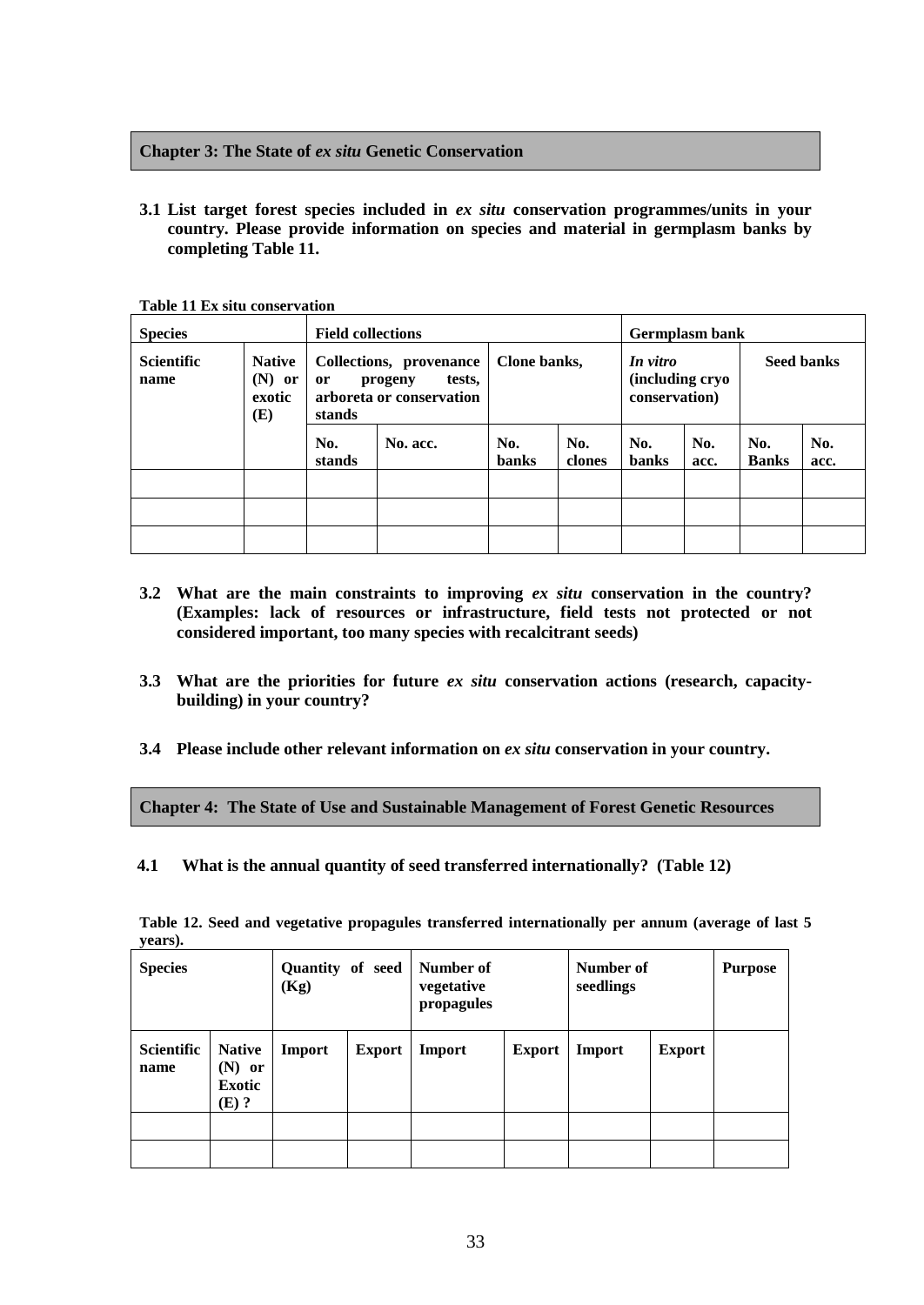# **Chapter 3: The State of** *ex situ* **Genetic Conservation**

**3.1 List target forest species included in** *ex situ* **conservation programmes/units in your country. Please provide information on species and material in germplasm banks by completing Table 11.**

| <b>Species</b>            |                                            | <b>Field collections</b> | Germplasm bank                                                           |                                                              |               |                     |             |                     |             |
|---------------------------|--------------------------------------------|--------------------------|--------------------------------------------------------------------------|--------------------------------------------------------------|---------------|---------------------|-------------|---------------------|-------------|
| <b>Scientific</b><br>name | <b>Native</b><br>$(N)$ or<br>exotic<br>(E) | or<br>stands             | Collections, provenance<br>tests,<br>progeny<br>arboreta or conservation | Clone banks,<br>In vitro<br>(including cryo<br>conservation) |               | <b>Seed banks</b>   |             |                     |             |
|                           |                                            | No.<br>stands            | No. acc.                                                                 | No.<br><b>banks</b>                                          | No.<br>clones | No.<br><b>banks</b> | No.<br>acc. | No.<br><b>Banks</b> | No.<br>acc. |
|                           |                                            |                          |                                                                          |                                                              |               |                     |             |                     |             |
|                           |                                            |                          |                                                                          |                                                              |               |                     |             |                     |             |
|                           |                                            |                          |                                                                          |                                                              |               |                     |             |                     |             |

**Table 11 Ex situ conservation**

- **3.2 What are the main constraints to improving** *ex situ* **conservation in the country? (Examples: lack of resources or infrastructure, field tests not protected or not considered important, too many species with recalcitrant seeds)**
- **3.3 What are the priorities for future** *ex situ* **conservation actions (research, capacitybuilding) in your country?**
- **3.4 Please include other relevant information on** *ex situ* **conservation in your country.**

**Chapter 4: The State of Use and Sustainable Management of Forest Genetic Resources**

**4.1 What is the annual quantity of seed transferred internationally? (Table 12)**

| <b>Species</b>            |                                                       | Quantity of seed<br>(Kg) |               | Number of<br>vegetative<br>propagules |               | Number of<br>seedlings |               | <b>Purpose</b> |
|---------------------------|-------------------------------------------------------|--------------------------|---------------|---------------------------------------|---------------|------------------------|---------------|----------------|
| <b>Scientific</b><br>name | <b>Native</b><br>$(N)$ or<br><b>Exotic</b><br>$(E)$ ? | Import                   | <b>Export</b> | <b>Import</b>                         | <b>Export</b> | Import                 | <b>Export</b> |                |
|                           |                                                       |                          |               |                                       |               |                        |               |                |
|                           |                                                       |                          |               |                                       |               |                        |               |                |

**Table 12. Seed and vegetative propagules transferred internationally per annum (average of last 5 years).**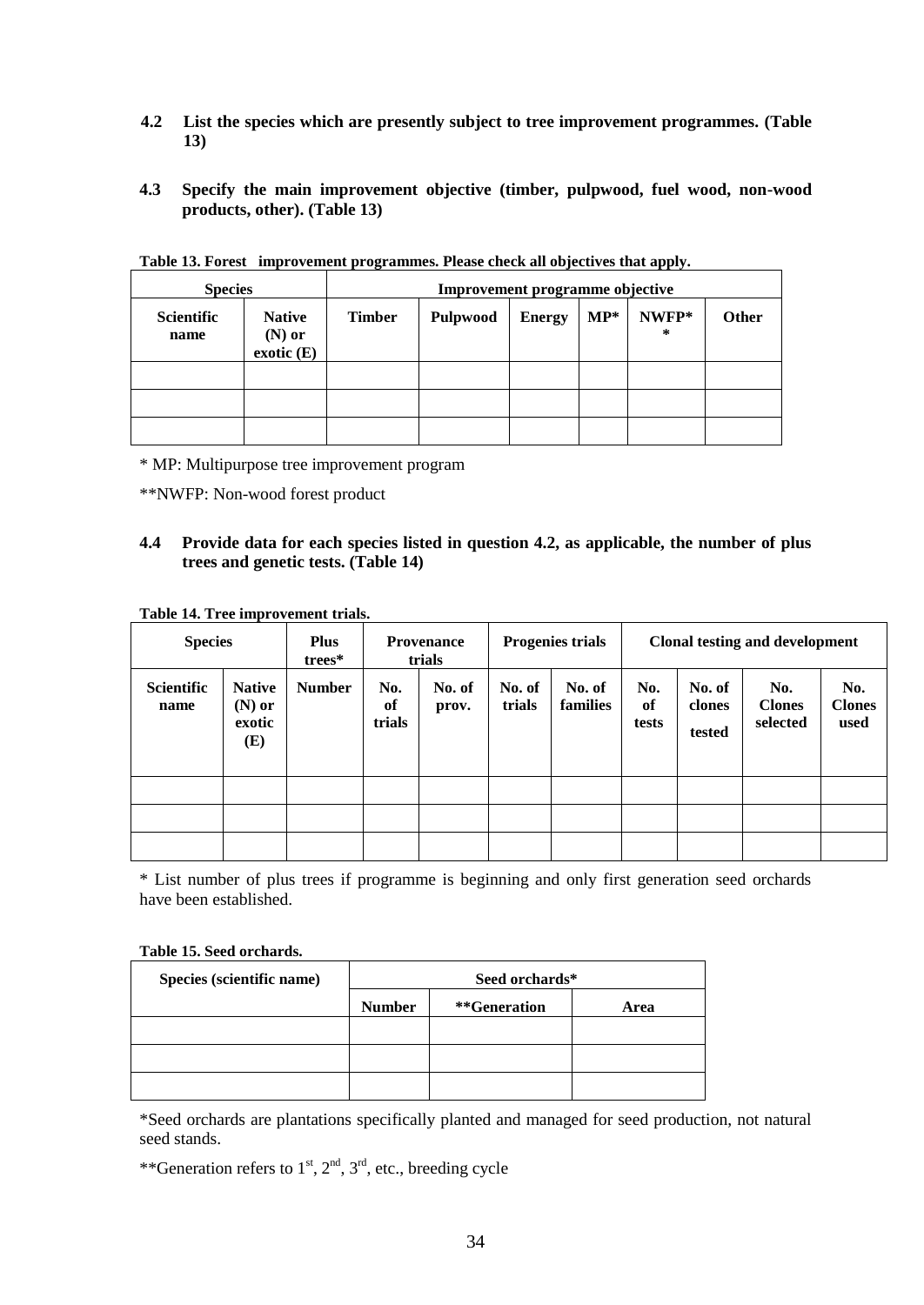- **4.2 List the species which are presently subject to tree improvement programmes. (Table 13)**
- **4.3 Specify the main improvement objective (timber, pulpwood, fuel wood, non-wood products, other). (Table 13)**

| <b>Species</b>            |                                        | Improvement programme objective |          |               |        |            |       |
|---------------------------|----------------------------------------|---------------------------------|----------|---------------|--------|------------|-------|
| <b>Scientific</b><br>name | <b>Native</b><br>$(N)$ or<br>exotic(E) | <b>Timber</b>                   | Pulpwood | <b>Energy</b> | $MP^*$ | NWFP*<br>∗ | Other |
|                           |                                        |                                 |          |               |        |            |       |
|                           |                                        |                                 |          |               |        |            |       |
|                           |                                        |                                 |          |               |        |            |       |

**Table 13. Forest improvement programmes. Please check all objectives that apply.**

\* MP: Multipurpose tree improvement program

\*\*NWFP: Non-wood forest product

# **4.4 Provide data for each species listed in question 4.2, as applicable, the number of plus trees and genetic tests. (Table 14)**

#### **Table 14. Tree improvement trials.**

| <b>Species</b>            |                                            | <b>Plus</b><br>trees* |                     | <b>Provenance</b><br>trials |                  | <b>Progenies trials</b> | <b>Clonal testing and development</b> |                            |                                  |                              |
|---------------------------|--------------------------------------------|-----------------------|---------------------|-----------------------------|------------------|-------------------------|---------------------------------------|----------------------------|----------------------------------|------------------------------|
| <b>Scientific</b><br>name | <b>Native</b><br>$(N)$ or<br>exotic<br>(E) | <b>Number</b>         | No.<br>of<br>trials | No. of<br>prov.             | No. of<br>trials | No. of<br>families      | No.<br>of<br>tests                    | No. of<br>clones<br>tested | No.<br><b>Clones</b><br>selected | No.<br><b>Clones</b><br>used |
|                           |                                            |                       |                     |                             |                  |                         |                                       |                            |                                  |                              |
|                           |                                            |                       |                     |                             |                  |                         |                                       |                            |                                  |                              |
|                           |                                            |                       |                     |                             |                  |                         |                                       |                            |                                  |                              |

\* List number of plus trees if programme is beginning and only first generation seed orchards have been established.

#### **Table 15. Seed orchards.**

| Species (scientific name) | Seed orchards* |              |      |  |  |  |  |
|---------------------------|----------------|--------------|------|--|--|--|--|
|                           | <b>Number</b>  | **Generation | Area |  |  |  |  |
|                           |                |              |      |  |  |  |  |
|                           |                |              |      |  |  |  |  |
|                           |                |              |      |  |  |  |  |

\*Seed orchards are plantations specifically planted and managed for seed production, not natural seed stands.

\*\*Generation refers to  $1<sup>st</sup>$ ,  $2<sup>nd</sup>$ ,  $3<sup>rd</sup>$ , etc., breeding cycle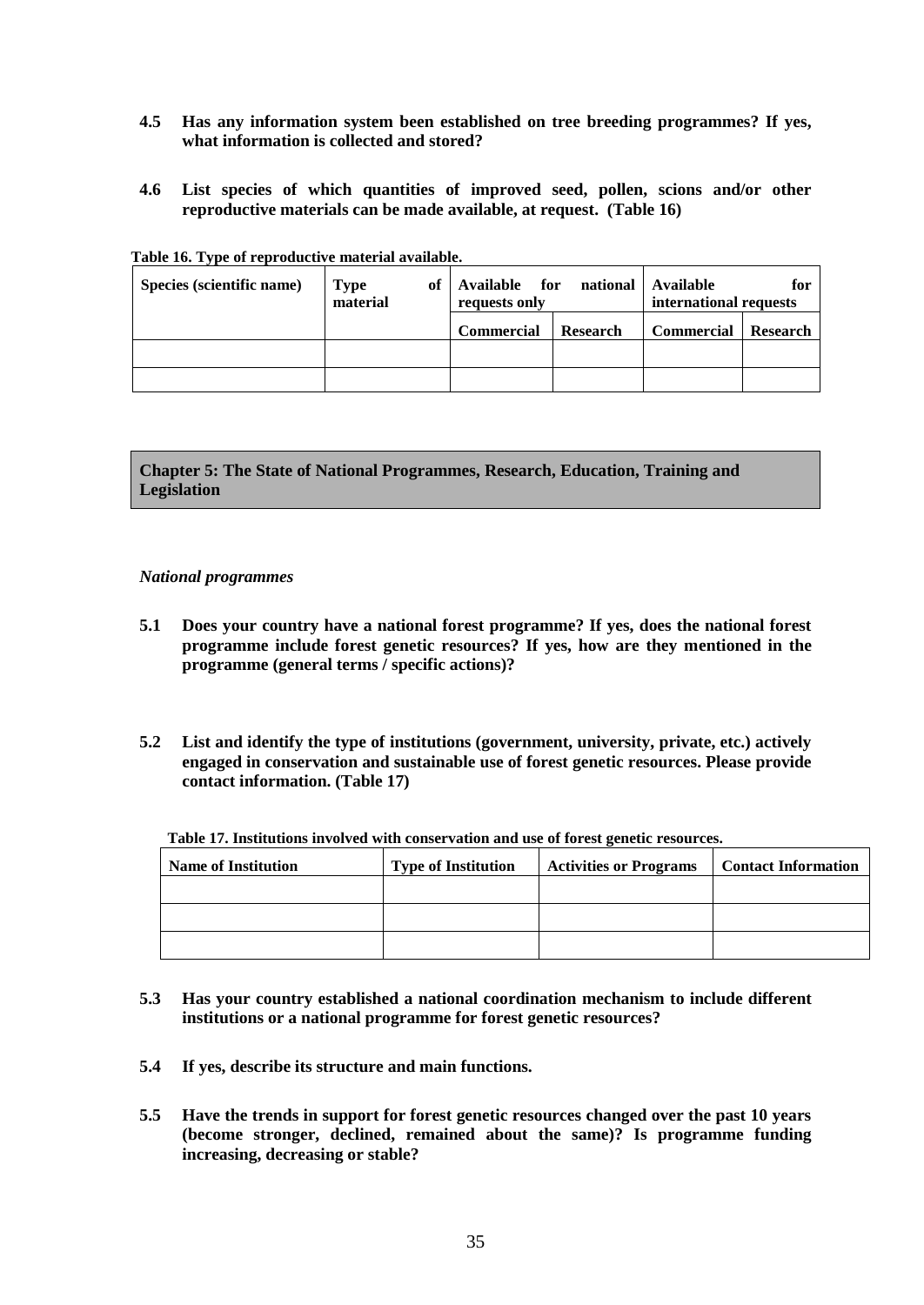- **4.5 Has any information system been established on tree breeding programmes? If yes, what information is collected and stored?**
- **4.6 List species of which quantities of improved seed, pollen, scions and/or other reproductive materials can be made available, at request. (Table 16)**

| Species (scientific name) | оf<br><b>Type</b><br>material | Available for national   Available<br>requests only |          | international requests | for      |
|---------------------------|-------------------------------|-----------------------------------------------------|----------|------------------------|----------|
|                           |                               | <b>Commercial</b>                                   | Research | <b>Commercial</b>      | Research |
|                           |                               |                                                     |          |                        |          |
|                           |                               |                                                     |          |                        |          |

**Table 16. Type of reproductive material available.**

**Chapter 5: The State of National Programmes, Research, Education, Training and Legislation**

## *National programmes*

- **5.1 Does your country have a national forest programme? If yes, does the national forest programme include forest genetic resources? If yes, how are they mentioned in the programme (general terms / specific actions)?**
- **5.2 List and identify the type of institutions (government, university, private, etc.) actively engaged in conservation and sustainable use of forest genetic resources. Please provide contact information. (Table 17)**

| <b>Name of Institution</b> | <b>Type of Institution</b> | <b>Activities or Programs</b> | <b>Contact Information</b> |
|----------------------------|----------------------------|-------------------------------|----------------------------|
|                            |                            |                               |                            |
|                            |                            |                               |                            |
|                            |                            |                               |                            |

- **5.3 Has your country established a national coordination mechanism to include different institutions or a national programme for forest genetic resources?**
- **5.4 If yes, describe its structure and main functions.**
- **5.5 Have the trends in support for forest genetic resources changed over the past 10 years (become stronger, declined, remained about the same)? Is programme funding increasing, decreasing or stable?**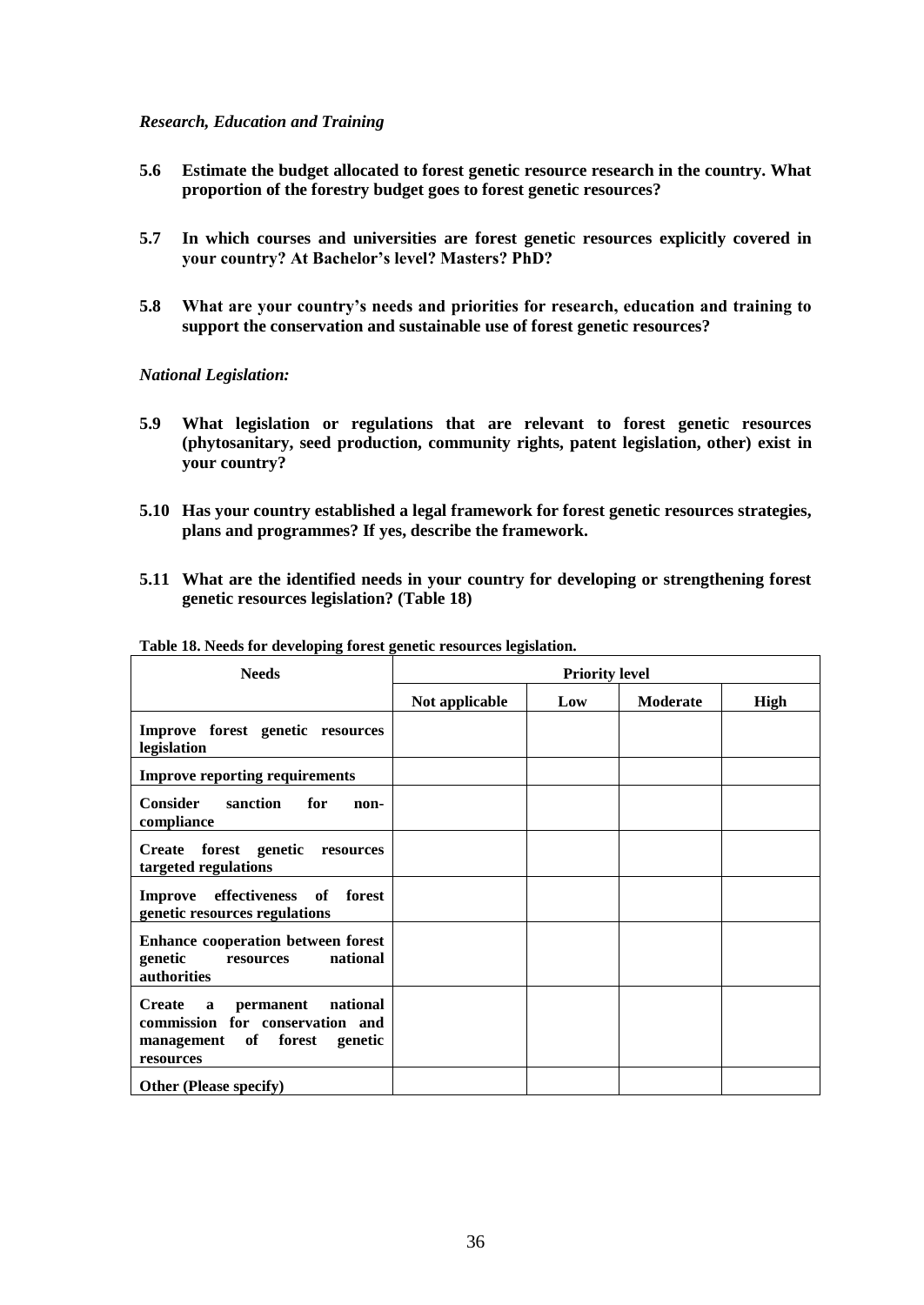## *Research, Education and Training*

- **5.6 Estimate the budget allocated to forest genetic resource research in the country. What proportion of the forestry budget goes to forest genetic resources?**
- **5.7 In which courses and universities are forest genetic resources explicitly covered in your country? At Bachelor's level? Masters? PhD?**
- **5.8 What are your country's needs and priorities for research, education and training to support the conservation and sustainable use of forest genetic resources?**

## *National Legislation:*

- **5.9 What legislation or regulations that are relevant to forest genetic resources (phytosanitary, seed production, community rights, patent legislation, other) exist in your country?**
- **5.10 Has your country established a legal framework for forest genetic resources strategies, plans and programmes? If yes, describe the framework.**
- **5.11 What are the identified needs in your country for developing or strengthening forest genetic resources legislation? (Table 18)**

| <b>Needs</b>                                                                                                   | <b>Priority level</b> |     |          |      |
|----------------------------------------------------------------------------------------------------------------|-----------------------|-----|----------|------|
|                                                                                                                | Not applicable        | Low | Moderate | High |
| Improve forest genetic resources<br>legislation                                                                |                       |     |          |      |
| <b>Improve reporting requirements</b>                                                                          |                       |     |          |      |
| <b>Consider</b><br>for<br>sanction<br>non-<br>compliance                                                       |                       |     |          |      |
| Create forest genetic<br>resources<br>targeted regulations                                                     |                       |     |          |      |
| Improve effectiveness of forest<br>genetic resources regulations                                               |                       |     |          |      |
| <b>Enhance cooperation between forest</b><br>national<br>genetic<br>resources<br><b>authorities</b>            |                       |     |          |      |
| permanent national<br>Create a<br>commission for conservation and<br>management of forest genetic<br>resources |                       |     |          |      |
| <b>Other (Please specify)</b>                                                                                  |                       |     |          |      |

# **Table 18. Needs for developing forest genetic resources legislation.**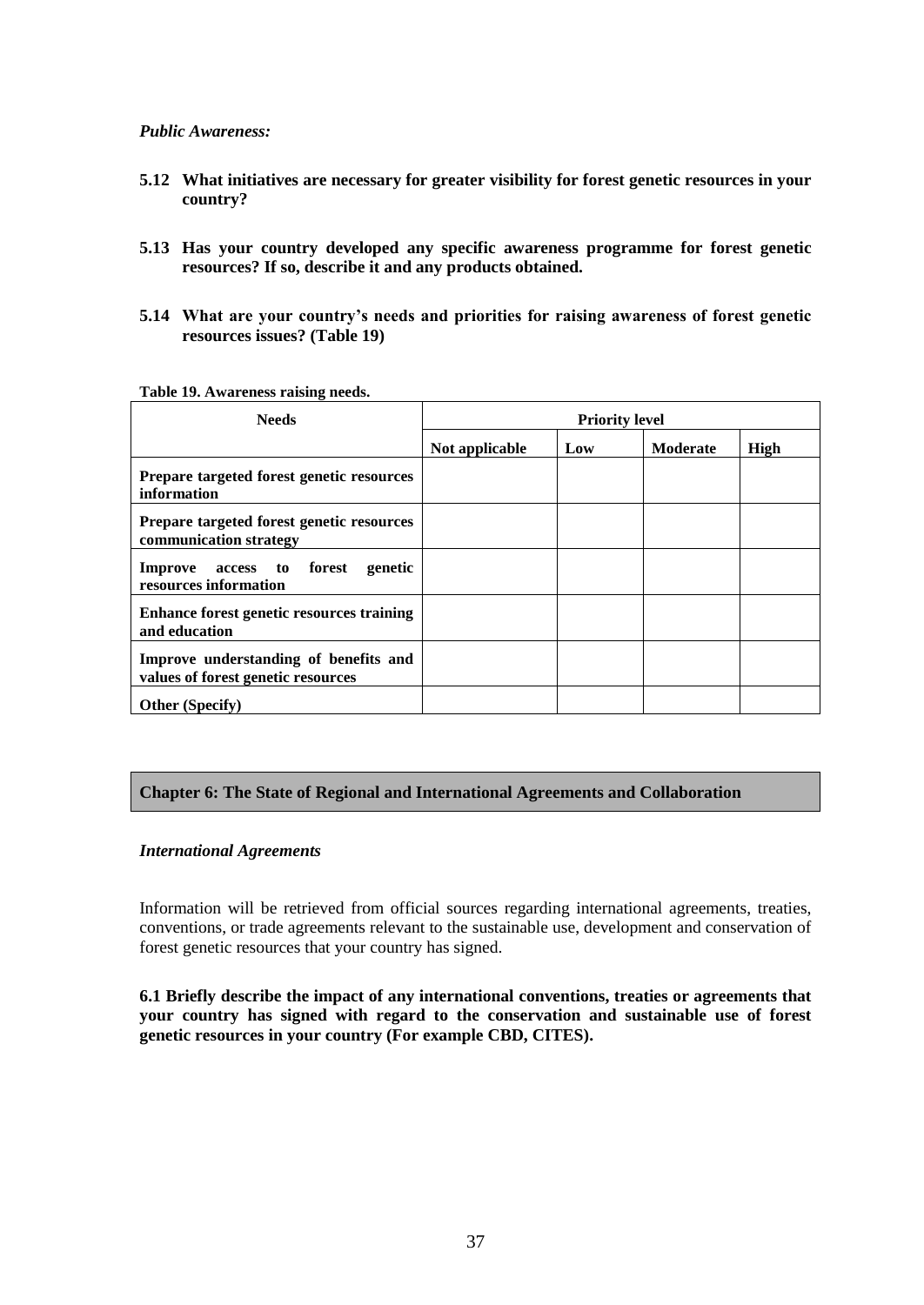# *Public Awareness:*

- **5.12 What initiatives are necessary for greater visibility for forest genetic resources in your country?**
- **5.13 Has your country developed any specific awareness programme for forest genetic resources? If so, describe it and any products obtained.**
- **5.14 What are your country's needs and priorities for raising awareness of forest genetic resources issues? (Table 19)**

| <b>Needs</b>                                                                | <b>Priority level</b> |     |          |      |
|-----------------------------------------------------------------------------|-----------------------|-----|----------|------|
|                                                                             | Not applicable        | Low | Moderate | High |
| Prepare targeted forest genetic resources<br>information                    |                       |     |          |      |
| Prepare targeted forest genetic resources<br>communication strategy         |                       |     |          |      |
| forest<br>genetic<br>Improve<br>access to<br>resources information          |                       |     |          |      |
| Enhance forest genetic resources training<br>and education                  |                       |     |          |      |
| Improve understanding of benefits and<br>values of forest genetic resources |                       |     |          |      |
| <b>Other (Specify)</b>                                                      |                       |     |          |      |

#### **Table 19. Awareness raising needs.**

# **Chapter 6: The State of Regional and International Agreements and Collaboration**

## *International Agreements*

Information will be retrieved from official sources regarding international agreements, treaties, conventions, or trade agreements relevant to the sustainable use, development and conservation of forest genetic resources that your country has signed.

**6.1 Briefly describe the impact of any international conventions, treaties or agreements that your country has signed with regard to the conservation and sustainable use of forest genetic resources in your country (For example CBD, CITES).**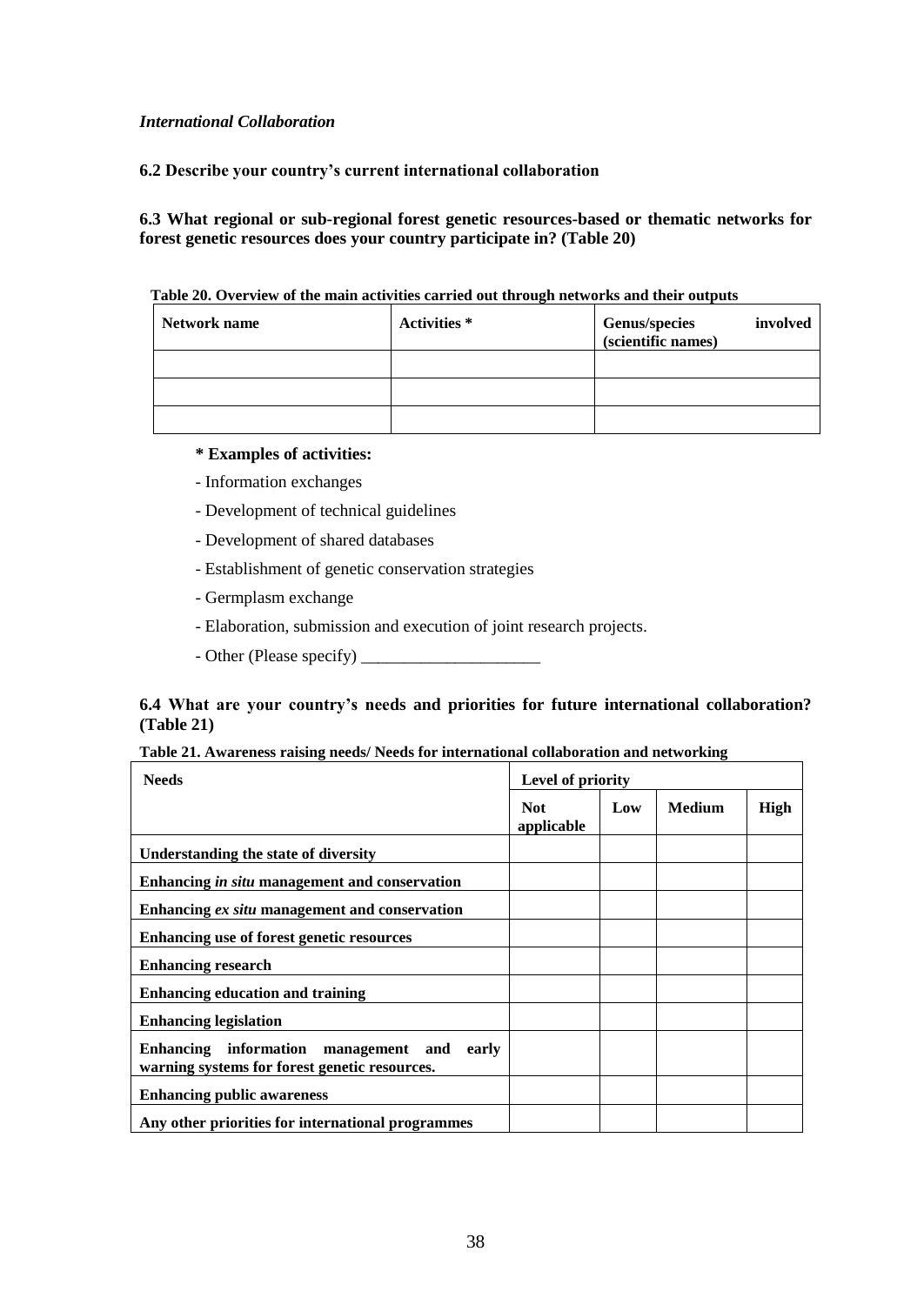# *International Collaboration*

**6.2 Describe your country's current international collaboration**

**6.3 What regional or sub-regional forest genetic resources-based or thematic networks for forest genetic resources does your country participate in? (Table 20)**

| Table 20. Overview of the main activities carried out through networks and their outputs |  |
|------------------------------------------------------------------------------------------|--|
|------------------------------------------------------------------------------------------|--|

| Network name | Activities * | <b>Genus/species</b><br>involved<br>(scientific names) |
|--------------|--------------|--------------------------------------------------------|
|              |              |                                                        |
|              |              |                                                        |
|              |              |                                                        |

# **\* Examples of activities:**

- Information exchanges
- Development of technical guidelines
- Development of shared databases
- Establishment of genetic conservation strategies
- Germplasm exchange
- Elaboration, submission and execution of joint research projects.
- Other (Please specify) \_\_\_\_\_\_\_\_\_\_\_\_\_\_\_\_\_\_\_\_\_

# **6.4 What are your country's needs and priorities for future international collaboration? (Table 21)**

| Table 21. Awareness raising needs/ Needs for international collaboration and networking |  |
|-----------------------------------------------------------------------------------------|--|
|                                                                                         |  |

| <b>Needs</b>                                                                                      | Table 21. Awal chess Faising heeds/ Fiecus for international conaboration and herworking<br>Level of priority |     |               |             |
|---------------------------------------------------------------------------------------------------|---------------------------------------------------------------------------------------------------------------|-----|---------------|-------------|
|                                                                                                   | <b>Not</b><br>applicable                                                                                      | Low | <b>Medium</b> | <b>High</b> |
| Understanding the state of diversity                                                              |                                                                                                               |     |               |             |
| Enhancing in situ management and conservation                                                     |                                                                                                               |     |               |             |
| Enhancing ex situ management and conservation                                                     |                                                                                                               |     |               |             |
| Enhancing use of forest genetic resources                                                         |                                                                                                               |     |               |             |
| <b>Enhancing research</b>                                                                         |                                                                                                               |     |               |             |
| <b>Enhancing education and training</b>                                                           |                                                                                                               |     |               |             |
| <b>Enhancing legislation</b>                                                                      |                                                                                                               |     |               |             |
| Enhancing information<br>management and<br>early<br>warning systems for forest genetic resources. |                                                                                                               |     |               |             |
| <b>Enhancing public awareness</b>                                                                 |                                                                                                               |     |               |             |
| Any other priorities for international programmes                                                 |                                                                                                               |     |               |             |